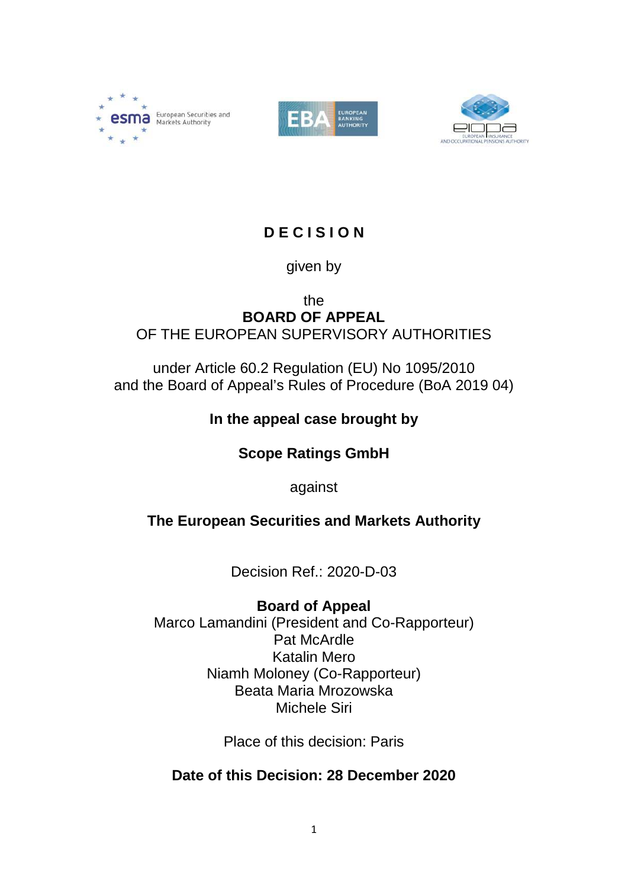





# **D E C I S I O N**

# given by

# the **BOARD OF APPEAL** OF THE EUROPEAN SUPERVISORY AUTHORITIES

under Article 60.2 Regulation (EU) No 1095/2010 and the Board of Appeal's Rules of Procedure (BoA 2019 04)

# **In the appeal case brought by**

# **Scope Ratings GmbH**

against

# **The European Securities and Markets Authority**

Decision Ref.: 2020-D-03

# **Board of Appeal**

Marco Lamandini (President and Co-Rapporteur) Pat McArdle Katalin Mero Niamh Moloney (Co-Rapporteur) Beata Maria Mrozowska Michele Siri

Place of this decision: Paris

# **Date of this Decision: 28 December 2020**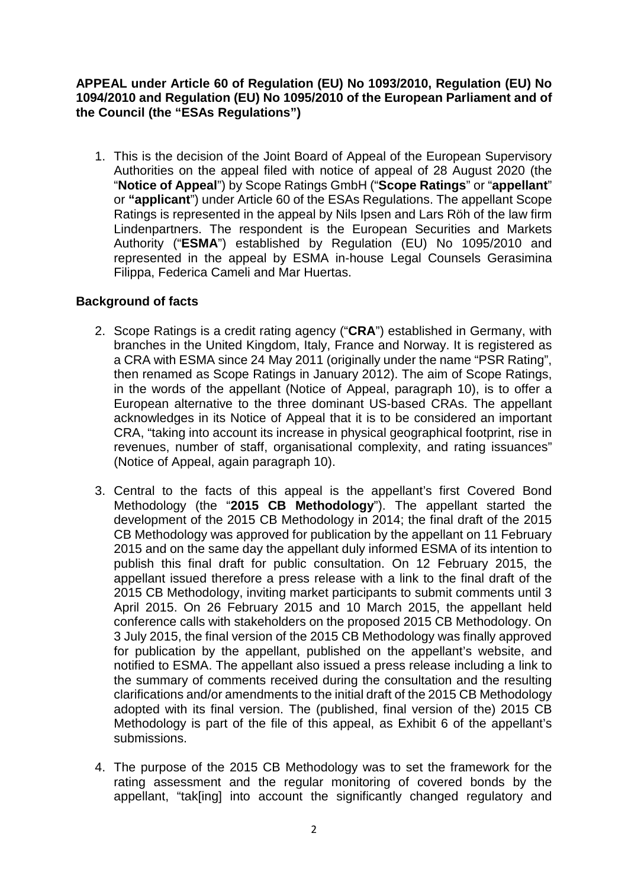# **APPEAL under Article 60 of Regulation (EU) No 1093/2010, Regulation (EU) No 1094/2010 and Regulation (EU) No 1095/2010 of the European Parliament and of the Council (the "ESAs Regulations")**

1. This is the decision of the Joint Board of Appeal of the European Supervisory Authorities on the appeal filed with notice of appeal of 28 August 2020 (the "**Notice of Appeal**") by Scope Ratings GmbH ("**Scope Ratings**" or "**appellant**" or **"applicant**") under Article 60 of the ESAs Regulations. The appellant Scope Ratings is represented in the appeal by Nils Ipsen and Lars Röh of the law firm Lindenpartners. The respondent is the European Securities and Markets Authority ("**ESMA**") established by Regulation (EU) No 1095/2010 and represented in the appeal by ESMA in-house Legal Counsels Gerasimina Filippa, Federica Cameli and Mar Huertas.

# **Background of facts**

- 2. Scope Ratings is a credit rating agency ("**CRA**") established in Germany, with branches in the United Kingdom, Italy, France and Norway. It is registered as a CRA with ESMA since 24 May 2011 (originally under the name "PSR Rating", then renamed as Scope Ratings in January 2012). The aim of Scope Ratings, in the words of the appellant (Notice of Appeal, paragraph 10), is to offer a European alternative to the three dominant US-based CRAs. The appellant acknowledges in its Notice of Appeal that it is to be considered an important CRA, "taking into account its increase in physical geographical footprint, rise in revenues, number of staff, organisational complexity, and rating issuances" (Notice of Appeal, again paragraph 10).
- 3. Central to the facts of this appeal is the appellant's first Covered Bond Methodology (the "**2015 CB Methodology**"). The appellant started the development of the 2015 CB Methodology in 2014; the final draft of the 2015 CB Methodology was approved for publication by the appellant on 11 February 2015 and on the same day the appellant duly informed ESMA of its intention to publish this final draft for public consultation. On 12 February 2015, the appellant issued therefore a press release with a link to the final draft of the 2015 CB Methodology, inviting market participants to submit comments until 3 April 2015. On 26 February 2015 and 10 March 2015, the appellant held conference calls with stakeholders on the proposed 2015 CB Methodology. On 3 July 2015, the final version of the 2015 CB Methodology was finally approved for publication by the appellant, published on the appellant's website, and notified to ESMA. The appellant also issued a press release including a link to the summary of comments received during the consultation and the resulting clarifications and/or amendments to the initial draft of the 2015 CB Methodology adopted with its final version. The (published, final version of the) 2015 CB Methodology is part of the file of this appeal, as Exhibit 6 of the appellant's submissions.
- 4. The purpose of the 2015 CB Methodology was to set the framework for the rating assessment and the regular monitoring of covered bonds by the appellant, "tak[ing] into account the significantly changed regulatory and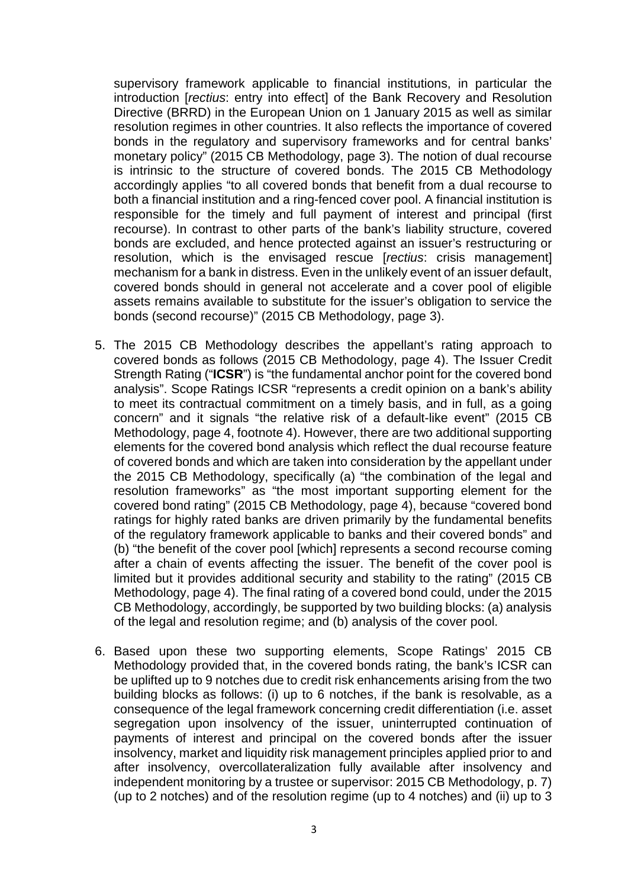supervisory framework applicable to financial institutions, in particular the introduction [*rectius*: entry into effect] of the Bank Recovery and Resolution Directive (BRRD) in the European Union on 1 January 2015 as well as similar resolution regimes in other countries. It also reflects the importance of covered bonds in the regulatory and supervisory frameworks and for central banks' monetary policy" (2015 CB Methodology, page 3). The notion of dual recourse is intrinsic to the structure of covered bonds. The 2015 CB Methodology accordingly applies "to all covered bonds that benefit from a dual recourse to both a financial institution and a ring-fenced cover pool. A financial institution is responsible for the timely and full payment of interest and principal (first recourse). In contrast to other parts of the bank's liability structure, covered bonds are excluded, and hence protected against an issuer's restructuring or resolution, which is the envisaged rescue [*rectius*: crisis management] mechanism for a bank in distress. Even in the unlikely event of an issuer default, covered bonds should in general not accelerate and a cover pool of eligible assets remains available to substitute for the issuer's obligation to service the bonds (second recourse)" (2015 CB Methodology, page 3).

- 5. The 2015 CB Methodology describes the appellant's rating approach to covered bonds as follows (2015 CB Methodology, page 4). The Issuer Credit Strength Rating ("**ICSR**") is "the fundamental anchor point for the covered bond analysis". Scope Ratings ICSR "represents a credit opinion on a bank's ability to meet its contractual commitment on a timely basis, and in full, as a going concern" and it signals "the relative risk of a default-like event" (2015 CB Methodology, page 4, footnote 4). However, there are two additional supporting elements for the covered bond analysis which reflect the dual recourse feature of covered bonds and which are taken into consideration by the appellant under the 2015 CB Methodology, specifically (a) "the combination of the legal and resolution frameworks" as "the most important supporting element for the covered bond rating" (2015 CB Methodology, page 4), because "covered bond ratings for highly rated banks are driven primarily by the fundamental benefits of the regulatory framework applicable to banks and their covered bonds" and (b) "the benefit of the cover pool [which] represents a second recourse coming after a chain of events affecting the issuer. The benefit of the cover pool is limited but it provides additional security and stability to the rating" (2015 CB Methodology, page 4). The final rating of a covered bond could, under the 2015 CB Methodology, accordingly, be supported by two building blocks: (a) analysis of the legal and resolution regime; and (b) analysis of the cover pool.
- 6. Based upon these two supporting elements, Scope Ratings' 2015 CB Methodology provided that, in the covered bonds rating, the bank's ICSR can be uplifted up to 9 notches due to credit risk enhancements arising from the two building blocks as follows: (i) up to 6 notches, if the bank is resolvable, as a consequence of the legal framework concerning credit differentiation (i.e. asset segregation upon insolvency of the issuer, uninterrupted continuation of payments of interest and principal on the covered bonds after the issuer insolvency, market and liquidity risk management principles applied prior to and after insolvency, overcollateralization fully available after insolvency and independent monitoring by a trustee or supervisor: 2015 CB Methodology, p. 7) (up to 2 notches) and of the resolution regime (up to 4 notches) and (ii) up to 3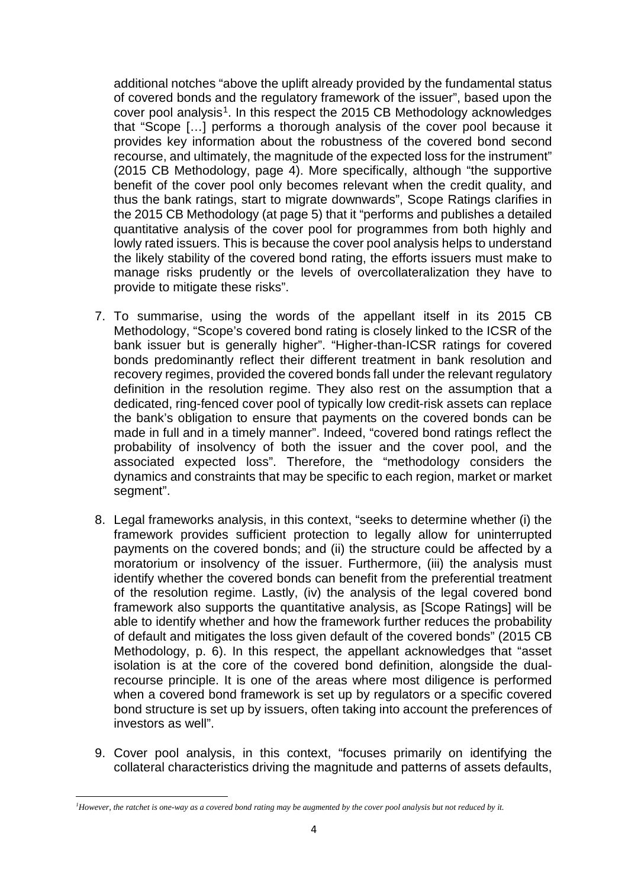additional notches "above the uplift already provided by the fundamental status of covered bonds and the regulatory framework of the issuer", based upon the cover pool analysis<sup>[1](#page-3-0)</sup>. In this respect the 2015 CB Methodology acknowledges that "Scope […] performs a thorough analysis of the cover pool because it provides key information about the robustness of the covered bond second recourse, and ultimately, the magnitude of the expected loss for the instrument" (2015 CB Methodology, page 4). More specifically, although "the supportive benefit of the cover pool only becomes relevant when the credit quality, and thus the bank ratings, start to migrate downwards", Scope Ratings clarifies in the 2015 CB Methodology (at page 5) that it "performs and publishes a detailed quantitative analysis of the cover pool for programmes from both highly and lowly rated issuers. This is because the cover pool analysis helps to understand the likely stability of the covered bond rating, the efforts issuers must make to manage risks prudently or the levels of overcollateralization they have to provide to mitigate these risks".

- 7. To summarise, using the words of the appellant itself in its 2015 CB Methodology, "Scope's covered bond rating is closely linked to the ICSR of the bank issuer but is generally higher". "Higher-than-ICSR ratings for covered bonds predominantly reflect their different treatment in bank resolution and recovery regimes, provided the covered bonds fall under the relevant regulatory definition in the resolution regime. They also rest on the assumption that a dedicated, ring-fenced cover pool of typically low credit-risk assets can replace the bank's obligation to ensure that payments on the covered bonds can be made in full and in a timely manner". Indeed, "covered bond ratings reflect the probability of insolvency of both the issuer and the cover pool, and the associated expected loss". Therefore, the "methodology considers the dynamics and constraints that may be specific to each region, market or market segment".
- 8. Legal frameworks analysis, in this context, "seeks to determine whether (i) the framework provides sufficient protection to legally allow for uninterrupted payments on the covered bonds; and (ii) the structure could be affected by a moratorium or insolvency of the issuer. Furthermore, (iii) the analysis must identify whether the covered bonds can benefit from the preferential treatment of the resolution regime. Lastly, (iv) the analysis of the legal covered bond framework also supports the quantitative analysis, as [Scope Ratings] will be able to identify whether and how the framework further reduces the probability of default and mitigates the loss given default of the covered bonds" (2015 CB Methodology, p. 6). In this respect, the appellant acknowledges that "asset isolation is at the core of the covered bond definition, alongside the dualrecourse principle. It is one of the areas where most diligence is performed when a covered bond framework is set up by regulators or a specific covered bond structure is set up by issuers, often taking into account the preferences of investors as well".
- 9. Cover pool analysis, in this context, "focuses primarily on identifying the collateral characteristics driving the magnitude and patterns of assets defaults,

<span id="page-3-0"></span> $\overline{a}$ *1 However, the ratchet is one-way as a covered bond rating may be augmented by the cover pool analysis but not reduced by it.*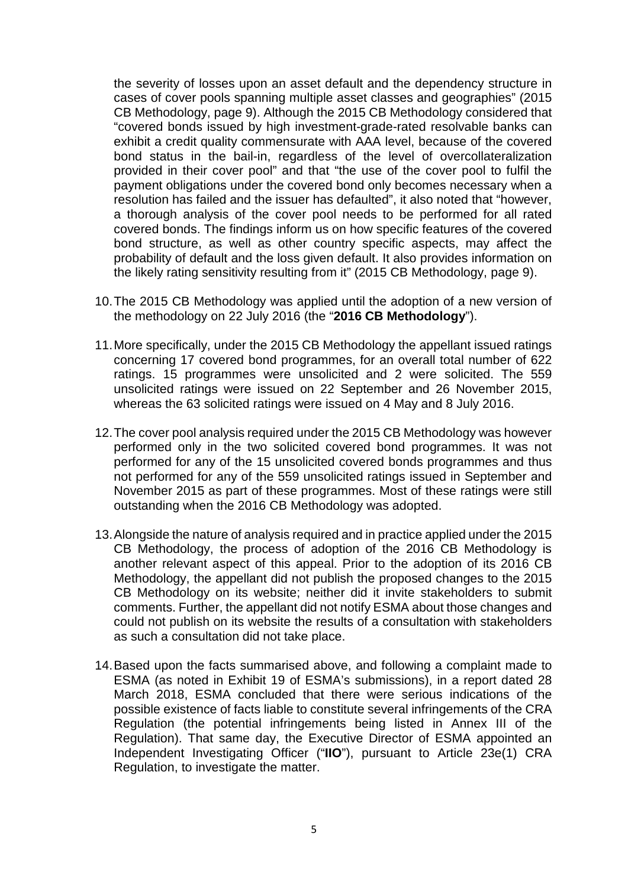the severity of losses upon an asset default and the dependency structure in cases of cover pools spanning multiple asset classes and geographies" (2015 CB Methodology, page 9). Although the 2015 CB Methodology considered that "covered bonds issued by high investment-grade-rated resolvable banks can exhibit a credit quality commensurate with AAA level, because of the covered bond status in the bail-in, regardless of the level of overcollateralization provided in their cover pool" and that "the use of the cover pool to fulfil the payment obligations under the covered bond only becomes necessary when a resolution has failed and the issuer has defaulted", it also noted that "however, a thorough analysis of the cover pool needs to be performed for all rated covered bonds. The findings inform us on how specific features of the covered bond structure, as well as other country specific aspects, may affect the probability of default and the loss given default. It also provides information on the likely rating sensitivity resulting from it" (2015 CB Methodology, page 9).

- 10.The 2015 CB Methodology was applied until the adoption of a new version of the methodology on 22 July 2016 (the "**2016 CB Methodology**").
- 11.More specifically, under the 2015 CB Methodology the appellant issued ratings concerning 17 covered bond programmes, for an overall total number of 622 ratings. 15 programmes were unsolicited and 2 were solicited. The 559 unsolicited ratings were issued on 22 September and 26 November 2015, whereas the 63 solicited ratings were issued on 4 May and 8 July 2016.
- 12.The cover pool analysis required under the 2015 CB Methodology was however performed only in the two solicited covered bond programmes. It was not performed for any of the 15 unsolicited covered bonds programmes and thus not performed for any of the 559 unsolicited ratings issued in September and November 2015 as part of these programmes. Most of these ratings were still outstanding when the 2016 CB Methodology was adopted.
- 13.Alongside the nature of analysis required and in practice applied under the 2015 CB Methodology, the process of adoption of the 2016 CB Methodology is another relevant aspect of this appeal. Prior to the adoption of its 2016 CB Methodology, the appellant did not publish the proposed changes to the 2015 CB Methodology on its website; neither did it invite stakeholders to submit comments. Further, the appellant did not notify ESMA about those changes and could not publish on its website the results of a consultation with stakeholders as such a consultation did not take place.
- 14.Based upon the facts summarised above, and following a complaint made to ESMA (as noted in Exhibit 19 of ESMA's submissions), in a report dated 28 March 2018, ESMA concluded that there were serious indications of the possible existence of facts liable to constitute several infringements of the CRA Regulation (the potential infringements being listed in Annex III of the Regulation). That same day, the Executive Director of ESMA appointed an Independent Investigating Officer ("**IIO**"), pursuant to Article 23e(1) CRA Regulation, to investigate the matter.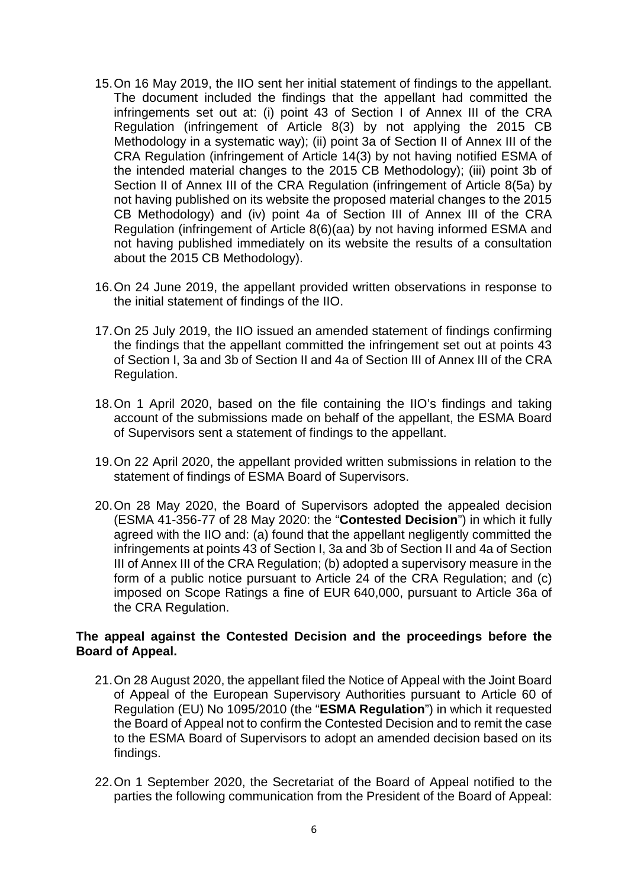- 15.On 16 May 2019, the IIO sent her initial statement of findings to the appellant. The document included the findings that the appellant had committed the infringements set out at: (i) point 43 of Section I of Annex III of the CRA Regulation (infringement of Article 8(3) by not applying the 2015 CB Methodology in a systematic way); (ii) point 3a of Section II of Annex III of the CRA Regulation (infringement of Article 14(3) by not having notified ESMA of the intended material changes to the 2015 CB Methodology); (iii) point 3b of Section II of Annex III of the CRA Regulation (infringement of Article 8(5a) by not having published on its website the proposed material changes to the 2015 CB Methodology) and (iv) point 4a of Section III of Annex III of the CRA Regulation (infringement of Article 8(6)(aa) by not having informed ESMA and not having published immediately on its website the results of a consultation about the 2015 CB Methodology).
- 16.On 24 June 2019, the appellant provided written observations in response to the initial statement of findings of the IIO.
- 17.On 25 July 2019, the IIO issued an amended statement of findings confirming the findings that the appellant committed the infringement set out at points 43 of Section I, 3a and 3b of Section II and 4a of Section III of Annex III of the CRA Regulation.
- 18.On 1 April 2020, based on the file containing the IIO's findings and taking account of the submissions made on behalf of the appellant, the ESMA Board of Supervisors sent a statement of findings to the appellant.
- 19.On 22 April 2020, the appellant provided written submissions in relation to the statement of findings of ESMA Board of Supervisors.
- 20.On 28 May 2020, the Board of Supervisors adopted the appealed decision (ESMA 41-356-77 of 28 May 2020: the "**Contested Decision**") in which it fully agreed with the IIO and: (a) found that the appellant negligently committed the infringements at points 43 of Section I, 3a and 3b of Section II and 4a of Section III of Annex III of the CRA Regulation; (b) adopted a supervisory measure in the form of a public notice pursuant to Article 24 of the CRA Regulation; and (c) imposed on Scope Ratings a fine of EUR 640,000, pursuant to Article 36a of the CRA Regulation.

# **The appeal against the Contested Decision and the proceedings before the Board of Appeal.**

- 21.On 28 August 2020, the appellant filed the Notice of Appeal with the Joint Board of Appeal of the European Supervisory Authorities pursuant to Article 60 of Regulation (EU) No 1095/2010 (the "**ESMA Regulation**") in which it requested the Board of Appeal not to confirm the Contested Decision and to remit the case to the ESMA Board of Supervisors to adopt an amended decision based on its findings.
- 22.On 1 September 2020, the Secretariat of the Board of Appeal notified to the parties the following communication from the President of the Board of Appeal: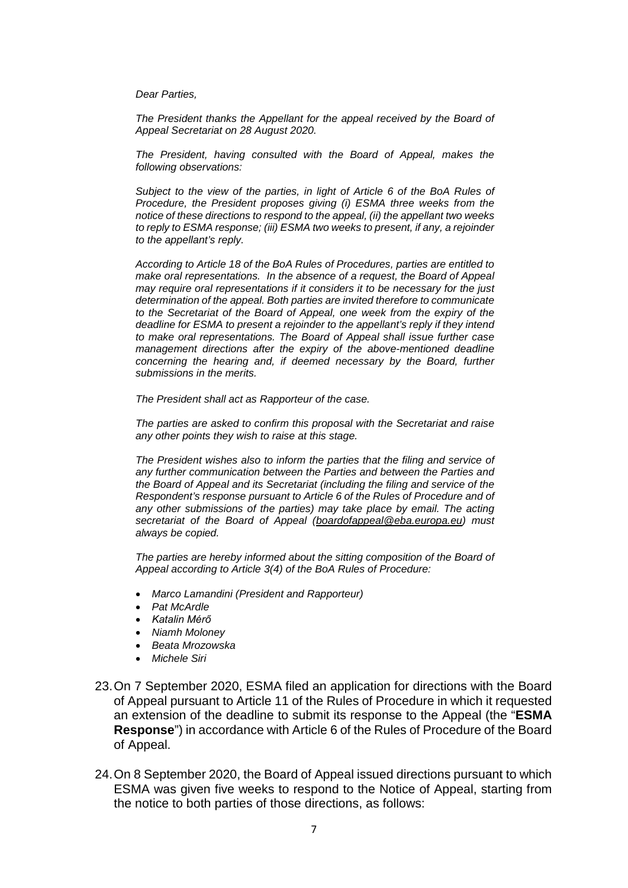*Dear Parties,*

*The President thanks the Appellant for the appeal received by the Board of Appeal Secretariat on 28 August 2020.*

*The President, having consulted with the Board of Appeal, makes the following observations:*

*Subject to the view of the parties, in light of Article 6 of the BoA Rules of Procedure, the President proposes giving (i) ESMA three weeks from the notice of these directions to respond to the appeal, (ii) the appellant two weeks to reply to ESMA response; (iii) ESMA two weeks to present, if any, a rejoinder to the appellant's reply.*

*According to Article 18 of the BoA Rules of Procedures, parties are entitled to make oral representations. In the absence of a request, the Board of Appeal may require oral representations if it considers it to be necessary for the just determination of the appeal. Both parties are invited therefore to communicate to the Secretariat of the Board of Appeal, one week from the expiry of the deadline for ESMA to present a rejoinder to the appellant's reply if they intend to make oral representations. The Board of Appeal shall issue further case management directions after the expiry of the above-mentioned deadline concerning the hearing and, if deemed necessary by the Board, further submissions in the merits.* 

*The President shall act as Rapporteur of the case.* 

*The parties are asked to confirm this proposal with the Secretariat and raise any other points they wish to raise at this stage.*

*The President wishes also to inform the parties that the filing and service of any further communication between the Parties and between the Parties and the Board of Appeal and its Secretariat (including the filing and service of the Respondent's response pursuant to Article 6 of the Rules of Procedure and of*  any other submissions of the parties) may take place by email. The acting *secretariat of the Board of Appeal [\(boardofappeal@eba.europa.eu\)](mailto:boardofappeal@eba.europa.eu) must always be copied.* 

*The parties are hereby informed about the sitting composition of the Board of Appeal according to Article 3(4) of the BoA Rules of Procedure:*

- *Marco Lamandini (President and Rapporteur)*
- *Pat McArdle*
- *Katalin Mérő*
- *Niamh Moloney*
- *Beata Mrozowska*
- *Michele Siri*
- 23.On 7 September 2020, ESMA filed an application for directions with the Board of Appeal pursuant to Article 11 of the Rules of Procedure in which it requested an extension of the deadline to submit its response to the Appeal (the "**ESMA Response**") in accordance with Article 6 of the Rules of Procedure of the Board of Appeal.
- 24.On 8 September 2020, the Board of Appeal issued directions pursuant to which ESMA was given five weeks to respond to the Notice of Appeal, starting from the notice to both parties of those directions, as follows: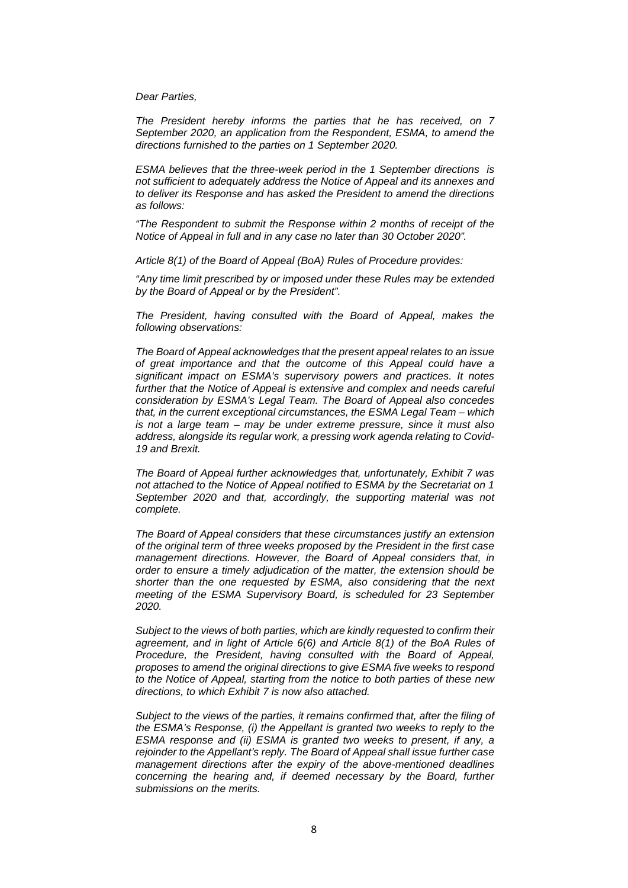*Dear Parties,*

*The President hereby informs the parties that he has received, on 7 September 2020, an application from the Respondent, ESMA, to amend the directions furnished to the parties on 1 September 2020.* 

*ESMA believes that the three-week period in the 1 September directions is not sufficient to adequately address the Notice of Appeal and its annexes and to deliver its Response and has asked the President to amend the directions as follows:* 

*"The Respondent to submit the Response within 2 months of receipt of the Notice of Appeal in full and in any case no later than 30 October 2020".* 

*Article 8(1) of the Board of Appeal (BoA) Rules of Procedure provides:* 

*"Any time limit prescribed by or imposed under these Rules may be extended by the Board of Appeal or by the President".*

*The President, having consulted with the Board of Appeal, makes the following observations:*

*The Board of Appeal acknowledges that the present appeal relates to an issue of great importance and that the outcome of this Appeal could have a significant impact on ESMA's supervisory powers and practices. It notes*  further that the Notice of Appeal is extensive and complex and needs careful *consideration by ESMA's Legal Team. The Board of Appeal also concedes that, in the current exceptional circumstances, the ESMA Legal Team – which is not a large team – may be under extreme pressure, since it must also address, alongside its regular work, a pressing work agenda relating to Covid-19 and Brexit.*

*The Board of Appeal further acknowledges that, unfortunately, Exhibit 7 was not attached to the Notice of Appeal notified to ESMA by the Secretariat on 1 September 2020 and that, accordingly, the supporting material was not complete.*

*The Board of Appeal considers that these circumstances justify an extension of the original term of three weeks proposed by the President in the first case management directions. However, the Board of Appeal considers that, in order to ensure a timely adjudication of the matter, the extension should be shorter than the one requested by ESMA, also considering that the next meeting of the ESMA Supervisory Board, is scheduled for 23 September 2020.* 

*Subject to the views of both parties, which are kindly requested to confirm their agreement, and in light of Article 6(6) and Article 8(1) of the BoA Rules of Procedure, the President, having consulted with the Board of Appeal, proposes to amend the original directions to give ESMA five weeks to respond to the Notice of Appeal, starting from the notice to both parties of these new directions, to which Exhibit 7 is now also attached.*

*Subject to the views of the parties, it remains confirmed that, after the filing of the ESMA's Response, (i) the Appellant is granted two weeks to reply to the ESMA response and (ii) ESMA is granted two weeks to present, if any, a rejoinder to the Appellant's reply. The Board of Appeal shall issue further case management directions after the expiry of the above-mentioned deadlines concerning the hearing and, if deemed necessary by the Board, further submissions on the merits.*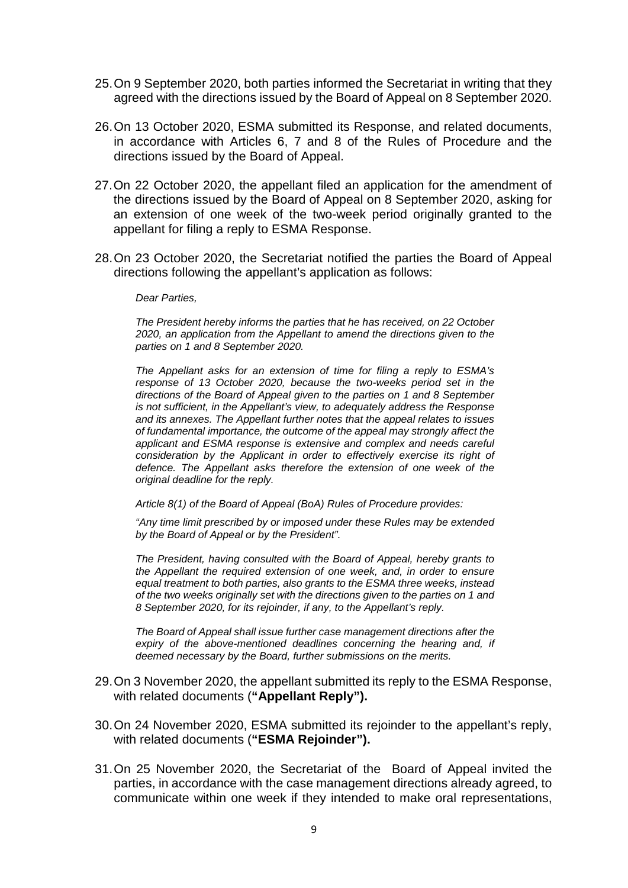- 25.On 9 September 2020, both parties informed the Secretariat in writing that they agreed with the directions issued by the Board of Appeal on 8 September 2020.
- 26.On 13 October 2020, ESMA submitted its Response, and related documents, in accordance with Articles 6, 7 and 8 of the Rules of Procedure and the directions issued by the Board of Appeal.
- 27.On 22 October 2020, the appellant filed an application for the amendment of the directions issued by the Board of Appeal on 8 September 2020, asking for an extension of one week of the two-week period originally granted to the appellant for filing a reply to ESMA Response.
- 28.On 23 October 2020, the Secretariat notified the parties the Board of Appeal directions following the appellant's application as follows:

*Dear Parties,*

*The President hereby informs the parties that he has received, on 22 October 2020, an application from the Appellant to amend the directions given to the parties on 1 and 8 September 2020.* 

*The Appellant asks for an extension of time for filing a reply to ESMA's response of 13 October 2020, because the two-weeks period set in the directions of the Board of Appeal given to the parties on 1 and 8 September is not sufficient, in the Appellant's view, to adequately address the Response and its annexes. The Appellant further notes that the appeal relates to issues of fundamental importance, the outcome of the appeal may strongly affect the applicant and ESMA response is extensive and complex and needs careful consideration by the Applicant in order to effectively exercise its right of defence. The Appellant asks therefore the extension of one week of the original deadline for the reply.*

*Article 8(1) of the Board of Appeal (BoA) Rules of Procedure provides:* 

*"Any time limit prescribed by or imposed under these Rules may be extended by the Board of Appeal or by the President".*

*The President, having consulted with the Board of Appeal, hereby grants to the Appellant the required extension of one week, and, in order to ensure equal treatment to both parties, also grants to the ESMA three weeks, instead of the two weeks originally set with the directions given to the parties on 1 and 8 September 2020, for its rejoinder, if any, to the Appellant's reply.*

*The Board of Appeal shall issue further case management directions after the*  expiry of the above-mentioned deadlines concerning the hearing and, if *deemed necessary by the Board, further submissions on the merits.* 

- 29.On 3 November 2020, the appellant submitted its reply to the ESMA Response, with related documents (**"Appellant Reply").**
- 30.On 24 November 2020, ESMA submitted its rejoinder to the appellant's reply, with related documents (**"ESMA Rejoinder").**
- 31.On 25 November 2020, the Secretariat of the Board of Appeal invited the parties, in accordance with the case management directions already agreed, to communicate within one week if they intended to make oral representations,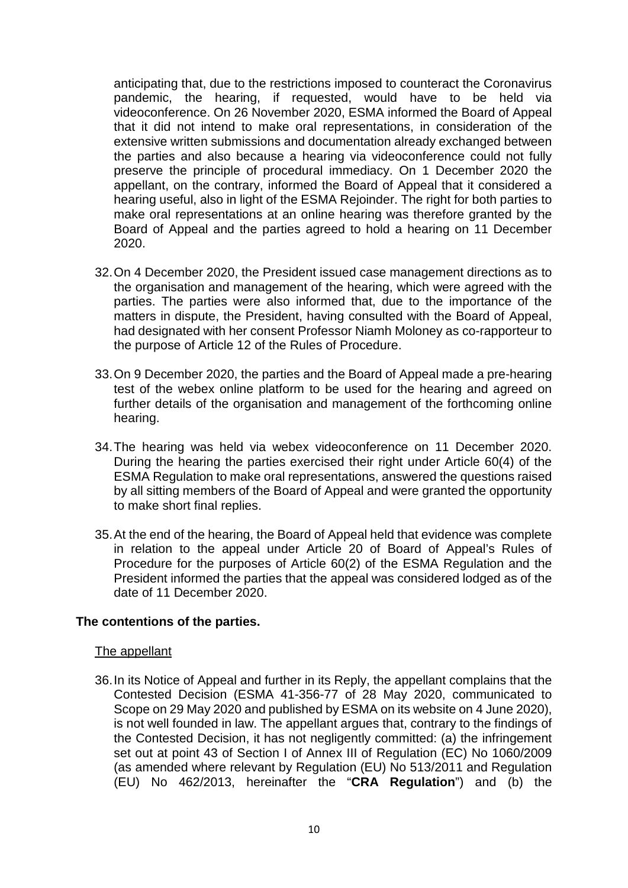anticipating that, due to the restrictions imposed to counteract the Coronavirus pandemic, the hearing, if requested, would have to be held via videoconference. On 26 November 2020, ESMA informed the Board of Appeal that it did not intend to make oral representations, in consideration of the extensive written submissions and documentation already exchanged between the parties and also because a hearing via videoconference could not fully preserve the principle of procedural immediacy. On 1 December 2020 the appellant, on the contrary, informed the Board of Appeal that it considered a hearing useful, also in light of the ESMA Rejoinder. The right for both parties to make oral representations at an online hearing was therefore granted by the Board of Appeal and the parties agreed to hold a hearing on 11 December 2020.

- 32.On 4 December 2020, the President issued case management directions as to the organisation and management of the hearing, which were agreed with the parties. The parties were also informed that, due to the importance of the matters in dispute, the President, having consulted with the Board of Appeal, had designated with her consent Professor Niamh Moloney as co-rapporteur to the purpose of Article 12 of the Rules of Procedure.
- 33.On 9 December 2020, the parties and the Board of Appeal made a pre-hearing test of the webex online platform to be used for the hearing and agreed on further details of the organisation and management of the forthcoming online hearing.
- 34.The hearing was held via webex videoconference on 11 December 2020. During the hearing the parties exercised their right under Article 60(4) of the ESMA Regulation to make oral representations, answered the questions raised by all sitting members of the Board of Appeal and were granted the opportunity to make short final replies.
- 35.At the end of the hearing, the Board of Appeal held that evidence was complete in relation to the appeal under Article 20 of Board of Appeal's Rules of Procedure for the purposes of Article 60(2) of the ESMA Regulation and the President informed the parties that the appeal was considered lodged as of the date of 11 December 2020.

# **The contentions of the parties.**

### The appellant

36.In its Notice of Appeal and further in its Reply, the appellant complains that the Contested Decision (ESMA 41-356-77 of 28 May 2020, communicated to Scope on 29 May 2020 and published by ESMA on its website on 4 June 2020), is not well founded in law. The appellant argues that, contrary to the findings of the Contested Decision, it has not negligently committed: (a) the infringement set out at point 43 of Section I of Annex III of Regulation (EC) No 1060/2009 (as amended where relevant by Regulation (EU) No 513/2011 and Regulation (EU) No 462/2013, hereinafter the "**CRA Regulation**") and (b) the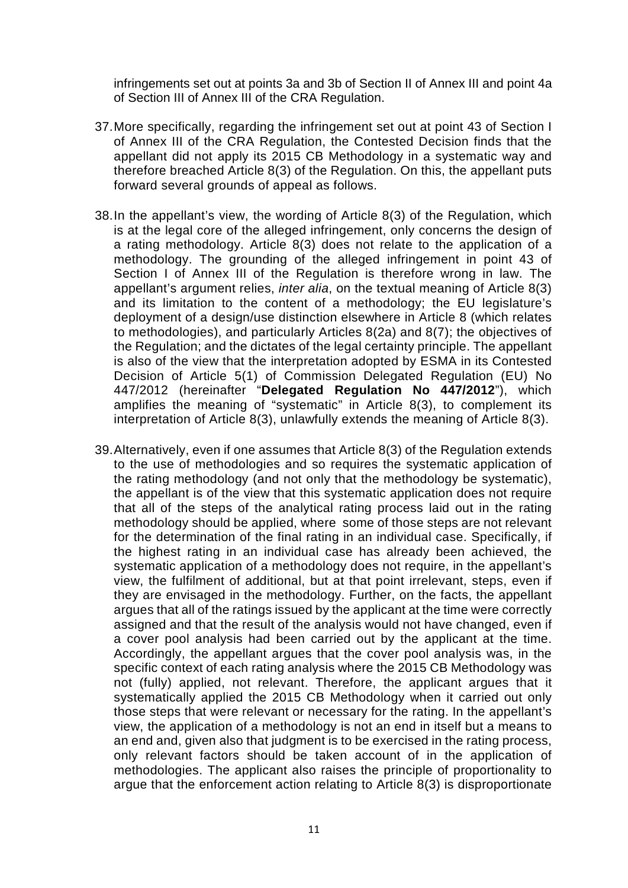infringements set out at points 3a and 3b of Section II of Annex III and point 4a of Section III of Annex III of the CRA Regulation.

- 37.More specifically, regarding the infringement set out at point 43 of Section I of Annex III of the CRA Regulation, the Contested Decision finds that the appellant did not apply its 2015 CB Methodology in a systematic way and therefore breached Article 8(3) of the Regulation. On this, the appellant puts forward several grounds of appeal as follows.
- 38.In the appellant's view, the wording of Article 8(3) of the Regulation, which is at the legal core of the alleged infringement, only concerns the design of a rating methodology. Article 8(3) does not relate to the application of a methodology. The grounding of the alleged infringement in point 43 of Section I of Annex III of the Regulation is therefore wrong in law. The appellant's argument relies, *inter alia*, on the textual meaning of Article 8(3) and its limitation to the content of a methodology; the EU legislature's deployment of a design/use distinction elsewhere in Article 8 (which relates to methodologies), and particularly Articles 8(2a) and 8(7); the objectives of the Regulation; and the dictates of the legal certainty principle. The appellant is also of the view that the interpretation adopted by ESMA in its Contested Decision of Article 5(1) of Commission Delegated Regulation (EU) No 447/2012 (hereinafter "**Delegated Regulation No 447/2012**"), which amplifies the meaning of "systematic" in Article 8(3), to complement its interpretation of Article 8(3), unlawfully extends the meaning of Article 8(3).
- 39.Alternatively, even if one assumes that Article 8(3) of the Regulation extends to the use of methodologies and so requires the systematic application of the rating methodology (and not only that the methodology be systematic), the appellant is of the view that this systematic application does not require that all of the steps of the analytical rating process laid out in the rating methodology should be applied, where some of those steps are not relevant for the determination of the final rating in an individual case. Specifically, if the highest rating in an individual case has already been achieved, the systematic application of a methodology does not require, in the appellant's view, the fulfilment of additional, but at that point irrelevant, steps, even if they are envisaged in the methodology. Further, on the facts, the appellant argues that all of the ratings issued by the applicant at the time were correctly assigned and that the result of the analysis would not have changed, even if a cover pool analysis had been carried out by the applicant at the time. Accordingly, the appellant argues that the cover pool analysis was, in the specific context of each rating analysis where the 2015 CB Methodology was not (fully) applied, not relevant. Therefore, the applicant argues that it systematically applied the 2015 CB Methodology when it carried out only those steps that were relevant or necessary for the rating. In the appellant's view, the application of a methodology is not an end in itself but a means to an end and, given also that judgment is to be exercised in the rating process, only relevant factors should be taken account of in the application of methodologies. The applicant also raises the principle of proportionality to argue that the enforcement action relating to Article 8(3) is disproportionate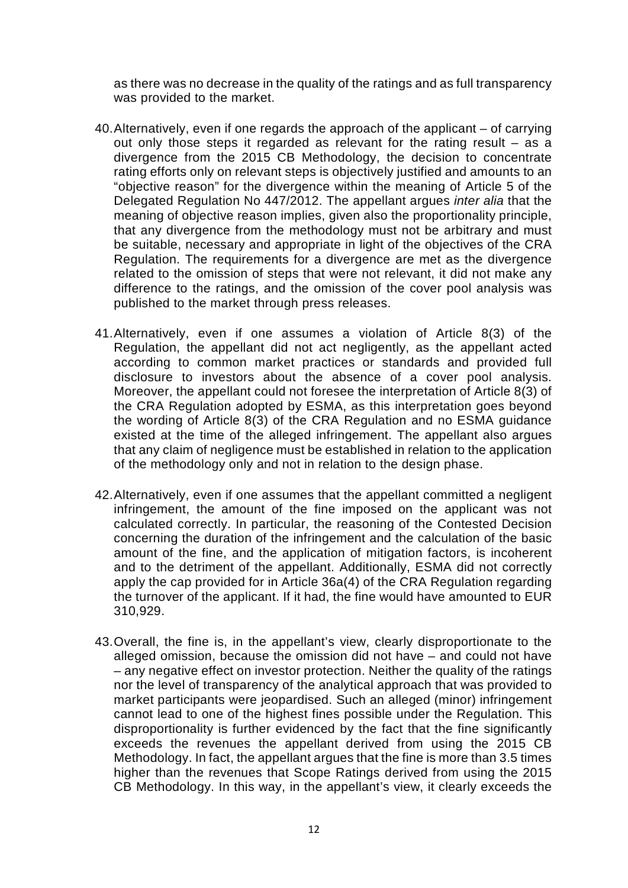as there was no decrease in the quality of the ratings and as full transparency was provided to the market.

- 40.Alternatively, even if one regards the approach of the applicant of carrying out only those steps it regarded as relevant for the rating result – as a divergence from the 2015 CB Methodology, the decision to concentrate rating efforts only on relevant steps is objectively justified and amounts to an "objective reason" for the divergence within the meaning of Article 5 of the Delegated Regulation No 447/2012. The appellant argues *inter alia* that the meaning of objective reason implies, given also the proportionality principle, that any divergence from the methodology must not be arbitrary and must be suitable, necessary and appropriate in light of the objectives of the CRA Regulation. The requirements for a divergence are met as the divergence related to the omission of steps that were not relevant, it did not make any difference to the ratings, and the omission of the cover pool analysis was published to the market through press releases.
- 41.Alternatively, even if one assumes a violation of Article 8(3) of the Regulation, the appellant did not act negligently, as the appellant acted according to common market practices or standards and provided full disclosure to investors about the absence of a cover pool analysis. Moreover, the appellant could not foresee the interpretation of Article 8(3) of the CRA Regulation adopted by ESMA, as this interpretation goes beyond the wording of Article 8(3) of the CRA Regulation and no ESMA guidance existed at the time of the alleged infringement. The appellant also argues that any claim of negligence must be established in relation to the application of the methodology only and not in relation to the design phase.
- 42.Alternatively, even if one assumes that the appellant committed a negligent infringement, the amount of the fine imposed on the applicant was not calculated correctly. In particular, the reasoning of the Contested Decision concerning the duration of the infringement and the calculation of the basic amount of the fine, and the application of mitigation factors, is incoherent and to the detriment of the appellant. Additionally, ESMA did not correctly apply the cap provided for in Article 36a(4) of the CRA Regulation regarding the turnover of the applicant. If it had, the fine would have amounted to EUR 310,929.
- 43.Overall, the fine is, in the appellant's view, clearly disproportionate to the alleged omission, because the omission did not have – and could not have – any negative effect on investor protection. Neither the quality of the ratings nor the level of transparency of the analytical approach that was provided to market participants were jeopardised. Such an alleged (minor) infringement cannot lead to one of the highest fines possible under the Regulation. This disproportionality is further evidenced by the fact that the fine significantly exceeds the revenues the appellant derived from using the 2015 CB Methodology. In fact, the appellant argues that the fine is more than 3.5 times higher than the revenues that Scope Ratings derived from using the 2015 CB Methodology. In this way, in the appellant's view, it clearly exceeds the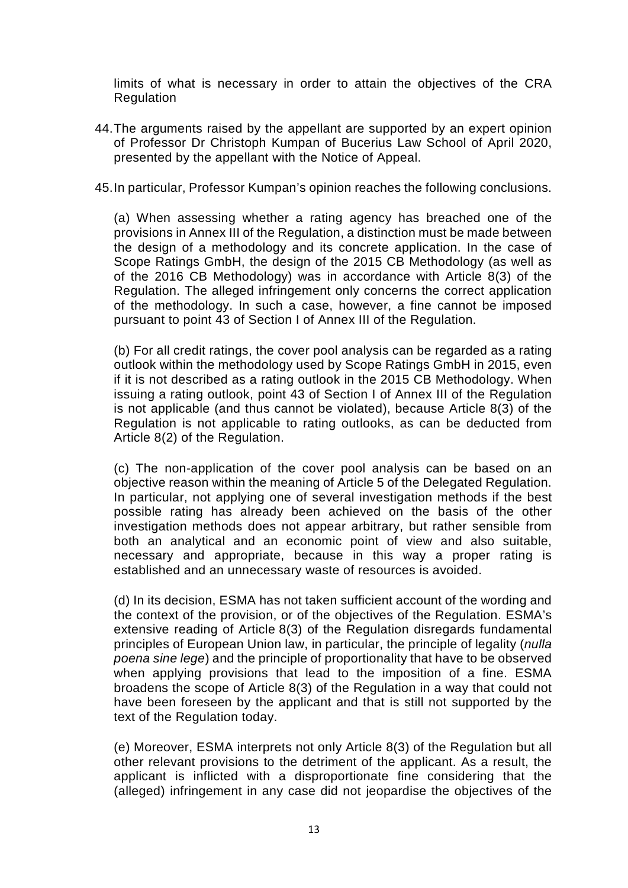limits of what is necessary in order to attain the objectives of the CRA Regulation

44.The arguments raised by the appellant are supported by an expert opinion of Professor Dr Christoph Kumpan of Bucerius Law School of April 2020, presented by the appellant with the Notice of Appeal.

45.In particular, Professor Kumpan's opinion reaches the following conclusions.

(a) When assessing whether a rating agency has breached one of the provisions in Annex III of the Regulation, a distinction must be made between the design of a methodology and its concrete application. In the case of Scope Ratings GmbH, the design of the 2015 CB Methodology (as well as of the 2016 CB Methodology) was in accordance with Article 8(3) of the Regulation. The alleged infringement only concerns the correct application of the methodology. In such a case, however, a fine cannot be imposed pursuant to point 43 of Section I of Annex III of the Regulation.

(b) For all credit ratings, the cover pool analysis can be regarded as a rating outlook within the methodology used by Scope Ratings GmbH in 2015, even if it is not described as a rating outlook in the 2015 CB Methodology. When issuing a rating outlook, point 43 of Section I of Annex III of the Regulation is not applicable (and thus cannot be violated), because Article 8(3) of the Regulation is not applicable to rating outlooks, as can be deducted from Article 8(2) of the Regulation.

(c) The non-application of the cover pool analysis can be based on an objective reason within the meaning of Article 5 of the Delegated Regulation. In particular, not applying one of several investigation methods if the best possible rating has already been achieved on the basis of the other investigation methods does not appear arbitrary, but rather sensible from both an analytical and an economic point of view and also suitable, necessary and appropriate, because in this way a proper rating is established and an unnecessary waste of resources is avoided.

(d) In its decision, ESMA has not taken sufficient account of the wording and the context of the provision, or of the objectives of the Regulation. ESMA's extensive reading of Article 8(3) of the Regulation disregards fundamental principles of European Union law, in particular, the principle of legality (*nulla poena sine lege*) and the principle of proportionality that have to be observed when applying provisions that lead to the imposition of a fine. ESMA broadens the scope of Article 8(3) of the Regulation in a way that could not have been foreseen by the applicant and that is still not supported by the text of the Regulation today.

(e) Moreover, ESMA interprets not only Article 8(3) of the Regulation but all other relevant provisions to the detriment of the applicant. As a result, the applicant is inflicted with a disproportionate fine considering that the (alleged) infringement in any case did not jeopardise the objectives of the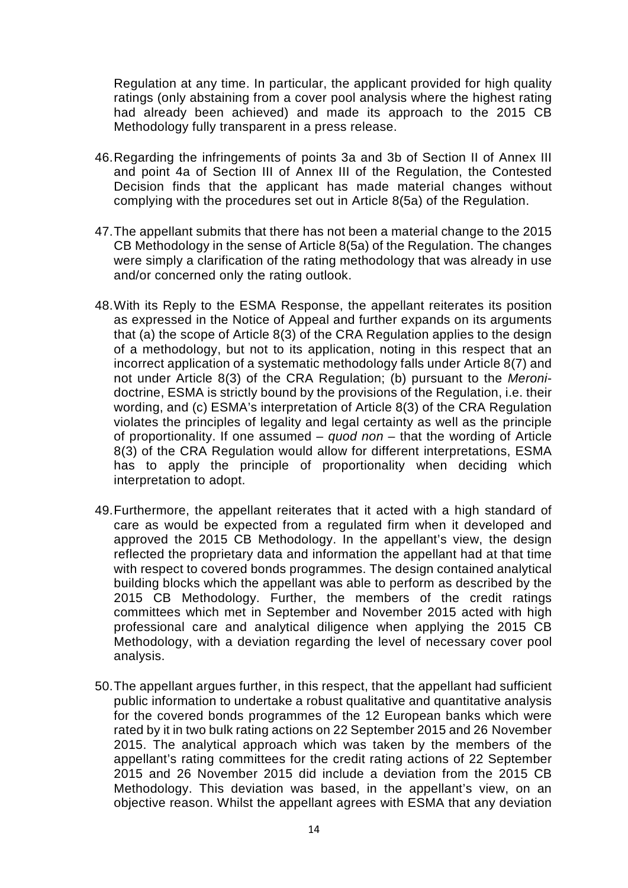Regulation at any time. In particular, the applicant provided for high quality ratings (only abstaining from a cover pool analysis where the highest rating had already been achieved) and made its approach to the 2015 CB Methodology fully transparent in a press release.

- 46.Regarding the infringements of points 3a and 3b of Section II of Annex III and point 4a of Section III of Annex III of the Regulation, the Contested Decision finds that the applicant has made material changes without complying with the procedures set out in Article 8(5a) of the Regulation.
- 47.The appellant submits that there has not been a material change to the 2015 CB Methodology in the sense of Article 8(5a) of the Regulation. The changes were simply a clarification of the rating methodology that was already in use and/or concerned only the rating outlook.
- 48.With its Reply to the ESMA Response, the appellant reiterates its position as expressed in the Notice of Appeal and further expands on its arguments that (a) the scope of Article 8(3) of the CRA Regulation applies to the design of a methodology, but not to its application, noting in this respect that an incorrect application of a systematic methodology falls under Article 8(7) and not under Article 8(3) of the CRA Regulation; (b) pursuant to the *Meroni*doctrine, ESMA is strictly bound by the provisions of the Regulation, i.e. their wording, and (c) ESMA's interpretation of Article 8(3) of the CRA Regulation violates the principles of legality and legal certainty as well as the principle of proportionality. If one assumed – *quod non* – that the wording of Article 8(3) of the CRA Regulation would allow for different interpretations, ESMA has to apply the principle of proportionality when deciding which interpretation to adopt.
- 49.Furthermore, the appellant reiterates that it acted with a high standard of care as would be expected from a regulated firm when it developed and approved the 2015 CB Methodology. In the appellant's view, the design reflected the proprietary data and information the appellant had at that time with respect to covered bonds programmes. The design contained analytical building blocks which the appellant was able to perform as described by the 2015 CB Methodology. Further, the members of the credit ratings committees which met in September and November 2015 acted with high professional care and analytical diligence when applying the 2015 CB Methodology, with a deviation regarding the level of necessary cover pool analysis.
- 50.The appellant argues further, in this respect, that the appellant had sufficient public information to undertake a robust qualitative and quantitative analysis for the covered bonds programmes of the 12 European banks which were rated by it in two bulk rating actions on 22 September 2015 and 26 November 2015. The analytical approach which was taken by the members of the appellant's rating committees for the credit rating actions of 22 September 2015 and 26 November 2015 did include a deviation from the 2015 CB Methodology. This deviation was based, in the appellant's view, on an objective reason. Whilst the appellant agrees with ESMA that any deviation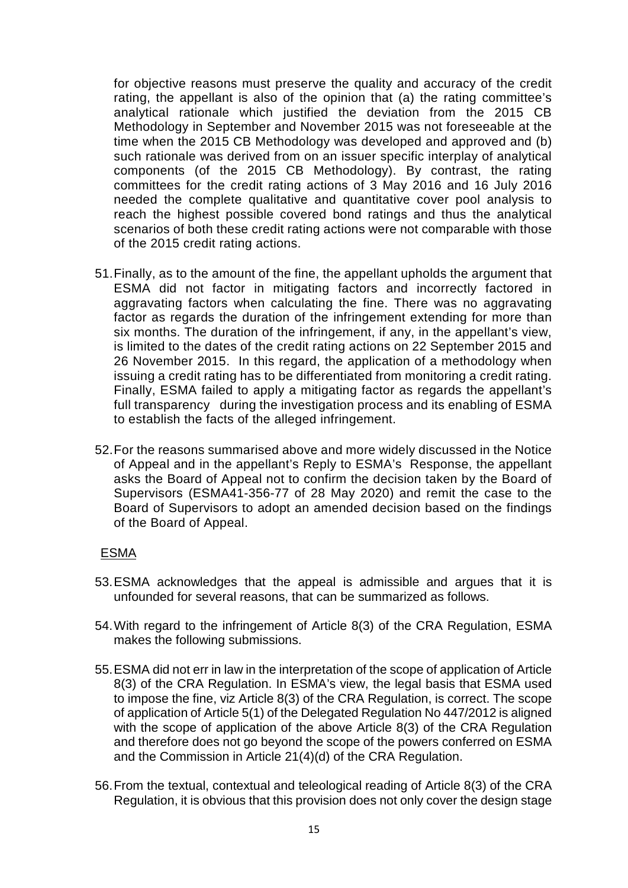for objective reasons must preserve the quality and accuracy of the credit rating, the appellant is also of the opinion that (a) the rating committee's analytical rationale which justified the deviation from the 2015 CB Methodology in September and November 2015 was not foreseeable at the time when the 2015 CB Methodology was developed and approved and (b) such rationale was derived from on an issuer specific interplay of analytical components (of the 2015 CB Methodology). By contrast, the rating committees for the credit rating actions of 3 May 2016 and 16 July 2016 needed the complete qualitative and quantitative cover pool analysis to reach the highest possible covered bond ratings and thus the analytical scenarios of both these credit rating actions were not comparable with those of the 2015 credit rating actions.

- 51.Finally, as to the amount of the fine, the appellant upholds the argument that ESMA did not factor in mitigating factors and incorrectly factored in aggravating factors when calculating the fine. There was no aggravating factor as regards the duration of the infringement extending for more than six months. The duration of the infringement, if any, in the appellant's view, is limited to the dates of the credit rating actions on 22 September 2015 and 26 November 2015. In this regard, the application of a methodology when issuing a credit rating has to be differentiated from monitoring a credit rating. Finally, ESMA failed to apply a mitigating factor as regards the appellant's full transparency during the investigation process and its enabling of ESMA to establish the facts of the alleged infringement.
- 52.For the reasons summarised above and more widely discussed in the Notice of Appeal and in the appellant's Reply to ESMA's Response, the appellant asks the Board of Appeal not to confirm the decision taken by the Board of Supervisors (ESMA41-356-77 of 28 May 2020) and remit the case to the Board of Supervisors to adopt an amended decision based on the findings of the Board of Appeal.

### ESMA

- 53.ESMA acknowledges that the appeal is admissible and argues that it is unfounded for several reasons, that can be summarized as follows.
- 54.With regard to the infringement of Article 8(3) of the CRA Regulation, ESMA makes the following submissions.
- 55.ESMA did not err in law in the interpretation of the scope of application of Article 8(3) of the CRA Regulation. In ESMA's view, the legal basis that ESMA used to impose the fine, viz Article 8(3) of the CRA Regulation, is correct. The scope of application of Article 5(1) of the Delegated Regulation No 447/2012 is aligned with the scope of application of the above Article 8(3) of the CRA Regulation and therefore does not go beyond the scope of the powers conferred on ESMA and the Commission in Article 21(4)(d) of the CRA Regulation.
- 56.From the textual, contextual and teleological reading of Article 8(3) of the CRA Regulation, it is obvious that this provision does not only cover the design stage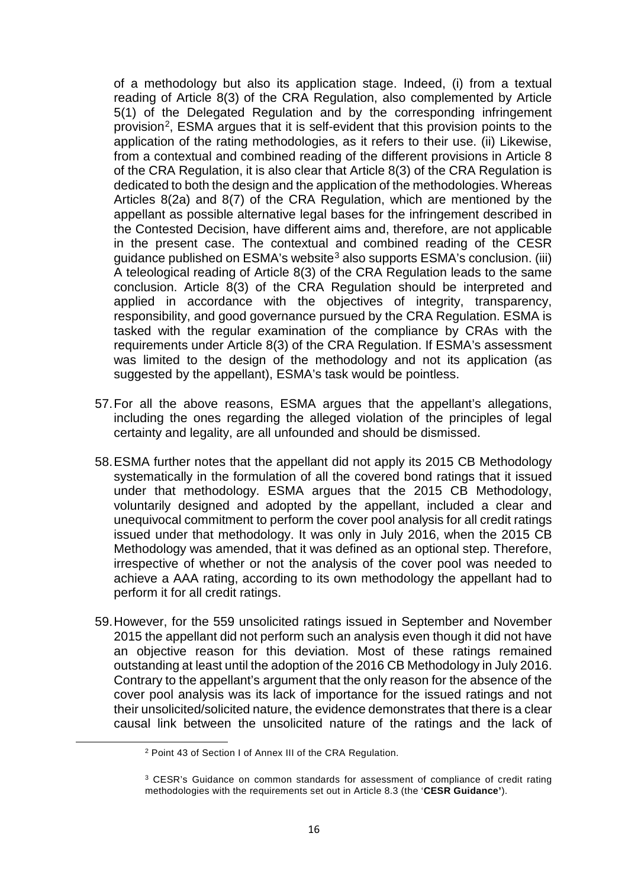of a methodology but also its application stage. Indeed, (i) from a textual reading of Article 8(3) of the CRA Regulation, also complemented by Article 5(1) of the Delegated Regulation and by the corresponding infringement provision[2,](#page-15-0) ESMA argues that it is self-evident that this provision points to the application of the rating methodologies, as it refers to their use. (ii) Likewise, from a contextual and combined reading of the different provisions in Article 8 of the CRA Regulation, it is also clear that Article 8(3) of the CRA Regulation is dedicated to both the design and the application of the methodologies. Whereas Articles 8(2a) and 8(7) of the CRA Regulation, which are mentioned by the appellant as possible alternative legal bases for the infringement described in the Contested Decision, have different aims and, therefore, are not applicable in the present case. The contextual and combined reading of the CESR guidance published on ESMA's website<sup>[3](#page-15-1)</sup> also supports ESMA's conclusion. (iii) A teleological reading of Article 8(3) of the CRA Regulation leads to the same conclusion. Article 8(3) of the CRA Regulation should be interpreted and applied in accordance with the objectives of integrity, transparency, responsibility, and good governance pursued by the CRA Regulation. ESMA is tasked with the regular examination of the compliance by CRAs with the requirements under Article 8(3) of the CRA Regulation. If ESMA's assessment was limited to the design of the methodology and not its application (as suggested by the appellant), ESMA's task would be pointless.

- 57.For all the above reasons, ESMA argues that the appellant's allegations, including the ones regarding the alleged violation of the principles of legal certainty and legality, are all unfounded and should be dismissed.
- 58.ESMA further notes that the appellant did not apply its 2015 CB Methodology systematically in the formulation of all the covered bond ratings that it issued under that methodology. ESMA argues that the 2015 CB Methodology, voluntarily designed and adopted by the appellant, included a clear and unequivocal commitment to perform the cover pool analysis for all credit ratings issued under that methodology. It was only in July 2016, when the 2015 CB Methodology was amended, that it was defined as an optional step. Therefore, irrespective of whether or not the analysis of the cover pool was needed to achieve a AAA rating, according to its own methodology the appellant had to perform it for all credit ratings.
- 59.However, for the 559 unsolicited ratings issued in September and November 2015 the appellant did not perform such an analysis even though it did not have an objective reason for this deviation. Most of these ratings remained outstanding at least until the adoption of the 2016 CB Methodology in July 2016. Contrary to the appellant's argument that the only reason for the absence of the cover pool analysis was its lack of importance for the issued ratings and not their unsolicited/solicited nature, the evidence demonstrates that there is a clear causal link between the unsolicited nature of the ratings and the lack of

<span id="page-15-1"></span><span id="page-15-0"></span><u>.</u>

<sup>2</sup> Point 43 of Section I of Annex III of the CRA Regulation.

<sup>3</sup> CESR's Guidance on common standards for assessment of compliance of credit rating methodologies with the requirements set out in Article 8.3 (the '**CESR Guidance'**).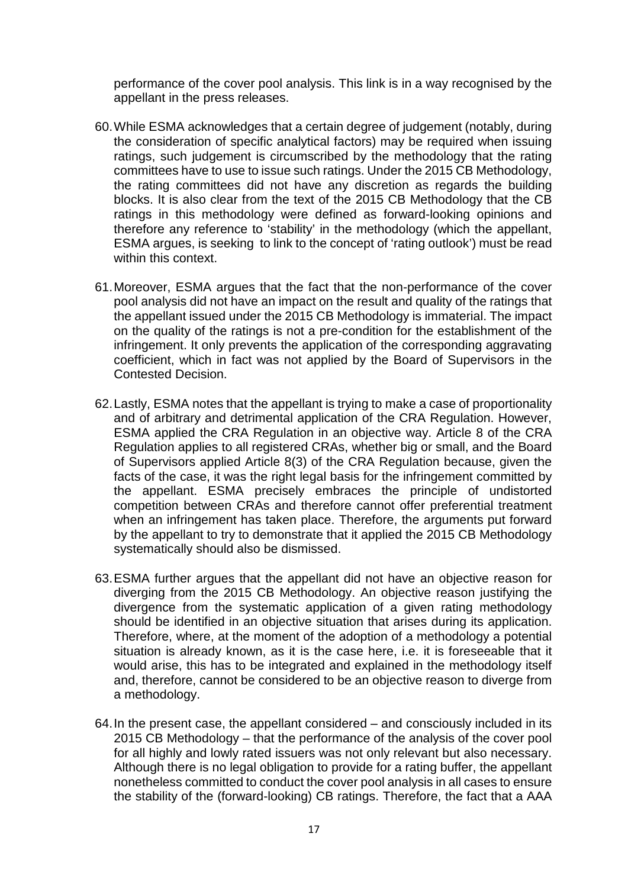performance of the cover pool analysis. This link is in a way recognised by the appellant in the press releases.

- 60.While ESMA acknowledges that a certain degree of judgement (notably, during the consideration of specific analytical factors) may be required when issuing ratings, such judgement is circumscribed by the methodology that the rating committees have to use to issue such ratings. Under the 2015 CB Methodology, the rating committees did not have any discretion as regards the building blocks. It is also clear from the text of the 2015 CB Methodology that the CB ratings in this methodology were defined as forward-looking opinions and therefore any reference to 'stability' in the methodology (which the appellant, ESMA argues, is seeking to link to the concept of 'rating outlook') must be read within this context.
- 61.Moreover, ESMA argues that the fact that the non-performance of the cover pool analysis did not have an impact on the result and quality of the ratings that the appellant issued under the 2015 CB Methodology is immaterial. The impact on the quality of the ratings is not a pre-condition for the establishment of the infringement. It only prevents the application of the corresponding aggravating coefficient, which in fact was not applied by the Board of Supervisors in the Contested Decision.
- 62.Lastly, ESMA notes that the appellant is trying to make a case of proportionality and of arbitrary and detrimental application of the CRA Regulation. However, ESMA applied the CRA Regulation in an objective way. Article 8 of the CRA Regulation applies to all registered CRAs, whether big or small, and the Board of Supervisors applied Article 8(3) of the CRA Regulation because, given the facts of the case, it was the right legal basis for the infringement committed by the appellant. ESMA precisely embraces the principle of undistorted competition between CRAs and therefore cannot offer preferential treatment when an infringement has taken place. Therefore, the arguments put forward by the appellant to try to demonstrate that it applied the 2015 CB Methodology systematically should also be dismissed.
- 63.ESMA further argues that the appellant did not have an objective reason for diverging from the 2015 CB Methodology. An objective reason justifying the divergence from the systematic application of a given rating methodology should be identified in an objective situation that arises during its application. Therefore, where, at the moment of the adoption of a methodology a potential situation is already known, as it is the case here, i.e. it is foreseeable that it would arise, this has to be integrated and explained in the methodology itself and, therefore, cannot be considered to be an objective reason to diverge from a methodology.
- 64.In the present case, the appellant considered and consciously included in its 2015 CB Methodology – that the performance of the analysis of the cover pool for all highly and lowly rated issuers was not only relevant but also necessary. Although there is no legal obligation to provide for a rating buffer, the appellant nonetheless committed to conduct the cover pool analysis in all cases to ensure the stability of the (forward-looking) CB ratings. Therefore, the fact that a AAA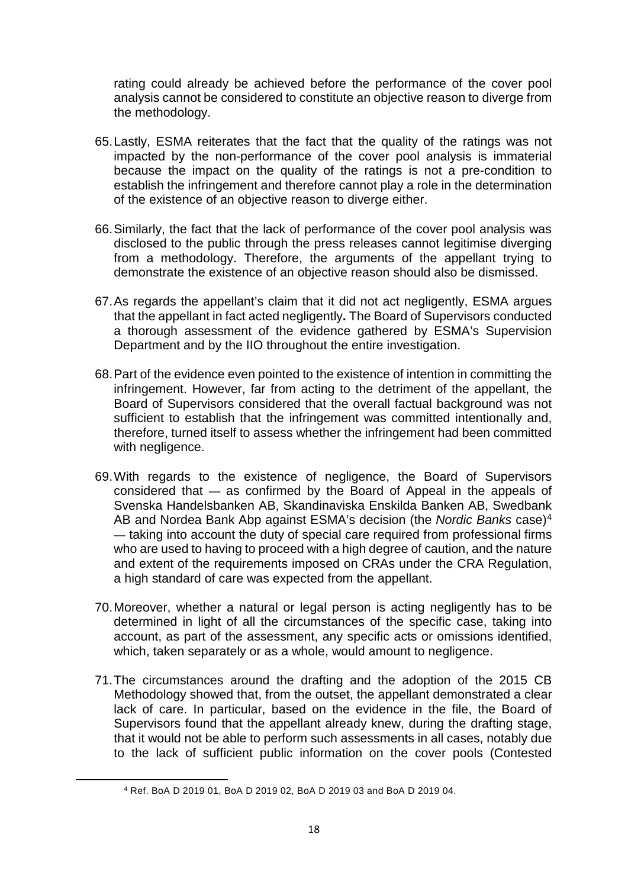rating could already be achieved before the performance of the cover pool analysis cannot be considered to constitute an objective reason to diverge from the methodology.

- 65.Lastly, ESMA reiterates that the fact that the quality of the ratings was not impacted by the non-performance of the cover pool analysis is immaterial because the impact on the quality of the ratings is not a pre-condition to establish the infringement and therefore cannot play a role in the determination of the existence of an objective reason to diverge either.
- 66.Similarly, the fact that the lack of performance of the cover pool analysis was disclosed to the public through the press releases cannot legitimise diverging from a methodology. Therefore, the arguments of the appellant trying to demonstrate the existence of an objective reason should also be dismissed.
- 67.As regards the appellant's claim that it did not act negligently, ESMA argues that the appellant in fact acted negligently**.** The Board of Supervisors conducted a thorough assessment of the evidence gathered by ESMA's Supervision Department and by the IIO throughout the entire investigation.
- 68.Part of the evidence even pointed to the existence of intention in committing the infringement. However, far from acting to the detriment of the appellant, the Board of Supervisors considered that the overall factual background was not sufficient to establish that the infringement was committed intentionally and, therefore, turned itself to assess whether the infringement had been committed with negligence.
- 69.With regards to the existence of negligence, the Board of Supervisors considered that — as confirmed by the Board of Appeal in the appeals of Svenska Handelsbanken AB, Skandinaviska Enskilda Banken AB, Swedbank AB and Nordea Bank Abp against ESMA's decision (the *Nordic Banks* case)[4](#page-17-0) — taking into account the duty of special care required from professional firms who are used to having to proceed with a high degree of caution, and the nature and extent of the requirements imposed on CRAs under the CRA Regulation, a high standard of care was expected from the appellant.
- 70.Moreover, whether a natural or legal person is acting negligently has to be determined in light of all the circumstances of the specific case, taking into account, as part of the assessment, any specific acts or omissions identified, which, taken separately or as a whole, would amount to negligence.
- 71.The circumstances around the drafting and the adoption of the 2015 CB Methodology showed that, from the outset, the appellant demonstrated a clear lack of care. In particular, based on the evidence in the file, the Board of Supervisors found that the appellant already knew, during the drafting stage, that it would not be able to perform such assessments in all cases, notably due to the lack of sufficient public information on the cover pools (Contested

<span id="page-17-0"></span> $\overline{a}$ 

<sup>4</sup> Ref. BoA D 2019 01, BoA D 2019 02, BoA D 2019 03 and BoA D 2019 04.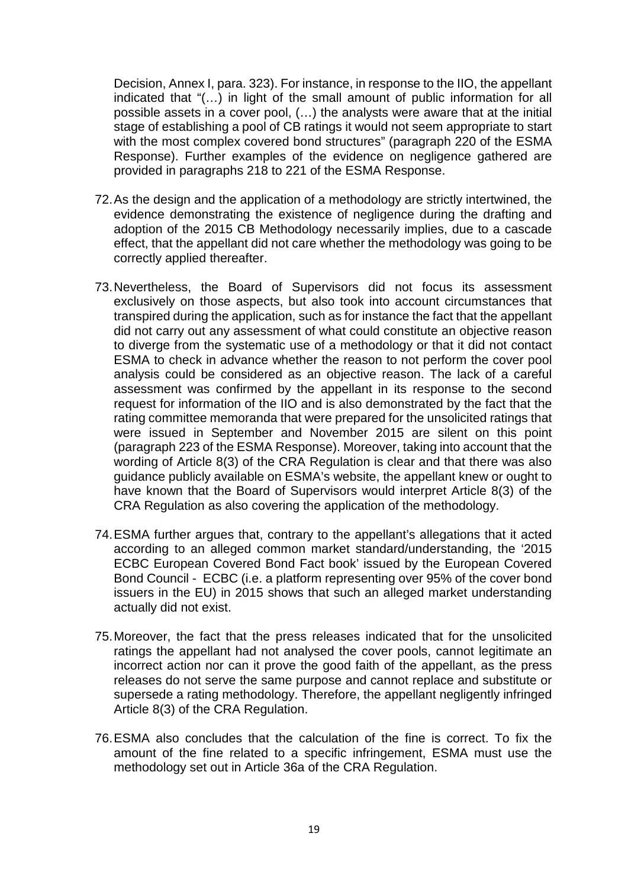Decision, Annex I, para. 323). For instance, in response to the IIO, the appellant indicated that "(…) in light of the small amount of public information for all possible assets in a cover pool, (...) the analysts were aware that at the initial stage of establishing a pool of CB ratings it would not seem appropriate to start with the most complex covered bond structures" (paragraph 220 of the ESMA Response). Further examples of the evidence on negligence gathered are provided in paragraphs 218 to 221 of the ESMA Response.

- 72.As the design and the application of a methodology are strictly intertwined, the evidence demonstrating the existence of negligence during the drafting and adoption of the 2015 CB Methodology necessarily implies, due to a cascade effect, that the appellant did not care whether the methodology was going to be correctly applied thereafter.
- 73.Nevertheless, the Board of Supervisors did not focus its assessment exclusively on those aspects, but also took into account circumstances that transpired during the application, such as for instance the fact that the appellant did not carry out any assessment of what could constitute an objective reason to diverge from the systematic use of a methodology or that it did not contact ESMA to check in advance whether the reason to not perform the cover pool analysis could be considered as an objective reason. The lack of a careful assessment was confirmed by the appellant in its response to the second request for information of the IIO and is also demonstrated by the fact that the rating committee memoranda that were prepared for the unsolicited ratings that were issued in September and November 2015 are silent on this point (paragraph 223 of the ESMA Response). Moreover, taking into account that the wording of Article 8(3) of the CRA Regulation is clear and that there was also guidance publicly available on ESMA's website, the appellant knew or ought to have known that the Board of Supervisors would interpret Article 8(3) of the CRA Regulation as also covering the application of the methodology.
- 74.ESMA further argues that, contrary to the appellant's allegations that it acted according to an alleged common market standard/understanding, the '2015 ECBC European Covered Bond Fact book' issued by the European Covered Bond Council - ECBC (i.e. a platform representing over 95% of the cover bond issuers in the EU) in 2015 shows that such an alleged market understanding actually did not exist.
- 75.Moreover, the fact that the press releases indicated that for the unsolicited ratings the appellant had not analysed the cover pools, cannot legitimate an incorrect action nor can it prove the good faith of the appellant, as the press releases do not serve the same purpose and cannot replace and substitute or supersede a rating methodology. Therefore, the appellant negligently infringed Article 8(3) of the CRA Regulation.
- 76.ESMA also concludes that the calculation of the fine is correct. To fix the amount of the fine related to a specific infringement, ESMA must use the methodology set out in Article 36a of the CRA Regulation.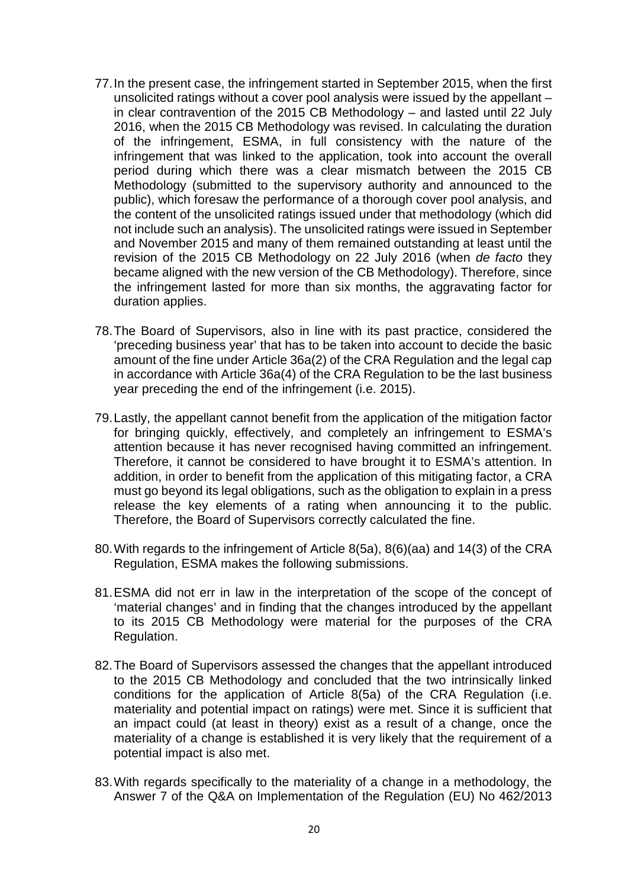- 77.In the present case, the infringement started in September 2015, when the first unsolicited ratings without a cover pool analysis were issued by the appellant – in clear contravention of the 2015 CB Methodology – and lasted until 22 July 2016, when the 2015 CB Methodology was revised. In calculating the duration of the infringement, ESMA, in full consistency with the nature of the infringement that was linked to the application, took into account the overall period during which there was a clear mismatch between the 2015 CB Methodology (submitted to the supervisory authority and announced to the public), which foresaw the performance of a thorough cover pool analysis, and the content of the unsolicited ratings issued under that methodology (which did not include such an analysis). The unsolicited ratings were issued in September and November 2015 and many of them remained outstanding at least until the revision of the 2015 CB Methodology on 22 July 2016 (when *de facto* they became aligned with the new version of the CB Methodology). Therefore, since the infringement lasted for more than six months, the aggravating factor for duration applies.
- 78.The Board of Supervisors, also in line with its past practice, considered the 'preceding business year' that has to be taken into account to decide the basic amount of the fine under Article 36a(2) of the CRA Regulation and the legal cap in accordance with Article 36a(4) of the CRA Regulation to be the last business year preceding the end of the infringement (i.e. 2015).
- 79.Lastly, the appellant cannot benefit from the application of the mitigation factor for bringing quickly, effectively, and completely an infringement to ESMA's attention because it has never recognised having committed an infringement. Therefore, it cannot be considered to have brought it to ESMA's attention. In addition, in order to benefit from the application of this mitigating factor, a CRA must go beyond its legal obligations, such as the obligation to explain in a press release the key elements of a rating when announcing it to the public. Therefore, the Board of Supervisors correctly calculated the fine.
- 80.With regards to the infringement of Article 8(5a), 8(6)(aa) and 14(3) of the CRA Regulation, ESMA makes the following submissions.
- 81.ESMA did not err in law in the interpretation of the scope of the concept of 'material changes' and in finding that the changes introduced by the appellant to its 2015 CB Methodology were material for the purposes of the CRA Regulation.
- 82.The Board of Supervisors assessed the changes that the appellant introduced to the 2015 CB Methodology and concluded that the two intrinsically linked conditions for the application of Article 8(5a) of the CRA Regulation (i.e. materiality and potential impact on ratings) were met. Since it is sufficient that an impact could (at least in theory) exist as a result of a change, once the materiality of a change is established it is very likely that the requirement of a potential impact is also met.
- 83.With regards specifically to the materiality of a change in a methodology, the Answer 7 of the Q&A on Implementation of the Regulation (EU) No 462/2013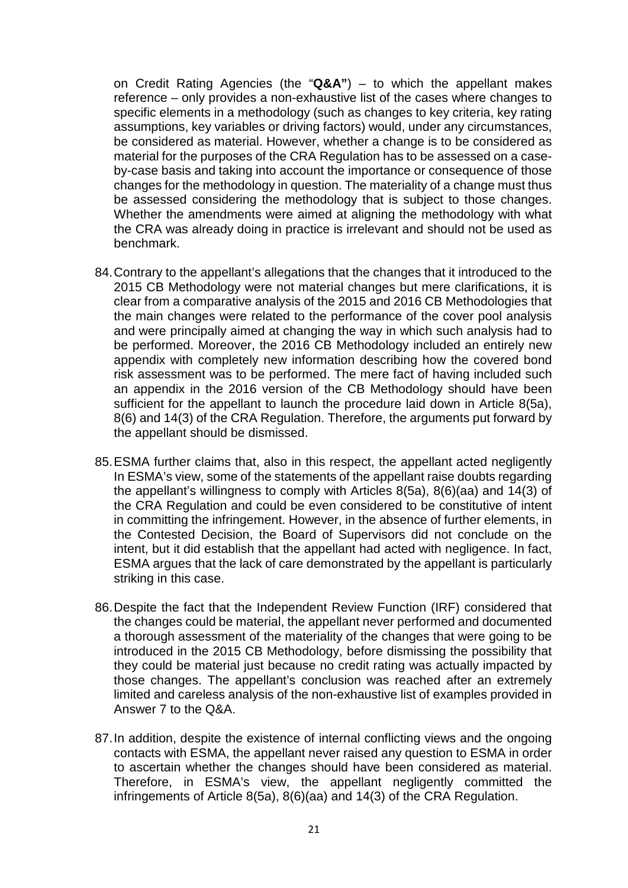on Credit Rating Agencies (the "**Q&A"**) – to which the appellant makes reference – only provides a non-exhaustive list of the cases where changes to specific elements in a methodology (such as changes to key criteria, key rating assumptions, key variables or driving factors) would, under any circumstances, be considered as material. However, whether a change is to be considered as material for the purposes of the CRA Regulation has to be assessed on a caseby-case basis and taking into account the importance or consequence of those changes for the methodology in question. The materiality of a change must thus be assessed considering the methodology that is subject to those changes. Whether the amendments were aimed at aligning the methodology with what the CRA was already doing in practice is irrelevant and should not be used as benchmark.

- 84.Contrary to the appellant's allegations that the changes that it introduced to the 2015 CB Methodology were not material changes but mere clarifications, it is clear from a comparative analysis of the 2015 and 2016 CB Methodologies that the main changes were related to the performance of the cover pool analysis and were principally aimed at changing the way in which such analysis had to be performed. Moreover, the 2016 CB Methodology included an entirely new appendix with completely new information describing how the covered bond risk assessment was to be performed. The mere fact of having included such an appendix in the 2016 version of the CB Methodology should have been sufficient for the appellant to launch the procedure laid down in Article 8(5a), 8(6) and 14(3) of the CRA Regulation. Therefore, the arguments put forward by the appellant should be dismissed.
- 85.ESMA further claims that, also in this respect, the appellant acted negligently In ESMA's view, some of the statements of the appellant raise doubts regarding the appellant's willingness to comply with Articles 8(5a), 8(6)(aa) and 14(3) of the CRA Regulation and could be even considered to be constitutive of intent in committing the infringement. However, in the absence of further elements, in the Contested Decision, the Board of Supervisors did not conclude on the intent, but it did establish that the appellant had acted with negligence. In fact, ESMA argues that the lack of care demonstrated by the appellant is particularly striking in this case.
- 86.Despite the fact that the Independent Review Function (IRF) considered that the changes could be material, the appellant never performed and documented a thorough assessment of the materiality of the changes that were going to be introduced in the 2015 CB Methodology, before dismissing the possibility that they could be material just because no credit rating was actually impacted by those changes. The appellant's conclusion was reached after an extremely limited and careless analysis of the non-exhaustive list of examples provided in Answer 7 to the Q&A.
- 87.In addition, despite the existence of internal conflicting views and the ongoing contacts with ESMA, the appellant never raised any question to ESMA in order to ascertain whether the changes should have been considered as material. Therefore, in ESMA's view, the appellant negligently committed the infringements of Article 8(5a), 8(6)(aa) and 14(3) of the CRA Regulation.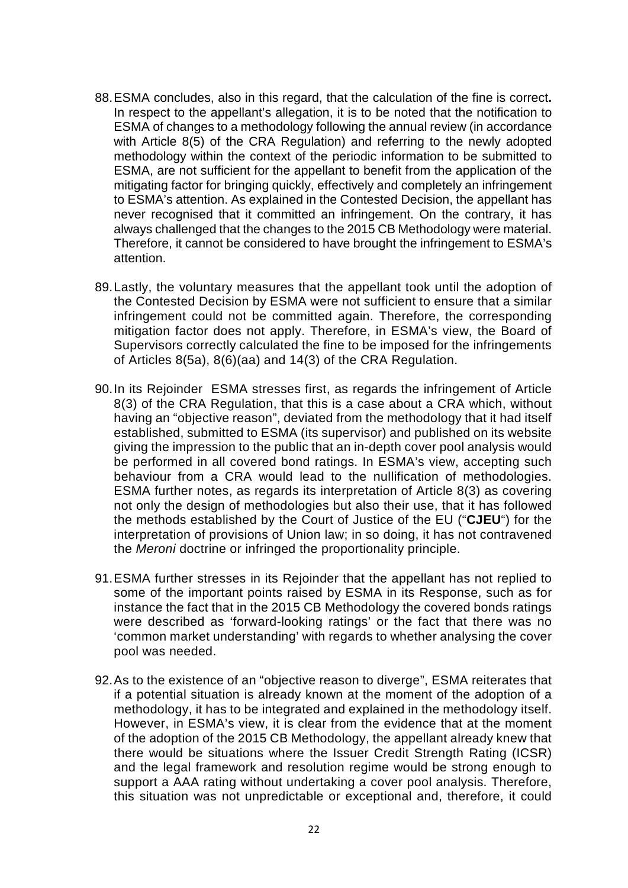- 88.ESMA concludes, also in this regard, that the calculation of the fine is correct**.**  In respect to the appellant's allegation, it is to be noted that the notification to ESMA of changes to a methodology following the annual review (in accordance with Article 8(5) of the CRA Regulation) and referring to the newly adopted methodology within the context of the periodic information to be submitted to ESMA, are not sufficient for the appellant to benefit from the application of the mitigating factor for bringing quickly, effectively and completely an infringement to ESMA's attention. As explained in the Contested Decision, the appellant has never recognised that it committed an infringement. On the contrary, it has always challenged that the changes to the 2015 CB Methodology were material. Therefore, it cannot be considered to have brought the infringement to ESMA's attention.
- 89.Lastly, the voluntary measures that the appellant took until the adoption of the Contested Decision by ESMA were not sufficient to ensure that a similar infringement could not be committed again. Therefore, the corresponding mitigation factor does not apply. Therefore, in ESMA's view, the Board of Supervisors correctly calculated the fine to be imposed for the infringements of Articles 8(5a), 8(6)(aa) and 14(3) of the CRA Regulation.
- 90.In its Rejoinder ESMA stresses first, as regards the infringement of Article 8(3) of the CRA Regulation, that this is a case about a CRA which, without having an "objective reason", deviated from the methodology that it had itself established, submitted to ESMA (its supervisor) and published on its website giving the impression to the public that an in-depth cover pool analysis would be performed in all covered bond ratings. In ESMA's view, accepting such behaviour from a CRA would lead to the nullification of methodologies. ESMA further notes, as regards its interpretation of Article 8(3) as covering not only the design of methodologies but also their use, that it has followed the methods established by the Court of Justice of the EU ("**CJEU**") for the interpretation of provisions of Union law; in so doing, it has not contravened the *Meroni* doctrine or infringed the proportionality principle.
- 91.ESMA further stresses in its Rejoinder that the appellant has not replied to some of the important points raised by ESMA in its Response, such as for instance the fact that in the 2015 CB Methodology the covered bonds ratings were described as 'forward-looking ratings' or the fact that there was no 'common market understanding' with regards to whether analysing the cover pool was needed.
- 92.As to the existence of an "objective reason to diverge", ESMA reiterates that if a potential situation is already known at the moment of the adoption of a methodology, it has to be integrated and explained in the methodology itself. However, in ESMA's view, it is clear from the evidence that at the moment of the adoption of the 2015 CB Methodology, the appellant already knew that there would be situations where the Issuer Credit Strength Rating (ICSR) and the legal framework and resolution regime would be strong enough to support a AAA rating without undertaking a cover pool analysis. Therefore, this situation was not unpredictable or exceptional and, therefore, it could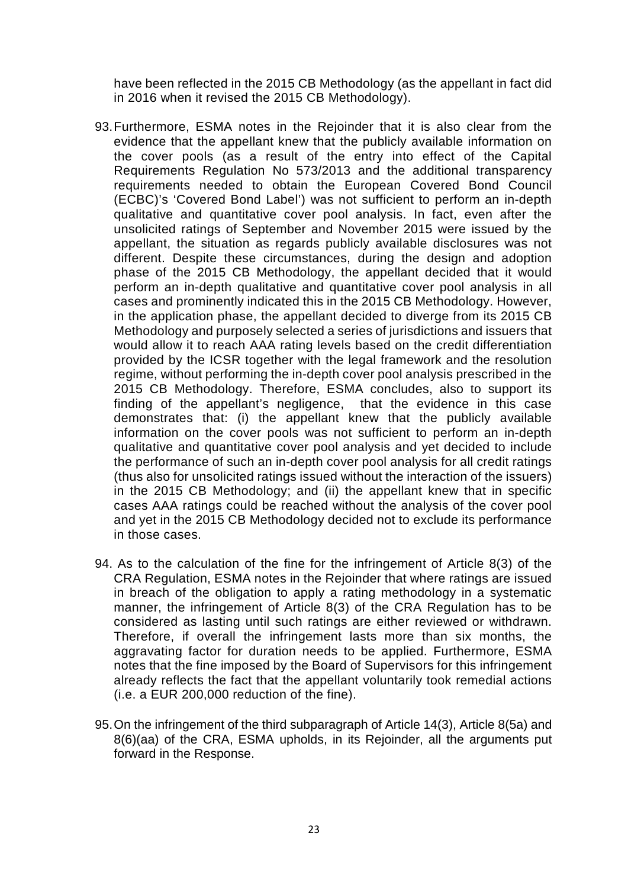have been reflected in the 2015 CB Methodology (as the appellant in fact did in 2016 when it revised the 2015 CB Methodology).

- 93.Furthermore, ESMA notes in the Rejoinder that it is also clear from the evidence that the appellant knew that the publicly available information on the cover pools (as a result of the entry into effect of the Capital Requirements Regulation No 573/2013 and the additional transparency requirements needed to obtain the European Covered Bond Council (ECBC)'s 'Covered Bond Label') was not sufficient to perform an in-depth qualitative and quantitative cover pool analysis. In fact, even after the unsolicited ratings of September and November 2015 were issued by the appellant, the situation as regards publicly available disclosures was not different. Despite these circumstances, during the design and adoption phase of the 2015 CB Methodology, the appellant decided that it would perform an in-depth qualitative and quantitative cover pool analysis in all cases and prominently indicated this in the 2015 CB Methodology. However, in the application phase, the appellant decided to diverge from its 2015 CB Methodology and purposely selected a series of jurisdictions and issuers that would allow it to reach AAA rating levels based on the credit differentiation provided by the ICSR together with the legal framework and the resolution regime, without performing the in-depth cover pool analysis prescribed in the 2015 CB Methodology. Therefore, ESMA concludes, also to support its finding of the appellant's negligence, that the evidence in this case demonstrates that: (i) the appellant knew that the publicly available information on the cover pools was not sufficient to perform an in-depth qualitative and quantitative cover pool analysis and yet decided to include the performance of such an in-depth cover pool analysis for all credit ratings (thus also for unsolicited ratings issued without the interaction of the issuers) in the 2015 CB Methodology; and (ii) the appellant knew that in specific cases AAA ratings could be reached without the analysis of the cover pool and yet in the 2015 CB Methodology decided not to exclude its performance in those cases.
- 94. As to the calculation of the fine for the infringement of Article 8(3) of the CRA Regulation, ESMA notes in the Rejoinder that where ratings are issued in breach of the obligation to apply a rating methodology in a systematic manner, the infringement of Article 8(3) of the CRA Regulation has to be considered as lasting until such ratings are either reviewed or withdrawn. Therefore, if overall the infringement lasts more than six months, the aggravating factor for duration needs to be applied. Furthermore, ESMA notes that the fine imposed by the Board of Supervisors for this infringement already reflects the fact that the appellant voluntarily took remedial actions (i.e. a EUR 200,000 reduction of the fine).
- 95.On the infringement of the third subparagraph of Article 14(3), Article 8(5a) and 8(6)(aa) of the CRA, ESMA upholds, in its Rejoinder, all the arguments put forward in the Response.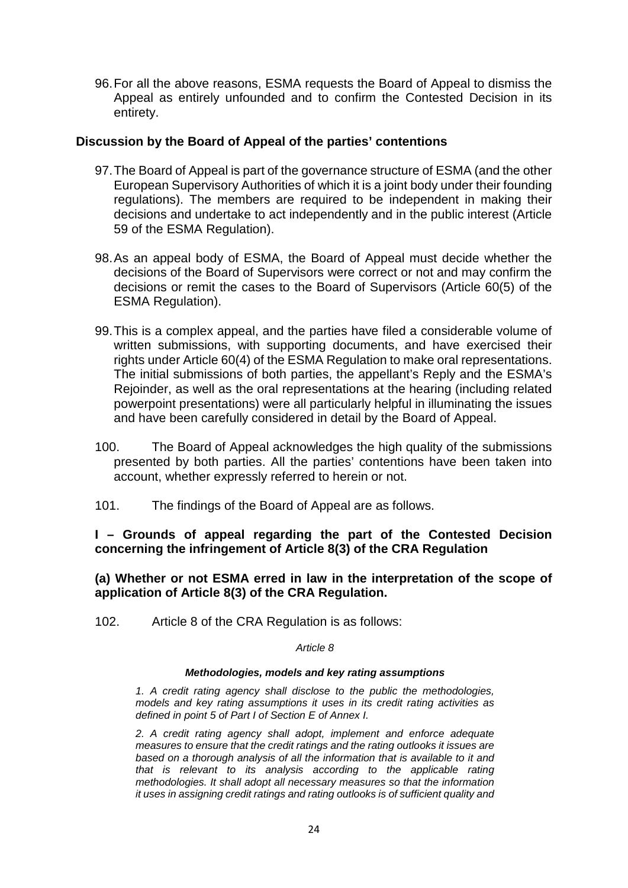96.For all the above reasons, ESMA requests the Board of Appeal to dismiss the Appeal as entirely unfounded and to confirm the Contested Decision in its entirety.

## **Discussion by the Board of Appeal of the parties' contentions**

- 97.The Board of Appeal is part of the governance structure of ESMA (and the other European Supervisory Authorities of which it is a joint body under their founding regulations). The members are required to be independent in making their decisions and undertake to act independently and in the public interest (Article 59 of the ESMA Regulation).
- 98.As an appeal body of ESMA, the Board of Appeal must decide whether the decisions of the Board of Supervisors were correct or not and may confirm the decisions or remit the cases to the Board of Supervisors (Article 60(5) of the ESMA Regulation).
- 99.This is a complex appeal, and the parties have filed a considerable volume of written submissions, with supporting documents, and have exercised their rights under Article 60(4) of the ESMA Regulation to make oral representations. The initial submissions of both parties, the appellant's Reply and the ESMA's Rejoinder, as well as the oral representations at the hearing (including related powerpoint presentations) were all particularly helpful in illuminating the issues and have been carefully considered in detail by the Board of Appeal.
- 100. The Board of Appeal acknowledges the high quality of the submissions presented by both parties. All the parties' contentions have been taken into account, whether expressly referred to herein or not.
- 101. The findings of the Board of Appeal are as follows.

### **I – Grounds of appeal regarding the part of the Contested Decision concerning the infringement of Article 8(3) of the CRA Regulation**

### **(a) Whether or not ESMA erred in law in the interpretation of the scope of application of Article 8(3) of the CRA Regulation.**

102. Article 8 of the CRA Regulation is as follows:

#### *Article 8*

#### *Methodologies, models and key rating assumptions*

*1. A credit rating agency shall disclose to the public the methodologies, models and key rating assumptions it uses in its credit rating activities as defined in point 5 of Part I of Section E of Annex I.* 

*2. A credit rating agency shall adopt, implement and enforce adequate measures to ensure that the credit ratings and the rating outlooks it issues are based on a thorough analysis of all the information that is available to it and that is relevant to its analysis according to the applicable rating methodologies. It shall adopt all necessary measures so that the information it uses in assigning credit ratings and rating outlooks is of sufficient quality and*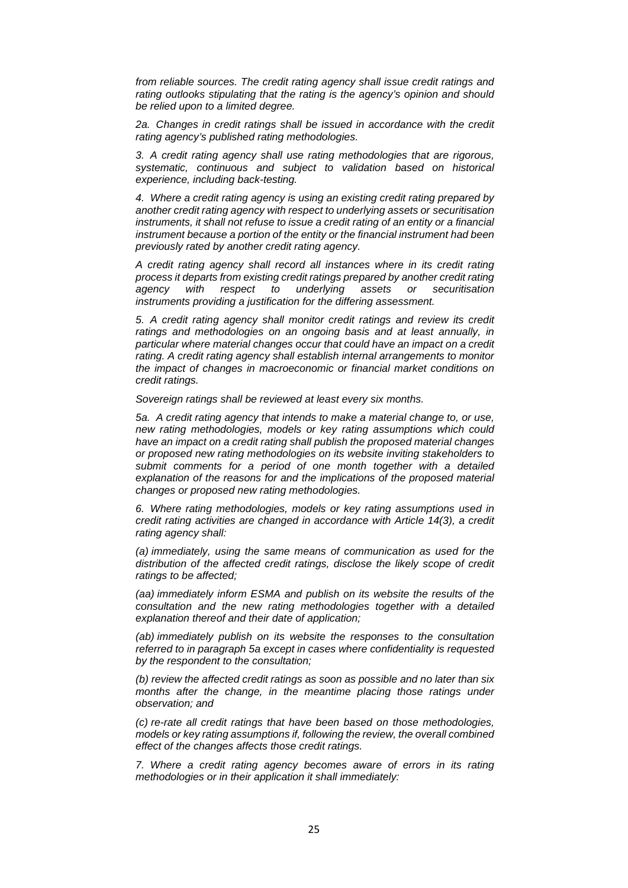*from reliable sources. The credit rating agency shall issue credit ratings and rating outlooks stipulating that the rating is the agency's opinion and should be relied upon to a limited degree.*

2a. Changes in credit ratings shall be issued in accordance with the credit *rating agency's published rating methodologies.*

*3. A credit rating agency shall use rating methodologies that are rigorous, systematic, continuous and subject to validation based on historical experience, including back-testing.*

*4. Where a credit rating agency is using an existing credit rating prepared by another credit rating agency with respect to underlying assets or securitisation instruments, it shall not refuse to issue a credit rating of an entity or a financial instrument because a portion of the entity or the financial instrument had been previously rated by another credit rating agency.*

*A credit rating agency shall record all instances where in its credit rating process it departs from existing credit ratings prepared by another credit rating agency with respect to underlying assets or securitisation instruments providing a justification for the differing assessment.*

*5. A credit rating agency shall monitor credit ratings and review its credit ratings and methodologies on an ongoing basis and at least annually, in particular where material changes occur that could have an impact on a credit rating. A credit rating agency shall establish internal arrangements to monitor the impact of changes in macroeconomic or financial market conditions on credit ratings.*

*Sovereign ratings shall be reviewed at least every six months.*

*5a. A credit rating agency that intends to make a material change to, or use, new rating methodologies, models or key rating assumptions which could have an impact on a credit rating shall publish the proposed material changes or proposed new rating methodologies on its website inviting stakeholders to submit comments for a period of one month together with a detailed explanation of the reasons for and the implications of the proposed material changes or proposed new rating methodologies.*

*6. Where rating methodologies, models or key rating assumptions used in credit rating activities are changed in accordance with Article 14(3), a credit rating agency shall:*

*(a) immediately, using the same means of communication as used for the distribution of the affected credit ratings, disclose the likely scope of credit ratings to be affected;*

*(aa) immediately inform ESMA and publish on its website the results of the consultation and the new rating methodologies together with a detailed explanation thereof and their date of application;*

*(ab) immediately publish on its website the responses to the consultation referred to in paragraph 5a except in cases where confidentiality is requested by the respondent to the consultation;*

*(b) review the affected credit ratings as soon as possible and no later than six months after the change, in the meantime placing those ratings under observation; and*

*(c) re-rate all credit ratings that have been based on those methodologies, models or key rating assumptions if, following the review, the overall combined effect of the changes affects those credit ratings.*

*7. Where a credit rating agency becomes aware of errors in its rating methodologies or in their application it shall immediately:*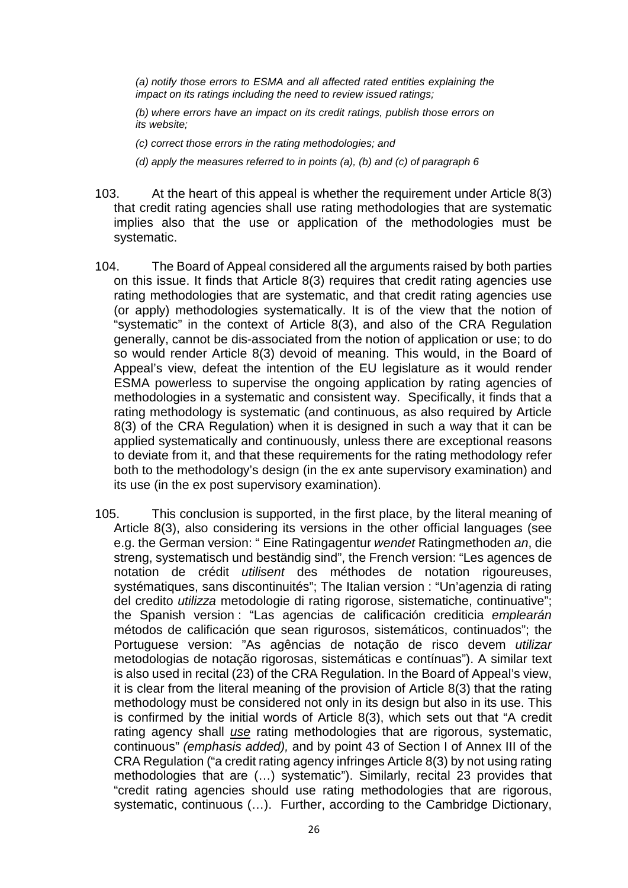*(a) notify those errors to ESMA and all affected rated entities explaining the impact on its ratings including the need to review issued ratings;*

*(b) where errors have an impact on its credit ratings, publish those errors on its website;*

*(c) correct those errors in the rating methodologies; and*

*(d) apply the measures referred to in points (a), (b) and (c) of paragraph 6*

- 103. At the heart of this appeal is whether the requirement under Article 8(3) that credit rating agencies shall use rating methodologies that are systematic implies also that the use or application of the methodologies must be systematic.
- 104. The Board of Appeal considered all the arguments raised by both parties on this issue. It finds that Article 8(3) requires that credit rating agencies use rating methodologies that are systematic, and that credit rating agencies use (or apply) methodologies systematically. It is of the view that the notion of "systematic" in the context of Article 8(3), and also of the CRA Regulation generally, cannot be dis-associated from the notion of application or use; to do so would render Article 8(3) devoid of meaning. This would, in the Board of Appeal's view, defeat the intention of the EU legislature as it would render ESMA powerless to supervise the ongoing application by rating agencies of methodologies in a systematic and consistent way. Specifically, it finds that a rating methodology is systematic (and continuous, as also required by Article 8(3) of the CRA Regulation) when it is designed in such a way that it can be applied systematically and continuously, unless there are exceptional reasons to deviate from it, and that these requirements for the rating methodology refer both to the methodology's design (in the ex ante supervisory examination) and its use (in the ex post supervisory examination).
- 105. This conclusion is supported, in the first place, by the literal meaning of Article 8(3), also considering its versions in the other official languages (see e.g. the German version: " Eine Ratingagentur *wendet* Ratingmethoden *an*, die streng, systematisch und beständig sind", the French version: "Les agences de notation de crédit *utilisent* des méthodes de notation rigoureuses, systématiques, sans discontinuités"; The Italian version : "Un'agenzia di rating del credito *utilizza* metodologie di rating rigorose, sistematiche, continuative"; the Spanish version : "Las agencias de calificación crediticia *emplearán*  métodos de calificación que sean rigurosos, sistemáticos, continuados"; the Portuguese version: "As agências de notação de risco devem *utilizar* metodologias de notação rigorosas, sistemáticas e contínuas"). A similar text is also used in recital (23) of the CRA Regulation. In the Board of Appeal's view, it is clear from the literal meaning of the provision of Article 8(3) that the rating methodology must be considered not only in its design but also in its use. This is confirmed by the initial words of Article 8(3), which sets out that "A credit rating agency shall *use* rating methodologies that are rigorous, systematic, continuous" *(emphasis added),* and by point 43 of Section I of Annex III of the CRA Regulation ("a credit rating agency infringes Article 8(3) by not using rating methodologies that are (…) systematic"). Similarly, recital 23 provides that "credit rating agencies should use rating methodologies that are rigorous, systematic, continuous (...). Further, according to the Cambridge Dictionary,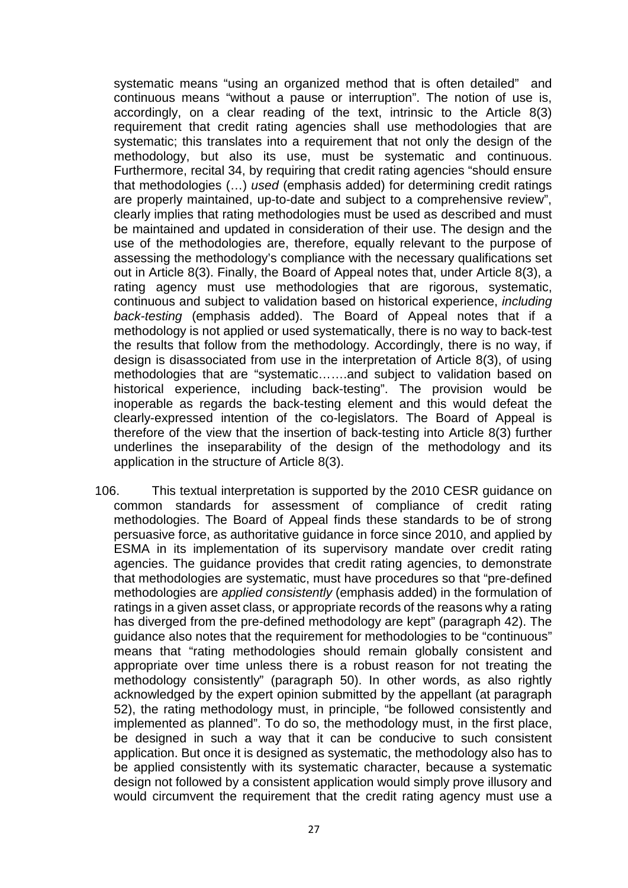systematic means "using an [organized](https://dictionary.cambridge.org/dictionary/english/organized) [method](https://dictionary.cambridge.org/dictionary/english/method) that is often [detailed"](https://dictionary.cambridge.org/dictionary/english/detail) and continuous means "without a [pause](https://dictionary.cambridge.org/dictionary/english/pause) or [interruption"](https://dictionary.cambridge.org/dictionary/english/interruption). The notion of use is, accordingly, on a clear reading of the text, intrinsic to the Article 8(3) requirement that credit rating agencies shall use methodologies that are systematic; this translates into a requirement that not only the design of the methodology, but also its use, must be systematic and continuous. Furthermore, recital 34, by requiring that credit rating agencies "should ensure that methodologies (…) *used* (emphasis added) for determining credit ratings are properly maintained, up-to-date and subject to a comprehensive review", clearly implies that rating methodologies must be used as described and must be maintained and updated in consideration of their use. The design and the use of the methodologies are, therefore, equally relevant to the purpose of assessing the methodology's compliance with the necessary qualifications set out in Article 8(3). Finally, the Board of Appeal notes that, under Article 8(3), a rating agency must use methodologies that are rigorous, systematic, continuous and subject to validation based on historical experience, *including back-testing* (emphasis added). The Board of Appeal notes that if a methodology is not applied or used systematically, there is no way to back-test the results that follow from the methodology. Accordingly, there is no way, if design is disassociated from use in the interpretation of Article 8(3), of using methodologies that are "systematic…….and subject to validation based on historical experience, including back-testing". The provision would be inoperable as regards the back-testing element and this would defeat the clearly-expressed intention of the co-legislators. The Board of Appeal is therefore of the view that the insertion of back-testing into Article 8(3) further underlines the inseparability of the design of the methodology and its application in the structure of Article 8(3).

106. This textual interpretation is supported by the 2010 CESR guidance on common standards for assessment of compliance of credit rating methodologies. The Board of Appeal finds these standards to be of strong persuasive force, as authoritative guidance in force since 2010, and applied by ESMA in its implementation of its supervisory mandate over credit rating agencies. The guidance provides that credit rating agencies, to demonstrate that methodologies are systematic, must have procedures so that "pre-defined methodologies are *applied consistently* (emphasis added) in the formulation of ratings in a given asset class, or appropriate records of the reasons why a rating has diverged from the pre-defined methodology are kept" (paragraph 42). The guidance also notes that the requirement for methodologies to be "continuous" means that "rating methodologies should remain globally consistent and appropriate over time unless there is a robust reason for not treating the methodology consistently" (paragraph 50). In other words, as also rightly acknowledged by the expert opinion submitted by the appellant (at paragraph 52), the rating methodology must, in principle, "be followed consistently and implemented as planned". To do so, the methodology must, in the first place, be designed in such a way that it can be conducive to such consistent application. But once it is designed as systematic, the methodology also has to be applied consistently with its systematic character, because a systematic design not followed by a consistent application would simply prove illusory and would circumvent the requirement that the credit rating agency must use a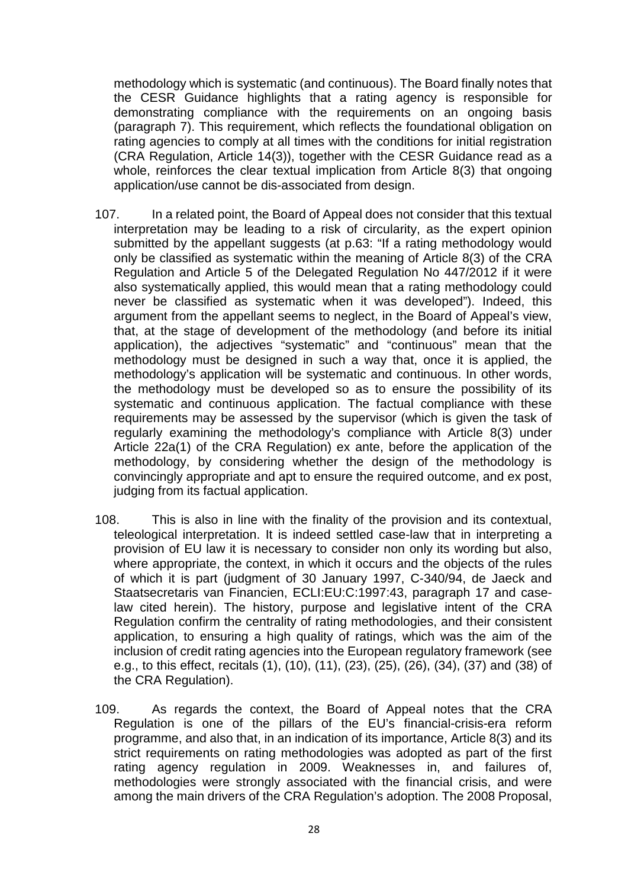methodology which is systematic (and continuous). The Board finally notes that the CESR Guidance highlights that a rating agency is responsible for demonstrating compliance with the requirements on an ongoing basis (paragraph 7). This requirement, which reflects the foundational obligation on rating agencies to comply at all times with the conditions for initial registration (CRA Regulation, Article 14(3)), together with the CESR Guidance read as a whole, reinforces the clear textual implication from Article 8(3) that ongoing application/use cannot be dis-associated from design.

- 107. In a related point, the Board of Appeal does not consider that this textual interpretation may be leading to a risk of circularity, as the expert opinion submitted by the appellant suggests (at p.63: "If a rating methodology would only be classified as systematic within the meaning of Article 8(3) of the CRA Regulation and Article 5 of the Delegated Regulation No 447/2012 if it were also systematically applied, this would mean that a rating methodology could never be classified as systematic when it was developed"). Indeed, this argument from the appellant seems to neglect, in the Board of Appeal's view, that, at the stage of development of the methodology (and before its initial application), the adjectives "systematic" and "continuous" mean that the methodology must be designed in such a way that, once it is applied, the methodology's application will be systematic and continuous. In other words, the methodology must be developed so as to ensure the possibility of its systematic and continuous application. The factual compliance with these requirements may be assessed by the supervisor (which is given the task of regularly examining the methodology's compliance with Article 8(3) under Article 22a(1) of the CRA Regulation) ex ante, before the application of the methodology, by considering whether the design of the methodology is convincingly appropriate and apt to ensure the required outcome, and ex post, judging from its factual application.
- 108. This is also in line with the finality of the provision and its contextual, teleological interpretation. It is indeed settled case-law that in interpreting a provision of EU law it is necessary to consider non only its wording but also, where appropriate, the context, in which it occurs and the objects of the rules of which it is part (judgment of 30 January 1997, C-340/94, de Jaeck and Staatsecretaris van Financien, ECLI:EU:C:1997:43, paragraph 17 and caselaw cited herein). The history, purpose and legislative intent of the CRA Regulation confirm the centrality of rating methodologies, and their consistent application, to ensuring a high quality of ratings, which was the aim of the inclusion of credit rating agencies into the European regulatory framework (see e.g., to this effect, recitals (1), (10), (11), (23), (25), (26), (34), (37) and (38) of the CRA Regulation).
- 109. As regards the context, the Board of Appeal notes that the CRA Regulation is one of the pillars of the EU's financial-crisis-era reform programme, and also that, in an indication of its importance, Article 8(3) and its strict requirements on rating methodologies was adopted as part of the first rating agency regulation in 2009. Weaknesses in, and failures of, methodologies were strongly associated with the financial crisis, and were among the main drivers of the CRA Regulation's adoption. The 2008 Proposal,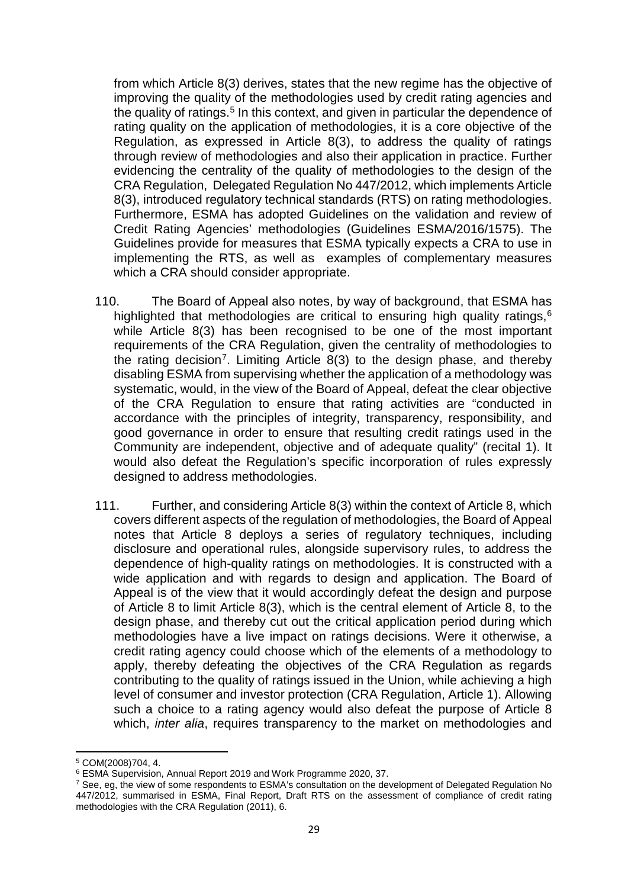from which Article 8(3) derives, states that the new regime has the objective of improving the quality of the methodologies used by credit rating agencies and the quality of ratings.<sup>[5](#page-28-0)</sup> In this context, and given in particular the dependence of rating quality on the application of methodologies, it is a core objective of the Regulation, as expressed in Article 8(3), to address the quality of ratings through review of methodologies and also their application in practice. Further evidencing the centrality of the quality of methodologies to the design of the CRA Regulation, Delegated Regulation No 447/2012, which implements Article 8(3), introduced regulatory technical standards (RTS) on rating methodologies. Furthermore, ESMA has adopted Guidelines on the validation and review of Credit Rating Agencies' methodologies (Guidelines ESMA/2016/1575). The Guidelines provide for measures that ESMA typically expects a CRA to use in implementing the RTS, as well as examples of complementary measures which a CRA should consider appropriate.

- 110. The Board of Appeal also notes, by way of background, that ESMA has highlighted that methodologies are critical to ensuring high quality ratings,<sup>[6](#page-28-1)</sup> while Article 8(3) has been recognised to be one of the most important requirements of the CRA Regulation, given the centrality of methodologies to the rating decision<sup>[7](#page-28-2)</sup>. Limiting Article  $8(3)$  to the design phase, and thereby disabling ESMA from supervising whether the application of a methodology was systematic, would, in the view of the Board of Appeal, defeat the clear objective of the CRA Regulation to ensure that rating activities are "conducted in accordance with the principles of integrity, transparency, responsibility, and good governance in order to ensure that resulting credit ratings used in the Community are independent, objective and of adequate quality" (recital 1). It would also defeat the Regulation's specific incorporation of rules expressly designed to address methodologies.
- 111. Further, and considering Article 8(3) within the context of Article 8, which covers different aspects of the regulation of methodologies, the Board of Appeal notes that Article 8 deploys a series of regulatory techniques, including disclosure and operational rules, alongside supervisory rules, to address the dependence of high-quality ratings on methodologies. It is constructed with a wide application and with regards to design and application. The Board of Appeal is of the view that it would accordingly defeat the design and purpose of Article 8 to limit Article 8(3), which is the central element of Article 8, to the design phase, and thereby cut out the critical application period during which methodologies have a live impact on ratings decisions. Were it otherwise, a credit rating agency could choose which of the elements of a methodology to apply, thereby defeating the objectives of the CRA Regulation as regards contributing to the quality of ratings issued in the Union, while achieving a high level of consumer and investor protection (CRA Regulation, Article 1). Allowing such a choice to a rating agency would also defeat the purpose of Article 8 which, *inter alia*, requires transparency to the market on methodologies and

<sup>&</sup>lt;u>.</u> <sup>5</sup> COM(2008)704, 4.

<span id="page-28-1"></span><span id="page-28-0"></span><sup>6</sup> ESMA Supervision, Annual Report 2019 and Work Programme 2020, 37.

<span id="page-28-2"></span><sup>7</sup> See, eg, the view of some respondents to ESMA's consultation on the development of Delegated Regulation No 447/2012, summarised in ESMA, Final Report, Draft RTS on the assessment of compliance of credit rating methodologies with the CRA Regulation (2011), 6.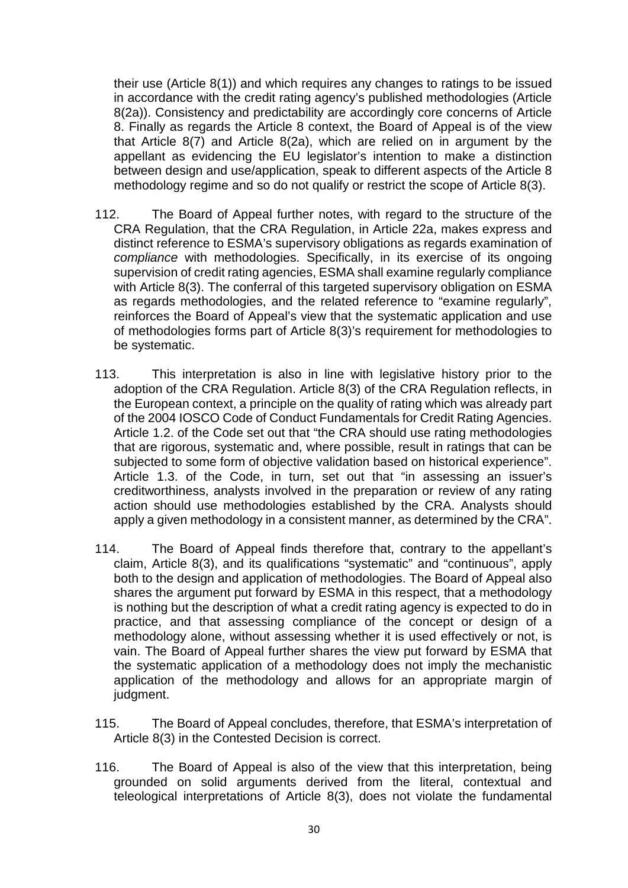their use (Article 8(1)) and which requires any changes to ratings to be issued in accordance with the credit rating agency's published methodologies (Article 8(2a)). Consistency and predictability are accordingly core concerns of Article 8. Finally as regards the Article 8 context, the Board of Appeal is of the view that Article 8(7) and Article 8(2a), which are relied on in argument by the appellant as evidencing the EU legislator's intention to make a distinction between design and use/application, speak to different aspects of the Article 8 methodology regime and so do not qualify or restrict the scope of Article 8(3).

- 112. The Board of Appeal further notes, with regard to the structure of the CRA Regulation, that the CRA Regulation, in Article 22a, makes express and distinct reference to ESMA's supervisory obligations as regards examination of *compliance* with methodologies. Specifically, in its exercise of its ongoing supervision of credit rating agencies, ESMA shall examine regularly compliance with Article 8(3). The conferral of this targeted supervisory obligation on ESMA as regards methodologies, and the related reference to "examine regularly", reinforces the Board of Appeal's view that the systematic application and use of methodologies forms part of Article 8(3)'s requirement for methodologies to be systematic.
- 113. This interpretation is also in line with legislative history prior to the adoption of the CRA Regulation. Article 8(3) of the CRA Regulation reflects, in the European context, a principle on the quality of rating which was already part of the 2004 IOSCO Code of Conduct Fundamentals for Credit Rating Agencies. Article 1.2. of the Code set out that "the CRA should use rating methodologies that are rigorous, systematic and, where possible, result in ratings that can be subjected to some form of objective validation based on historical experience". Article 1.3. of the Code, in turn, set out that "in assessing an issuer's creditworthiness, analysts involved in the preparation or review of any rating action should use methodologies established by the CRA. Analysts should apply a given methodology in a consistent manner, as determined by the CRA".
- 114. The Board of Appeal finds therefore that, contrary to the appellant's claim, Article 8(3), and its qualifications "systematic" and "continuous", apply both to the design and application of methodologies. The Board of Appeal also shares the argument put forward by ESMA in this respect, that a methodology is nothing but the description of what a credit rating agency is expected to do in practice, and that assessing compliance of the concept or design of a methodology alone, without assessing whether it is used effectively or not, is vain. The Board of Appeal further shares the view put forward by ESMA that the systematic application of a methodology does not imply the mechanistic application of the methodology and allows for an appropriate margin of judgment.
- 115. The Board of Appeal concludes, therefore, that ESMA's interpretation of Article 8(3) in the Contested Decision is correct.
- 116. The Board of Appeal is also of the view that this interpretation, being grounded on solid arguments derived from the literal, contextual and teleological interpretations of Article 8(3), does not violate the fundamental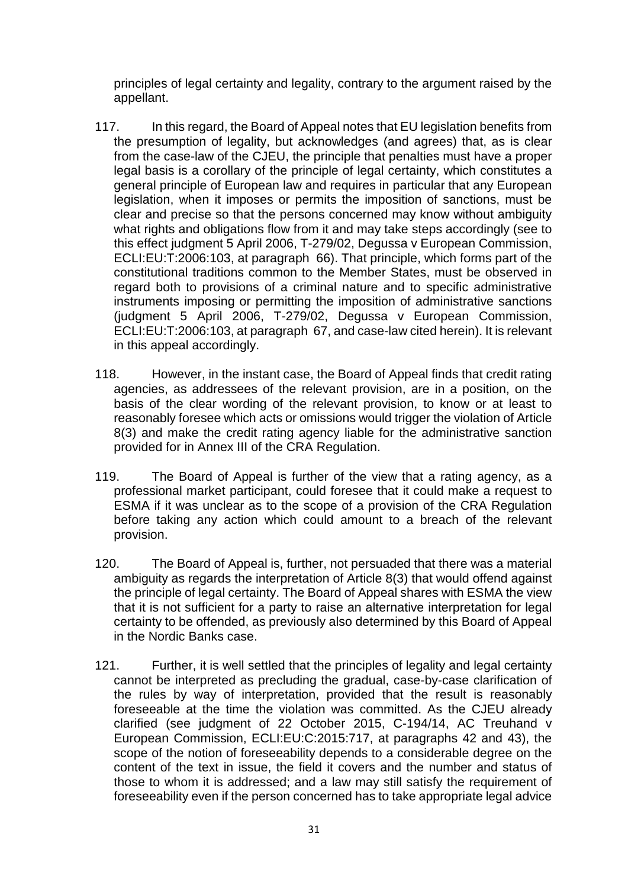principles of legal certainty and legality, contrary to the argument raised by the appellant.

- 117. In this regard, the Board of Appeal notes that EU legislation benefits from the presumption of legality, but acknowledges (and agrees) that, as is clear from the case-law of the CJEU, the principle that penalties must have a proper legal basis is a corollary of the principle of legal certainty, which constitutes a general principle of European law and requires in particular that any European legislation, when it imposes or permits the imposition of sanctions, must be clear and precise so that the persons concerned may know without ambiguity what rights and obligations flow from it and may take steps accordingly (see to this effect judgment 5 April 2006, T-279/02, Degussa v European Commission, ECLI:EU:T:2006:103, at paragraph 66). That principle, which forms part of the constitutional traditions common to the Member States, must be observed in regard both to provisions of a criminal nature and to specific administrative instruments imposing or permitting the imposition of administrative sanctions (judgment 5 April 2006, T-279/02, Degussa v European Commission, ECLI:EU:T:2006:103, at paragraph 67, and case-law cited herein). It is relevant in this appeal accordingly.
- 118. However, in the instant case, the Board of Appeal finds that credit rating agencies, as addressees of the relevant provision, are in a position, on the basis of the clear wording of the relevant provision, to know or at least to reasonably foresee which acts or omissions would trigger the violation of Article 8(3) and make the credit rating agency liable for the administrative sanction provided for in Annex III of the CRA Regulation.
- 119. The Board of Appeal is further of the view that a rating agency, as a professional market participant, could foresee that it could make a request to ESMA if it was unclear as to the scope of a provision of the CRA Regulation before taking any action which could amount to a breach of the relevant provision.
- 120. The Board of Appeal is, further, not persuaded that there was a material ambiguity as regards the interpretation of Article 8(3) that would offend against the principle of legal certainty. The Board of Appeal shares with ESMA the view that it is not sufficient for a party to raise an alternative interpretation for legal certainty to be offended, as previously also determined by this Board of Appeal in the Nordic Banks case.
- 121. Further, it is well settled that the principles of legality and legal certainty cannot be interpreted as precluding the gradual, case-by-case clarification of the rules by way of interpretation, provided that the result is reasonably foreseeable at the time the violation was committed. As the CJEU already clarified (see judgment of 22 October 2015, C-194/14, AC Treuhand v European Commission, ECLI:EU:C:2015:717, at paragraphs 42 and 43), the scope of the notion of foreseeability depends to a considerable degree on the content of the text in issue, the field it covers and the number and status of those to whom it is addressed; and a law may still satisfy the requirement of foreseeability even if the person concerned has to take appropriate legal advice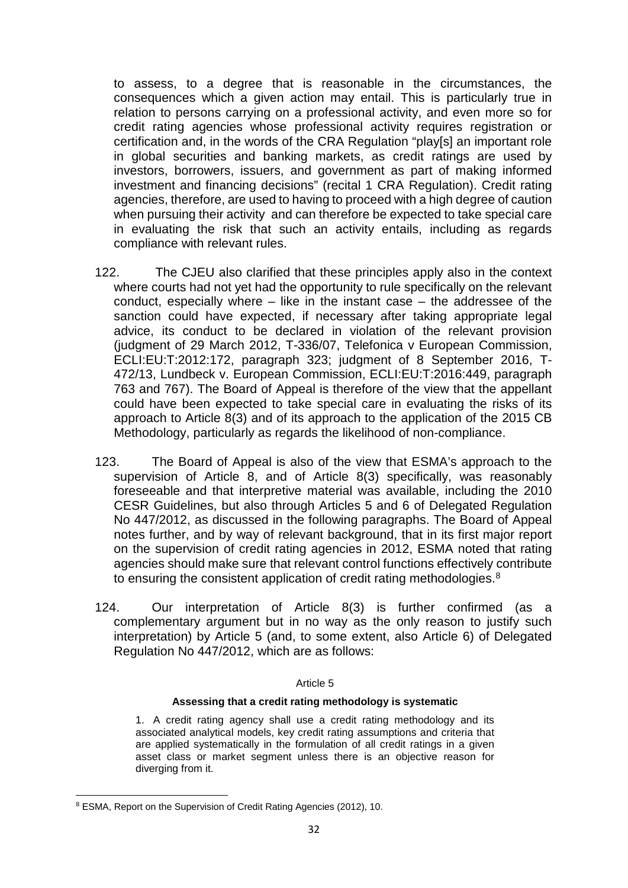to assess, to a degree that is reasonable in the circumstances, the consequences which a given action may entail. This is particularly true in relation to persons carrying on a professional activity, and even more so for credit rating agencies whose professional activity requires registration or certification and, in the words of the CRA Regulation "play[s] an important role in global securities and banking markets, as credit ratings are used by investors, borrowers, issuers, and government as part of making informed investment and financing decisions" (recital 1 CRA Regulation). Credit rating agencies, therefore, are used to having to proceed with a high degree of caution when pursuing their activity and can therefore be expected to take special care in evaluating the risk that such an activity entails, including as regards compliance with relevant rules.

- 122. The CJEU also clarified that these principles apply also in the context where courts had not yet had the opportunity to rule specifically on the relevant conduct, especially where  $-$  like in the instant case  $-$  the addressee of the sanction could have expected, if necessary after taking appropriate legal advice, its conduct to be declared in violation of the relevant provision (judgment of 29 March 2012, T-336/07, Telefonica v European Commission, ECLI:EU:T:2012:172, paragraph 323; judgment of 8 September 2016, T-472/13, Lundbeck v. European Commission, ECLI:EU:T:2016:449, paragraph 763 and 767). The Board of Appeal is therefore of the view that the appellant could have been expected to take special care in evaluating the risks of its approach to Article 8(3) and of its approach to the application of the 2015 CB Methodology, particularly as regards the likelihood of non-compliance.
- 123. The Board of Appeal is also of the view that ESMA's approach to the supervision of Article 8, and of Article 8(3) specifically, was reasonably foreseeable and that interpretive material was available, including the 2010 CESR Guidelines, but also through Articles 5 and 6 of Delegated Regulation No 447/2012, as discussed in the following paragraphs. The Board of Appeal notes further, and by way of relevant background, that in its first major report on the supervision of credit rating agencies in 2012, ESMA noted that rating agencies should make sure that relevant control functions effectively contribute to ensuring the consistent application of credit rating methodologies.<sup>[8](#page-31-0)</sup>
- 124. Our interpretation of Article 8(3) is further confirmed (as a complementary argument but in no way as the only reason to justify such interpretation) by Article 5 (and, to some extent, also Article 6) of Delegated Regulation No 447/2012, which are as follows:

#### Article 5

### **Assessing that a credit rating methodology is systematic**

1. A credit rating agency shall use a credit rating methodology and its associated analytical models, key credit rating assumptions and criteria that are applied systematically in the formulation of all credit ratings in a given asset class or market segment unless there is an objective reason for diverging from it.

<span id="page-31-0"></span> $\overline{a}$ <sup>8</sup> ESMA, Report on the Supervision of Credit Rating Agencies (2012), 10.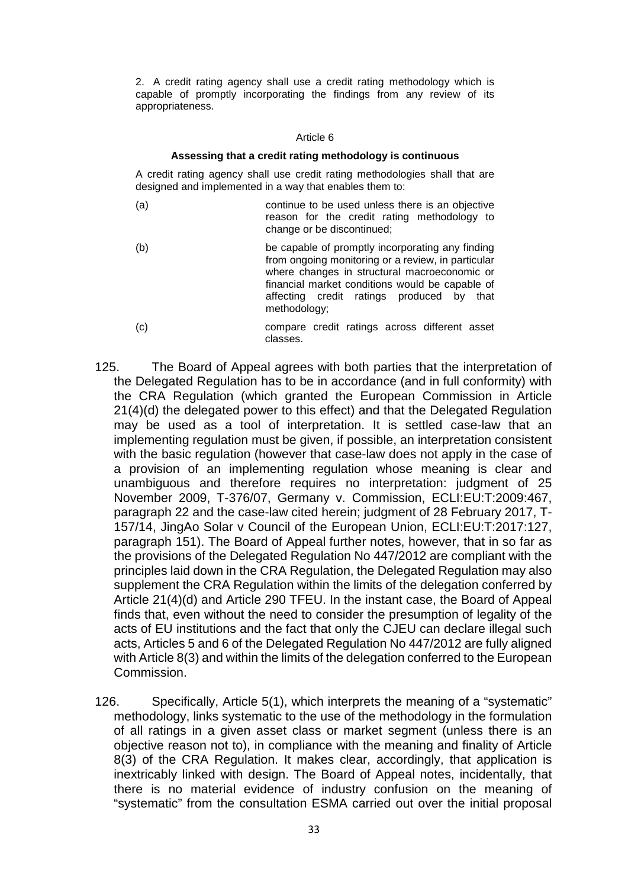2. A credit rating agency shall use a credit rating methodology which is capable of promptly incorporating the findings from any review of its appropriateness.

#### Article 6

#### **Assessing that a credit rating methodology is continuous**

A credit rating agency shall use credit rating methodologies shall that are designed and implemented in a way that enables them to:

- (a) continue to be used unless there is an objective reason for the credit rating methodology to change or be discontinued;
- (b) be capable of promptly incorporating any finding from ongoing monitoring or a review, in particular where changes in structural macroeconomic or financial market conditions would be capable of affecting credit ratings produced by that methodology;
- (c) compare credit ratings across different asset classes.
- 125. The Board of Appeal agrees with both parties that the interpretation of the Delegated Regulation has to be in accordance (and in full conformity) with the CRA Regulation (which granted the European Commission in Article 21(4)(d) the delegated power to this effect) and that the Delegated Regulation may be used as a tool of interpretation. It is settled case-law that an implementing regulation must be given, if possible, an interpretation consistent with the basic regulation (however that case-law does not apply in the case of a provision of an implementing regulation whose meaning is clear and unambiguous and therefore requires no interpretation: judgment of 25 November 2009, T-376/07, Germany v. Commission, ECLI:EU:T:2009:467, paragraph 22 and the case-law cited herein; judgment of 28 February 2017, T-157/14, JingAo Solar v Council of the European Union, ECLI:EU:T:2017:127, paragraph 151). The Board of Appeal further notes, however, that in so far as the provisions of the Delegated Regulation No 447/2012 are compliant with the principles laid down in the CRA Regulation, the Delegated Regulation may also supplement the CRA Regulation within the limits of the delegation conferred by Article 21(4)(d) and Article 290 TFEU. In the instant case, the Board of Appeal finds that, even without the need to consider the presumption of legality of the acts of EU institutions and the fact that only the CJEU can declare illegal such acts, Articles 5 and 6 of the Delegated Regulation No 447/2012 are fully aligned with Article 8(3) and within the limits of the delegation conferred to the European Commission.
- 126. Specifically, Article 5(1), which interprets the meaning of a "systematic" methodology, links systematic to the use of the methodology in the formulation of all ratings in a given asset class or market segment (unless there is an objective reason not to), in compliance with the meaning and finality of Article 8(3) of the CRA Regulation. It makes clear, accordingly, that application is inextricably linked with design. The Board of Appeal notes, incidentally, that there is no material evidence of industry confusion on the meaning of "systematic" from the consultation ESMA carried out over the initial proposal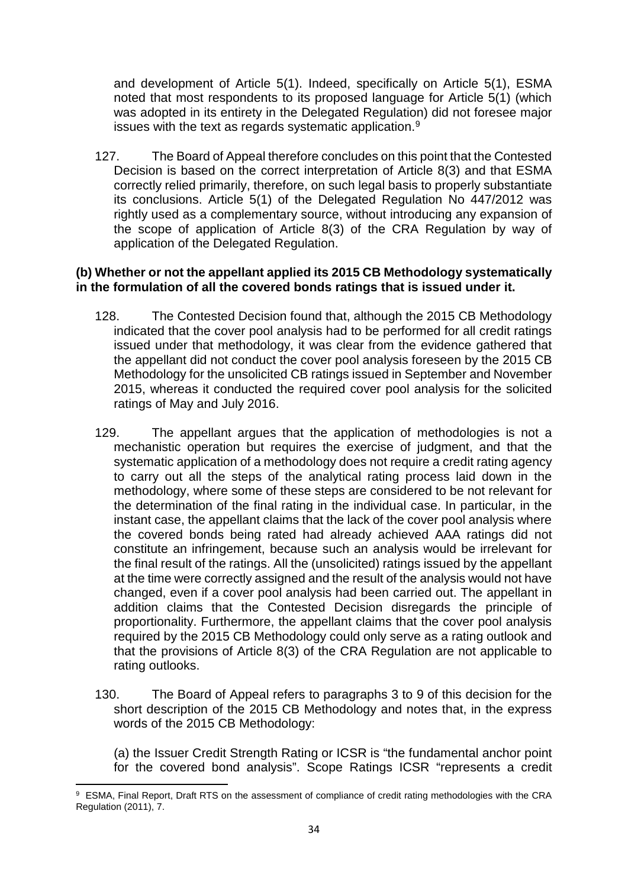and development of Article 5(1). Indeed, specifically on Article 5(1), ESMA noted that most respondents to its proposed language for Article 5(1) (which was adopted in its entirety in the Delegated Regulation) did not foresee major issues with the text as regards systematic application. [9](#page-33-0)

127. The Board of Appeal therefore concludes on this point that the Contested Decision is based on the correct interpretation of Article 8(3) and that ESMA correctly relied primarily, therefore, on such legal basis to properly substantiate its conclusions. Article 5(1) of the Delegated Regulation No 447/2012 was rightly used as a complementary source, without introducing any expansion of the scope of application of Article 8(3) of the CRA Regulation by way of application of the Delegated Regulation.

# **(b) Whether or not the appellant applied its 2015 CB Methodology systematically in the formulation of all the covered bonds ratings that is issued under it.**

- 128. The Contested Decision found that, although the 2015 CB Methodology indicated that the cover pool analysis had to be performed for all credit ratings issued under that methodology, it was clear from the evidence gathered that the appellant did not conduct the cover pool analysis foreseen by the 2015 CB Methodology for the unsolicited CB ratings issued in September and November 2015, whereas it conducted the required cover pool analysis for the solicited ratings of May and July 2016.
- 129. The appellant argues that the application of methodologies is not a mechanistic operation but requires the exercise of judgment, and that the systematic application of a methodology does not require a credit rating agency to carry out all the steps of the analytical rating process laid down in the methodology, where some of these steps are considered to be not relevant for the determination of the final rating in the individual case. In particular, in the instant case, the appellant claims that the lack of the cover pool analysis where the covered bonds being rated had already achieved AAA ratings did not constitute an infringement, because such an analysis would be irrelevant for the final result of the ratings. All the (unsolicited) ratings issued by the appellant at the time were correctly assigned and the result of the analysis would not have changed, even if a cover pool analysis had been carried out. The appellant in addition claims that the Contested Decision disregards the principle of proportionality. Furthermore, the appellant claims that the cover pool analysis required by the 2015 CB Methodology could only serve as a rating outlook and that the provisions of Article 8(3) of the CRA Regulation are not applicable to rating outlooks.
- 130. The Board of Appeal refers to paragraphs 3 to 9 of this decision for the short description of the 2015 CB Methodology and notes that, in the express words of the 2015 CB Methodology:

(a) the Issuer Credit Strength Rating or ICSR is "the fundamental anchor point for the covered bond analysis". Scope Ratings ICSR "represents a credit

<span id="page-33-0"></span> $\overline{a}$ <sup>9</sup> ESMA, Final Report, Draft RTS on the assessment of compliance of credit rating methodologies with the CRA Regulation (2011), 7.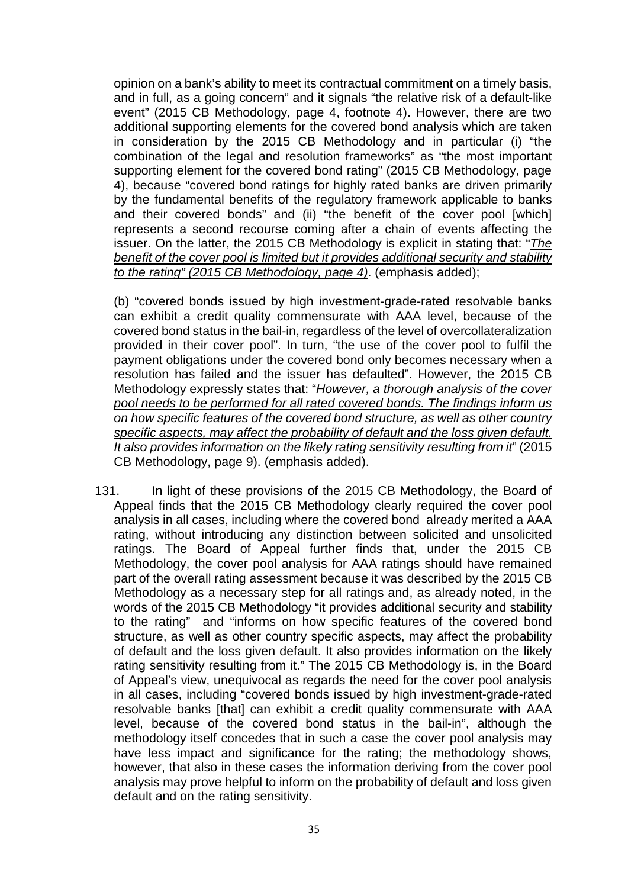opinion on a bank's ability to meet its contractual commitment on a timely basis, and in full, as a going concern" and it signals "the relative risk of a default-like event" (2015 CB Methodology, page 4, footnote 4). However, there are two additional supporting elements for the covered bond analysis which are taken in consideration by the 2015 CB Methodology and in particular (i) "the combination of the legal and resolution frameworks" as "the most important supporting element for the covered bond rating" (2015 CB Methodology, page 4), because "covered bond ratings for highly rated banks are driven primarily by the fundamental benefits of the regulatory framework applicable to banks and their covered bonds" and (ii) "the benefit of the cover pool [which] represents a second recourse coming after a chain of events affecting the issuer. On the latter, the 2015 CB Methodology is explicit in stating that: "*The benefit of the cover pool is limited but it provides additional security and stability to the rating" (2015 CB Methodology, page 4)*. (emphasis added);

(b) "covered bonds issued by high investment-grade-rated resolvable banks can exhibit a credit quality commensurate with AAA level, because of the covered bond status in the bail-in, regardless of the level of overcollateralization provided in their cover pool". In turn, "the use of the cover pool to fulfil the payment obligations under the covered bond only becomes necessary when a resolution has failed and the issuer has defaulted". However, the 2015 CB Methodology expressly states that: "*However, a thorough analysis of the cover pool needs to be performed for all rated covered bonds. The findings inform us on how specific features of the covered bond structure, as well as other country specific aspects, may affect the probability of default and the loss given default. It also provides information on the likely rating sensitivity resulting from it*" (2015 CB Methodology, page 9). (emphasis added).

131. In light of these provisions of the 2015 CB Methodology, the Board of Appeal finds that the 2015 CB Methodology clearly required the cover pool analysis in all cases, including where the covered bond already merited a AAA rating, without introducing any distinction between solicited and unsolicited ratings. The Board of Appeal further finds that, under the 2015 CB Methodology, the cover pool analysis for AAA ratings should have remained part of the overall rating assessment because it was described by the 2015 CB Methodology as a necessary step for all ratings and, as already noted, in the words of the 2015 CB Methodology "it provides additional security and stability to the rating" and "informs on how specific features of the covered bond structure, as well as other country specific aspects, may affect the probability of default and the loss given default. It also provides information on the likely rating sensitivity resulting from it." The 2015 CB Methodology is, in the Board of Appeal's view, unequivocal as regards the need for the cover pool analysis in all cases, including "covered bonds issued by high investment-grade-rated resolvable banks [that] can exhibit a credit quality commensurate with AAA level, because of the covered bond status in the bail-in", although the methodology itself concedes that in such a case the cover pool analysis may have less impact and significance for the rating; the methodology shows, however, that also in these cases the information deriving from the cover pool analysis may prove helpful to inform on the probability of default and loss given default and on the rating sensitivity.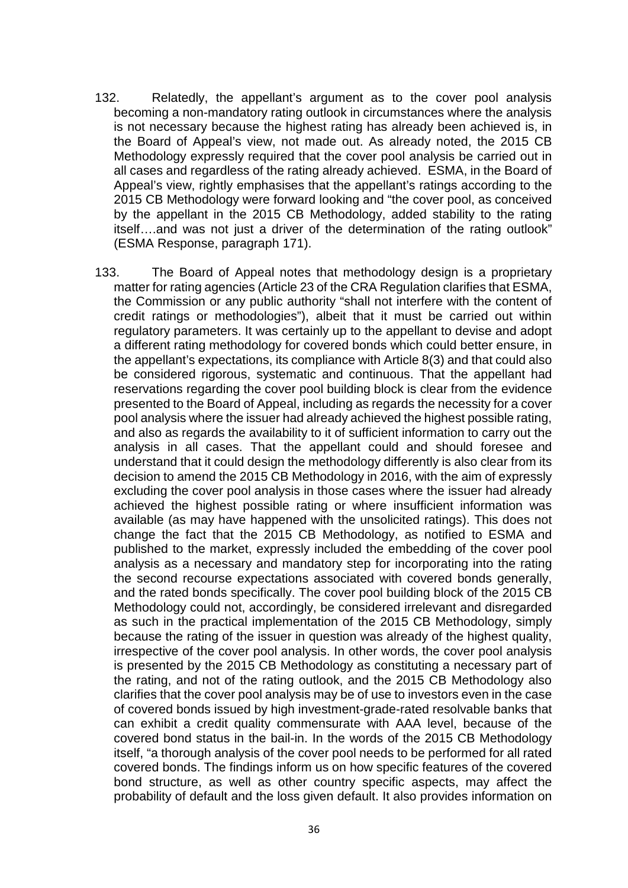- 132. Relatedly, the appellant's argument as to the cover pool analysis becoming a non-mandatory rating outlook in circumstances where the analysis is not necessary because the highest rating has already been achieved is, in the Board of Appeal's view, not made out. As already noted, the 2015 CB Methodology expressly required that the cover pool analysis be carried out in all cases and regardless of the rating already achieved. ESMA, in the Board of Appeal's view, rightly emphasises that the appellant's ratings according to the 2015 CB Methodology were forward looking and "the cover pool, as conceived by the appellant in the 2015 CB Methodology, added stability to the rating itself….and was not just a driver of the determination of the rating outlook" (ESMA Response, paragraph 171).
- 133. The Board of Appeal notes that methodology design is a proprietary matter for rating agencies (Article 23 of the CRA Regulation clarifies that ESMA, the Commission or any public authority "shall not interfere with the content of credit ratings or methodologies"), albeit that it must be carried out within regulatory parameters. It was certainly up to the appellant to devise and adopt a different rating methodology for covered bonds which could better ensure, in the appellant's expectations, its compliance with Article 8(3) and that could also be considered rigorous, systematic and continuous. That the appellant had reservations regarding the cover pool building block is clear from the evidence presented to the Board of Appeal, including as regards the necessity for a cover pool analysis where the issuer had already achieved the highest possible rating, and also as regards the availability to it of sufficient information to carry out the analysis in all cases. That the appellant could and should foresee and understand that it could design the methodology differently is also clear from its decision to amend the 2015 CB Methodology in 2016, with the aim of expressly excluding the cover pool analysis in those cases where the issuer had already achieved the highest possible rating or where insufficient information was available (as may have happened with the unsolicited ratings). This does not change the fact that the 2015 CB Methodology, as notified to ESMA and published to the market, expressly included the embedding of the cover pool analysis as a necessary and mandatory step for incorporating into the rating the second recourse expectations associated with covered bonds generally, and the rated bonds specifically. The cover pool building block of the 2015 CB Methodology could not, accordingly, be considered irrelevant and disregarded as such in the practical implementation of the 2015 CB Methodology, simply because the rating of the issuer in question was already of the highest quality, irrespective of the cover pool analysis. In other words, the cover pool analysis is presented by the 2015 CB Methodology as constituting a necessary part of the rating, and not of the rating outlook, and the 2015 CB Methodology also clarifies that the cover pool analysis may be of use to investors even in the case of covered bonds issued by high investment-grade-rated resolvable banks that can exhibit a credit quality commensurate with AAA level, because of the covered bond status in the bail-in. In the words of the 2015 CB Methodology itself, "a thorough analysis of the cover pool needs to be performed for all rated covered bonds. The findings inform us on how specific features of the covered bond structure, as well as other country specific aspects, may affect the probability of default and the loss given default. It also provides information on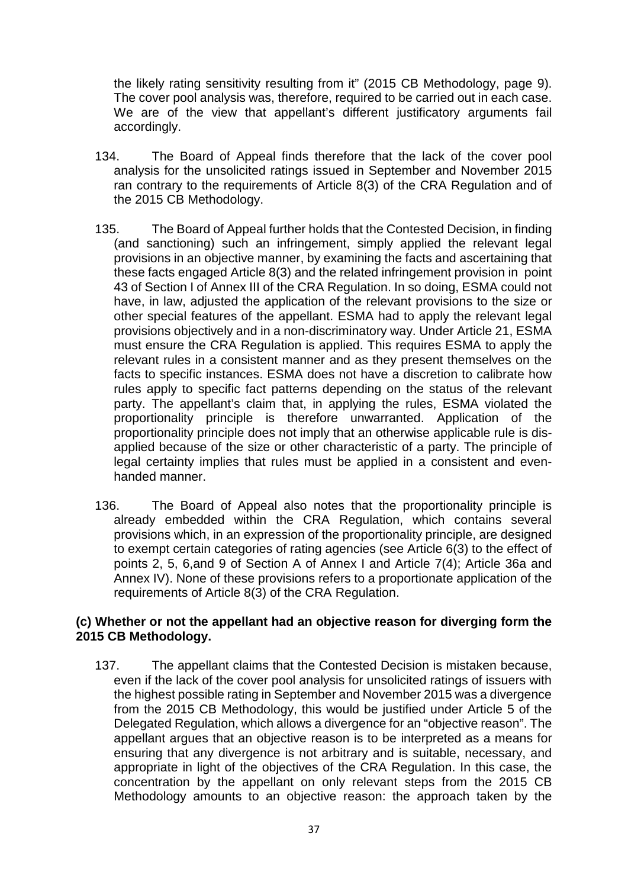the likely rating sensitivity resulting from it" (2015 CB Methodology, page 9). The cover pool analysis was, therefore, required to be carried out in each case. We are of the view that appellant's different justificatory arguments fail accordingly.

- 134. The Board of Appeal finds therefore that the lack of the cover pool analysis for the unsolicited ratings issued in September and November 2015 ran contrary to the requirements of Article 8(3) of the CRA Regulation and of the 2015 CB Methodology.
- 135. The Board of Appeal further holds that the Contested Decision, in finding (and sanctioning) such an infringement, simply applied the relevant legal provisions in an objective manner, by examining the facts and ascertaining that these facts engaged Article 8(3) and the related infringement provision in point 43 of Section I of Annex III of the CRA Regulation. In so doing, ESMA could not have, in law, adjusted the application of the relevant provisions to the size or other special features of the appellant. ESMA had to apply the relevant legal provisions objectively and in a non-discriminatory way. Under Article 21, ESMA must ensure the CRA Regulation is applied. This requires ESMA to apply the relevant rules in a consistent manner and as they present themselves on the facts to specific instances. ESMA does not have a discretion to calibrate how rules apply to specific fact patterns depending on the status of the relevant party. The appellant's claim that, in applying the rules, ESMA violated the proportionality principle is therefore unwarranted. Application of the proportionality principle does not imply that an otherwise applicable rule is disapplied because of the size or other characteristic of a party. The principle of legal certainty implies that rules must be applied in a consistent and evenhanded manner.
- 136. The Board of Appeal also notes that the proportionality principle is already embedded within the CRA Regulation, which contains several provisions which, in an expression of the proportionality principle, are designed to exempt certain categories of rating agencies (see Article 6(3) to the effect of points 2, 5, 6,and 9 of Section A of Annex I and Article 7(4); Article 36a and Annex IV). None of these provisions refers to a proportionate application of the requirements of Article 8(3) of the CRA Regulation.

# **(c) Whether or not the appellant had an objective reason for diverging form the 2015 CB Methodology.**

137. The appellant claims that the Contested Decision is mistaken because, even if the lack of the cover pool analysis for unsolicited ratings of issuers with the highest possible rating in September and November 2015 was a divergence from the 2015 CB Methodology, this would be justified under Article 5 of the Delegated Regulation, which allows a divergence for an "objective reason". The appellant argues that an objective reason is to be interpreted as a means for ensuring that any divergence is not arbitrary and is suitable, necessary, and appropriate in light of the objectives of the CRA Regulation. In this case, the concentration by the appellant on only relevant steps from the 2015 CB Methodology amounts to an objective reason: the approach taken by the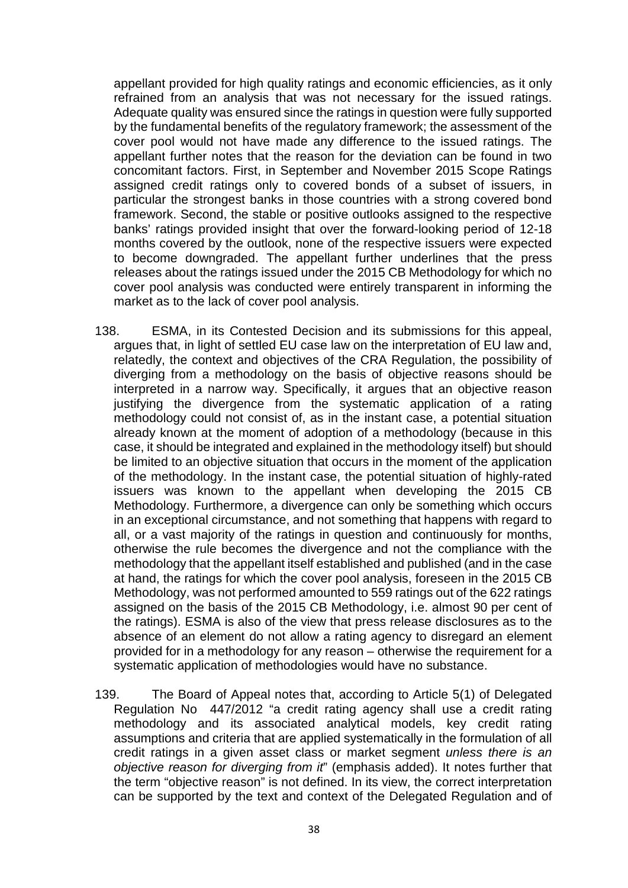appellant provided for high quality ratings and economic efficiencies, as it only refrained from an analysis that was not necessary for the issued ratings. Adequate quality was ensured since the ratings in question were fully supported by the fundamental benefits of the regulatory framework; the assessment of the cover pool would not have made any difference to the issued ratings. The appellant further notes that the reason for the deviation can be found in two concomitant factors. First, in September and November 2015 Scope Ratings assigned credit ratings only to covered bonds of a subset of issuers, in particular the strongest banks in those countries with a strong covered bond framework. Second, the stable or positive outlooks assigned to the respective banks' ratings provided insight that over the forward-looking period of 12-18 months covered by the outlook, none of the respective issuers were expected to become downgraded. The appellant further underlines that the press releases about the ratings issued under the 2015 CB Methodology for which no cover pool analysis was conducted were entirely transparent in informing the market as to the lack of cover pool analysis.

- 138. ESMA, in its Contested Decision and its submissions for this appeal, argues that, in light of settled EU case law on the interpretation of EU law and, relatedly, the context and objectives of the CRA Regulation, the possibility of diverging from a methodology on the basis of objective reasons should be interpreted in a narrow way. Specifically, it argues that an objective reason justifying the divergence from the systematic application of a rating methodology could not consist of, as in the instant case, a potential situation already known at the moment of adoption of a methodology (because in this case, it should be integrated and explained in the methodology itself) but should be limited to an objective situation that occurs in the moment of the application of the methodology. In the instant case, the potential situation of highly-rated issuers was known to the appellant when developing the 2015 CB Methodology. Furthermore, a divergence can only be something which occurs in an exceptional circumstance, and not something that happens with regard to all, or a vast majority of the ratings in question and continuously for months, otherwise the rule becomes the divergence and not the compliance with the methodology that the appellant itself established and published (and in the case at hand, the ratings for which the cover pool analysis, foreseen in the 2015 CB Methodology, was not performed amounted to 559 ratings out of the 622 ratings assigned on the basis of the 2015 CB Methodology, i.e. almost 90 per cent of the ratings). ESMA is also of the view that press release disclosures as to the absence of an element do not allow a rating agency to disregard an element provided for in a methodology for any reason – otherwise the requirement for a systematic application of methodologies would have no substance.
- 139. The Board of Appeal notes that, according to Article 5(1) of Delegated Regulation No 447/2012 "a credit rating agency shall use a credit rating methodology and its associated analytical models, key credit rating assumptions and criteria that are applied systematically in the formulation of all credit ratings in a given asset class or market segment *unless there is an objective reason for diverging from it*" (emphasis added). It notes further that the term "objective reason" is not defined. In its view, the correct interpretation can be supported by the text and context of the Delegated Regulation and of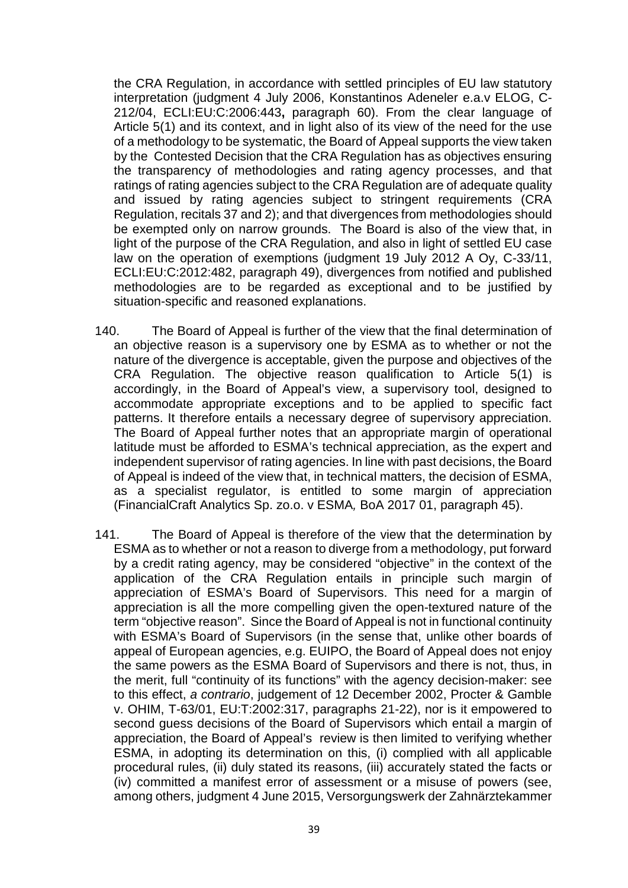the CRA Regulation, in accordance with settled principles of EU law statutory interpretation (judgment 4 July 2006, Konstantinos Adeneler e.a.v ELOG, C-212/04, ECLI:EU:C:2006:443**,** paragraph 60). From the clear language of Article 5(1) and its context, and in light also of its view of the need for the use of a methodology to be systematic, the Board of Appeal supports the view taken by the Contested Decision that the CRA Regulation has as objectives ensuring the transparency of methodologies and rating agency processes, and that ratings of rating agencies subject to the CRA Regulation are of adequate quality and issued by rating agencies subject to stringent requirements (CRA Regulation, recitals 37 and 2); and that divergences from methodologies should be exempted only on narrow grounds. The Board is also of the view that, in light of the purpose of the CRA Regulation, and also in light of settled EU case law on the operation of exemptions (judgment 19 July 2012 A Oy, C-33/11, ECLI:EU:C:2012:482, paragraph 49), divergences from notified and published methodologies are to be regarded as exceptional and to be justified by situation-specific and reasoned explanations.

- 140. The Board of Appeal is further of the view that the final determination of an objective reason is a supervisory one by ESMA as to whether or not the nature of the divergence is acceptable, given the purpose and objectives of the CRA Regulation. The objective reason qualification to Article 5(1) is accordingly, in the Board of Appeal's view, a supervisory tool, designed to accommodate appropriate exceptions and to be applied to specific fact patterns. It therefore entails a necessary degree of supervisory appreciation. The Board of Appeal further notes that an appropriate margin of operational latitude must be afforded to ESMA's technical appreciation, as the expert and independent supervisor of rating agencies. In line with past decisions, the Board of Appeal is indeed of the view that, in technical matters, the decision of ESMA, as a specialist regulator, is entitled to some margin of appreciation (FinancialCraft Analytics Sp. zo.o. v ESMA*,* BoA 2017 01, paragraph 45).
- 141. The Board of Appeal is therefore of the view that the determination by ESMA as to whether or not a reason to diverge from a methodology, put forward by a credit rating agency, may be considered "objective" in the context of the application of the CRA Regulation entails in principle such margin of appreciation of ESMA's Board of Supervisors. This need for a margin of appreciation is all the more compelling given the open-textured nature of the term "objective reason". Since the Board of Appeal is not in functional continuity with ESMA's Board of Supervisors (in the sense that, unlike other boards of appeal of European agencies, e.g. EUIPO, the Board of Appeal does not enjoy the same powers as the ESMA Board of Supervisors and there is not, thus, in the merit, full "continuity of its functions" with the agency decision-maker: see to this effect, *a contrario*, judgement of 12 December 2002, Procter & Gamble v. OHIM, T-63/01, EU:T:2002:317, paragraphs 21-22), nor is it empowered to second guess decisions of the Board of Supervisors which entail a margin of appreciation, the Board of Appeal's review is then limited to verifying whether ESMA, in adopting its determination on this, (i) complied with all applicable procedural rules, (ii) duly stated its reasons, (iii) accurately stated the facts or (iv) committed a manifest error of assessment or a misuse of powers (see, among others, judgment 4 June 2015, Versorgungswerk der Zahnärztekammer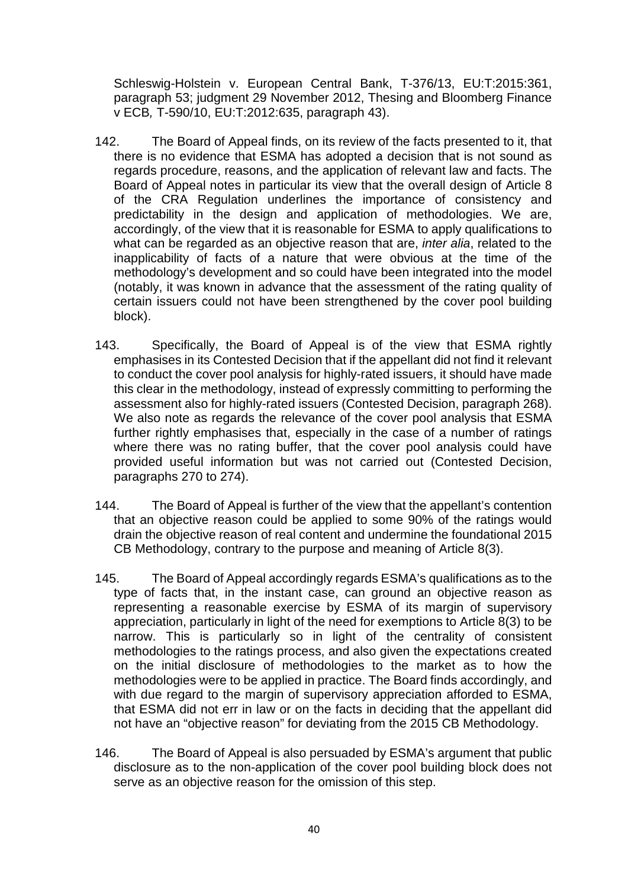Schleswig-Holstein v. European Central Bank, T-376/13, EU:T:2015:361, paragraph 53; judgment 29 November 2012, Thesing and Bloomberg Finance v ECB*,* T-590/10, EU:T:2012:635, paragraph 43).

- 142. The Board of Appeal finds, on its review of the facts presented to it, that there is no evidence that ESMA has adopted a decision that is not sound as regards procedure, reasons, and the application of relevant law and facts. The Board of Appeal notes in particular its view that the overall design of Article 8 of the CRA Regulation underlines the importance of consistency and predictability in the design and application of methodologies. We are, accordingly, of the view that it is reasonable for ESMA to apply qualifications to what can be regarded as an objective reason that are, *inter alia*, related to the inapplicability of facts of a nature that were obvious at the time of the methodology's development and so could have been integrated into the model (notably, it was known in advance that the assessment of the rating quality of certain issuers could not have been strengthened by the cover pool building block).
- 143. Specifically, the Board of Appeal is of the view that ESMA rightly emphasises in its Contested Decision that if the appellant did not find it relevant to conduct the cover pool analysis for highly-rated issuers, it should have made this clear in the methodology, instead of expressly committing to performing the assessment also for highly-rated issuers (Contested Decision, paragraph 268). We also note as regards the relevance of the cover pool analysis that ESMA further rightly emphasises that, especially in the case of a number of ratings where there was no rating buffer, that the cover pool analysis could have provided useful information but was not carried out (Contested Decision, paragraphs 270 to 274).
- 144. The Board of Appeal is further of the view that the appellant's contention that an objective reason could be applied to some 90% of the ratings would drain the objective reason of real content and undermine the foundational 2015 CB Methodology, contrary to the purpose and meaning of Article 8(3).
- 145. The Board of Appeal accordingly regards ESMA's qualifications as to the type of facts that, in the instant case, can ground an objective reason as representing a reasonable exercise by ESMA of its margin of supervisory appreciation, particularly in light of the need for exemptions to Article 8(3) to be narrow. This is particularly so in light of the centrality of consistent methodologies to the ratings process, and also given the expectations created on the initial disclosure of methodologies to the market as to how the methodologies were to be applied in practice. The Board finds accordingly, and with due regard to the margin of supervisory appreciation afforded to ESMA, that ESMA did not err in law or on the facts in deciding that the appellant did not have an "objective reason" for deviating from the 2015 CB Methodology.
- 146. The Board of Appeal is also persuaded by ESMA's argument that public disclosure as to the non-application of the cover pool building block does not serve as an objective reason for the omission of this step.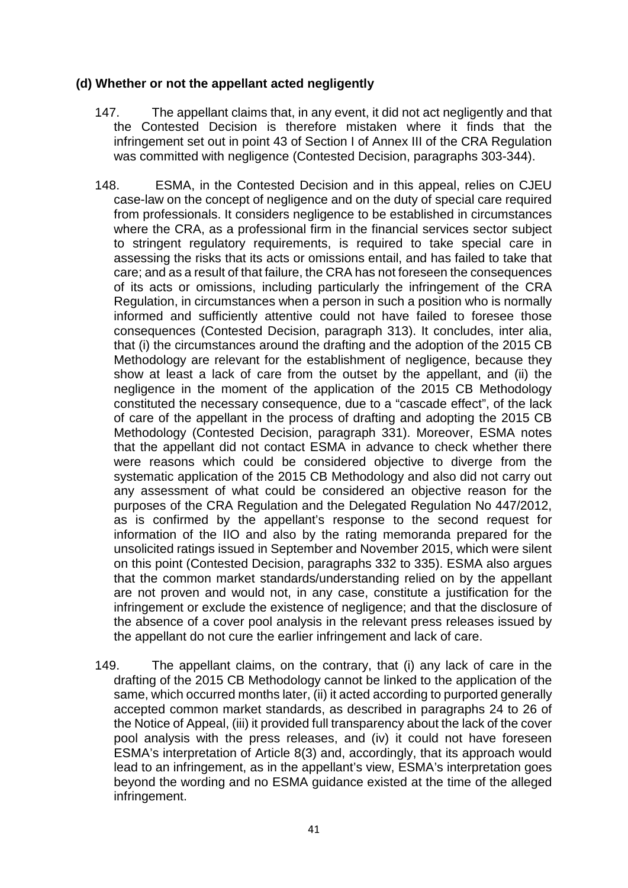# **(d) Whether or not the appellant acted negligently**

- 147. The appellant claims that, in any event, it did not act negligently and that the Contested Decision is therefore mistaken where it finds that the infringement set out in point 43 of Section I of Annex III of the CRA Regulation was committed with negligence (Contested Decision, paragraphs 303-344).
- 148. ESMA, in the Contested Decision and in this appeal, relies on CJEU case-law on the concept of negligence and on the duty of special care required from professionals. It considers negligence to be established in circumstances where the CRA, as a professional firm in the financial services sector subject to stringent regulatory requirements, is required to take special care in assessing the risks that its acts or omissions entail, and has failed to take that care; and as a result of that failure, the CRA has not foreseen the consequences of its acts or omissions, including particularly the infringement of the CRA Regulation, in circumstances when a person in such a position who is normally informed and sufficiently attentive could not have failed to foresee those consequences (Contested Decision, paragraph 313). It concludes, inter alia, that (i) the circumstances around the drafting and the adoption of the 2015 CB Methodology are relevant for the establishment of negligence, because they show at least a lack of care from the outset by the appellant, and (ii) the negligence in the moment of the application of the 2015 CB Methodology constituted the necessary consequence, due to a "cascade effect", of the lack of care of the appellant in the process of drafting and adopting the 2015 CB Methodology (Contested Decision, paragraph 331). Moreover, ESMA notes that the appellant did not contact ESMA in advance to check whether there were reasons which could be considered objective to diverge from the systematic application of the 2015 CB Methodology and also did not carry out any assessment of what could be considered an objective reason for the purposes of the CRA Regulation and the Delegated Regulation No 447/2012, as is confirmed by the appellant's response to the second request for information of the IIO and also by the rating memoranda prepared for the unsolicited ratings issued in September and November 2015, which were silent on this point (Contested Decision, paragraphs 332 to 335). ESMA also argues that the common market standards/understanding relied on by the appellant are not proven and would not, in any case, constitute a justification for the infringement or exclude the existence of negligence; and that the disclosure of the absence of a cover pool analysis in the relevant press releases issued by the appellant do not cure the earlier infringement and lack of care.
- 149. The appellant claims, on the contrary, that (i) any lack of care in the drafting of the 2015 CB Methodology cannot be linked to the application of the same, which occurred months later, (ii) it acted according to purported generally accepted common market standards, as described in paragraphs 24 to 26 of the Notice of Appeal, (iii) it provided full transparency about the lack of the cover pool analysis with the press releases, and (iv) it could not have foreseen ESMA's interpretation of Article 8(3) and, accordingly, that its approach would lead to an infringement, as in the appellant's view, ESMA's interpretation goes beyond the wording and no ESMA guidance existed at the time of the alleged infringement.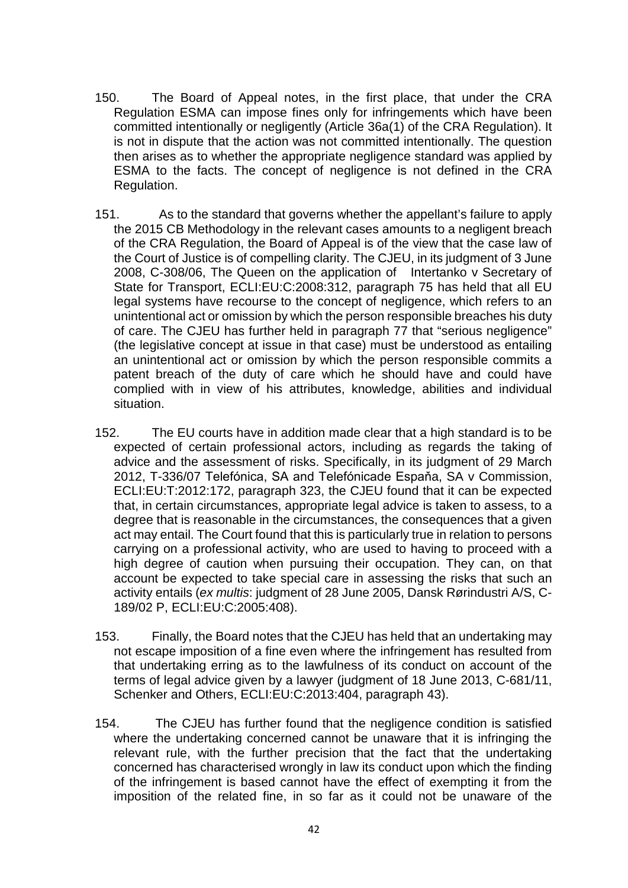- 150. The Board of Appeal notes, in the first place, that under the CRA Regulation ESMA can impose fines only for infringements which have been committed intentionally or negligently (Article 36a(1) of the CRA Regulation). It is not in dispute that the action was not committed intentionally. The question then arises as to whether the appropriate negligence standard was applied by ESMA to the facts. The concept of negligence is not defined in the CRA Regulation.
- 151. As to the standard that governs whether the appellant's failure to apply the 2015 CB Methodology in the relevant cases amounts to a negligent breach of the CRA Regulation, the Board of Appeal is of the view that the case law of the Court of Justice is of compelling clarity. The CJEU, in its judgment of 3 June 2008, C-308/06, The Queen on the application of Intertanko v Secretary of State for Transport, ECLI:EU:C:2008:312, paragraph 75 has held that all EU legal systems have recourse to the concept of negligence, which refers to an unintentional act or omission by which the person responsible breaches his duty of care. The CJEU has further held in paragraph 77 that "serious negligence" (the legislative concept at issue in that case) must be understood as entailing an unintentional act or omission by which the person responsible commits a patent breach of the duty of care which he should have and could have complied with in view of his attributes, knowledge, abilities and individual situation.
- 152. The EU courts have in addition made clear that a high standard is to be expected of certain professional actors, including as regards the taking of advice and the assessment of risks. Specifically, in its judgment of 29 March 2012, T-336/07 Telefónica, SA and Telefónicade Espaňa, SA v Commission, ECLI:EU:T:2012:172, paragraph 323, the CJEU found that it can be expected that, in certain circumstances, appropriate legal advice is taken to assess, to a degree that is reasonable in the circumstances, the consequences that a given act may entail. The Court found that this is particularly true in relation to persons carrying on a professional activity, who are used to having to proceed with a high degree of caution when pursuing their occupation. They can, on that account be expected to take special care in assessing the risks that such an activity entails (*ex multis*: judgment of 28 June 2005, Dansk Rørindustri A/S, [C-](http://curia.europa.eu/juris/liste.jsf?num=C-189/02&language=en)[189/02](http://curia.europa.eu/juris/liste.jsf?num=C-189/02&language=en) P, ECLI:EU:C:2005:408).
- 153. Finally, the Board notes that the CJEU has held that an undertaking may not escape imposition of a fine even where the infringement has resulted from that undertaking erring as to the lawfulness of its conduct on account of the terms of legal advice given by a lawyer (judgment of 18 June 2013, C-681/11, Schenker and Others, ECLI:EU:C:2013:404, paragraph 43).
- 154. The CJEU has further found that the negligence condition is satisfied where the undertaking concerned cannot be unaware that it is infringing the relevant rule, with the further precision that the fact that the undertaking concerned has characterised wrongly in law its conduct upon which the finding of the infringement is based cannot have the effect of exempting it from the imposition of the related fine, in so far as it could not be unaware of the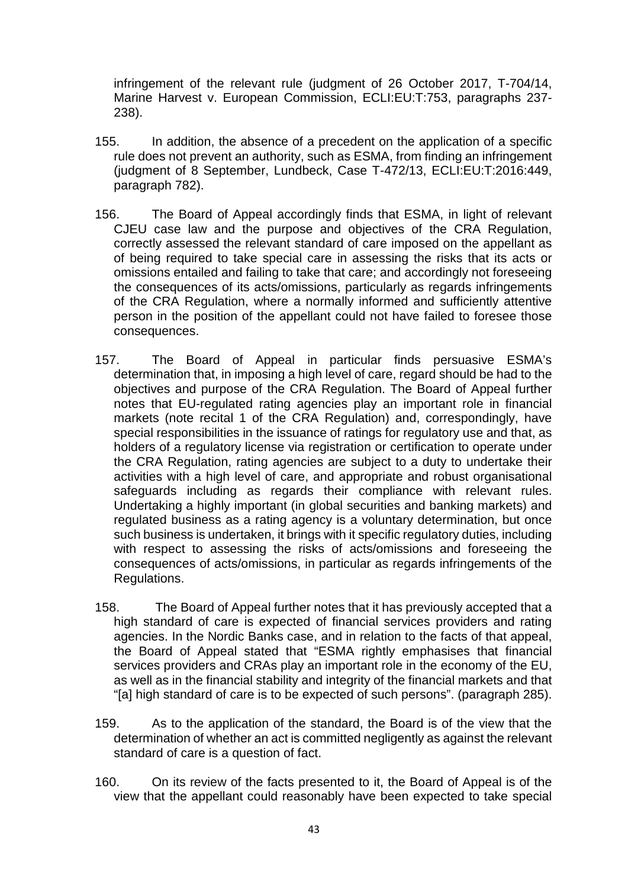infringement of the relevant rule (judgment of 26 October 2017, T-704/14, Marine Harvest v. European Commission, ECLI:EU:T:753, paragraphs 237- 238).

- 155. In addition, the absence of a precedent on the application of a specific rule does not prevent an authority, such as ESMA, from finding an infringement (judgment of 8 September, Lundbeck, Case T-472/13, ECLI:EU:T:2016:449, paragraph 782).
- 156. The Board of Appeal accordingly finds that ESMA, in light of relevant CJEU case law and the purpose and objectives of the CRA Regulation, correctly assessed the relevant standard of care imposed on the appellant as of being required to take special care in assessing the risks that its acts or omissions entailed and failing to take that care; and accordingly not foreseeing the consequences of its acts/omissions, particularly as regards infringements of the CRA Regulation, where a normally informed and sufficiently attentive person in the position of the appellant could not have failed to foresee those consequences.
- 157. The Board of Appeal in particular finds persuasive ESMA's determination that, in imposing a high level of care, regard should be had to the objectives and purpose of the CRA Regulation. The Board of Appeal further notes that EU-regulated rating agencies play an important role in financial markets (note recital 1 of the CRA Regulation) and, correspondingly, have special responsibilities in the issuance of ratings for regulatory use and that, as holders of a regulatory license via registration or certification to operate under the CRA Regulation, rating agencies are subject to a duty to undertake their activities with a high level of care, and appropriate and robust organisational safeguards including as regards their compliance with relevant rules. Undertaking a highly important (in global securities and banking markets) and regulated business as a rating agency is a voluntary determination, but once such business is undertaken, it brings with it specific regulatory duties, including with respect to assessing the risks of acts/omissions and foreseeing the consequences of acts/omissions, in particular as regards infringements of the Regulations.
- 158. The Board of Appeal further notes that it has previously accepted that a high standard of care is expected of financial services providers and rating agencies. In the Nordic Banks case, and in relation to the facts of that appeal, the Board of Appeal stated that "ESMA rightly emphasises that financial services providers and CRAs play an important role in the economy of the EU, as well as in the financial stability and integrity of the financial markets and that "[a] high standard of care is to be expected of such persons". (paragraph 285).
- 159. As to the application of the standard, the Board is of the view that the determination of whether an act is committed negligently as against the relevant standard of care is a question of fact.
- 160. On its review of the facts presented to it, the Board of Appeal is of the view that the appellant could reasonably have been expected to take special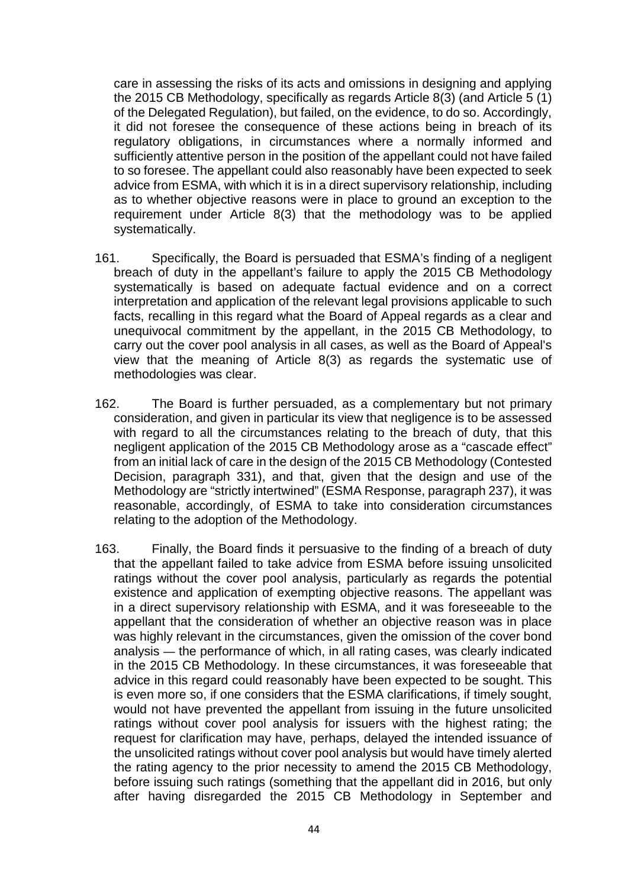care in assessing the risks of its acts and omissions in designing and applying the 2015 CB Methodology, specifically as regards Article 8(3) (and Article 5 (1) of the Delegated Regulation), but failed, on the evidence, to do so. Accordingly, it did not foresee the consequence of these actions being in breach of its regulatory obligations, in circumstances where a normally informed and sufficiently attentive person in the position of the appellant could not have failed to so foresee. The appellant could also reasonably have been expected to seek advice from ESMA, with which it is in a direct supervisory relationship, including as to whether objective reasons were in place to ground an exception to the requirement under Article 8(3) that the methodology was to be applied systematically.

- 161. Specifically, the Board is persuaded that ESMA's finding of a negligent breach of duty in the appellant's failure to apply the 2015 CB Methodology systematically is based on adequate factual evidence and on a correct interpretation and application of the relevant legal provisions applicable to such facts, recalling in this regard what the Board of Appeal regards as a clear and unequivocal commitment by the appellant, in the 2015 CB Methodology, to carry out the cover pool analysis in all cases, as well as the Board of Appeal's view that the meaning of Article 8(3) as regards the systematic use of methodologies was clear.
- 162. The Board is further persuaded, as a complementary but not primary consideration, and given in particular its view that negligence is to be assessed with regard to all the circumstances relating to the breach of duty, that this negligent application of the 2015 CB Methodology arose as a "cascade effect" from an initial lack of care in the design of the 2015 CB Methodology (Contested Decision, paragraph 331), and that, given that the design and use of the Methodology are "strictly intertwined" (ESMA Response, paragraph 237), it was reasonable, accordingly, of ESMA to take into consideration circumstances relating to the adoption of the Methodology.
- 163. Finally, the Board finds it persuasive to the finding of a breach of duty that the appellant failed to take advice from ESMA before issuing unsolicited ratings without the cover pool analysis, particularly as regards the potential existence and application of exempting objective reasons. The appellant was in a direct supervisory relationship with ESMA, and it was foreseeable to the appellant that the consideration of whether an objective reason was in place was highly relevant in the circumstances, given the omission of the cover bond analysis — the performance of which, in all rating cases, was clearly indicated in the 2015 CB Methodology. In these circumstances, it was foreseeable that advice in this regard could reasonably have been expected to be sought. This is even more so, if one considers that the ESMA clarifications, if timely sought, would not have prevented the appellant from issuing in the future unsolicited ratings without cover pool analysis for issuers with the highest rating; the request for clarification may have, perhaps, delayed the intended issuance of the unsolicited ratings without cover pool analysis but would have timely alerted the rating agency to the prior necessity to amend the 2015 CB Methodology, before issuing such ratings (something that the appellant did in 2016, but only after having disregarded the 2015 CB Methodology in September and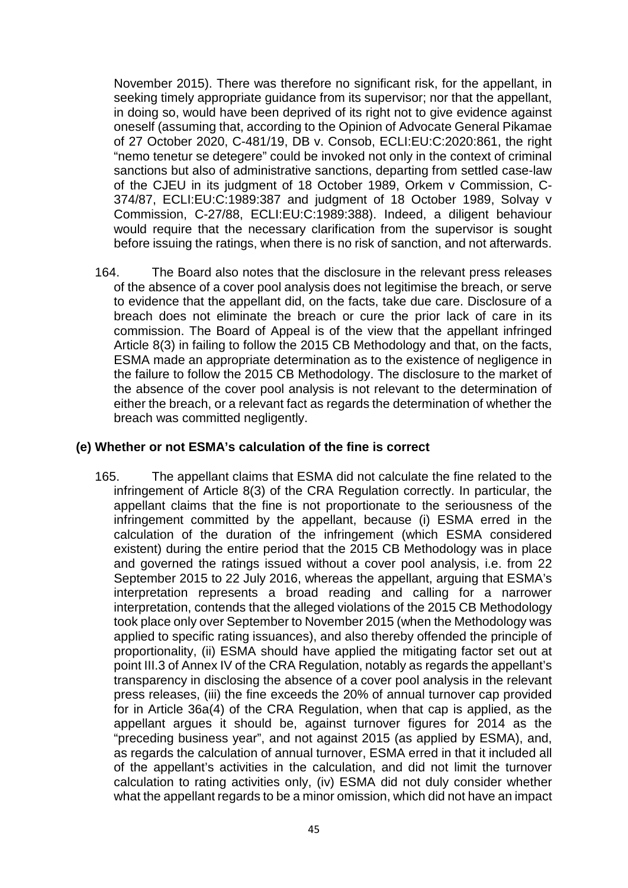November 2015). There was therefore no significant risk, for the appellant, in seeking timely appropriate guidance from its supervisor; nor that the appellant, in doing so, would have been deprived of its right not to give evidence against oneself (assuming that, according to the Opinion of Advocate General Pikamae of 27 October 2020, C-481/19, DB v. Consob, ECLI:EU:C:2020:861, the right "nemo tenetur se detegere" could be invoked not only in the context of criminal sanctions but also of administrative sanctions, departing from settled case-law of the CJEU in its judgment of 18 October 1989, Orkem v Commission, C-374/87, ECLI:EU:C:1989:387 and judgment of 18 October 1989, Solvay v Commission, C-27/88, ECLI:EU:C:1989:388). Indeed, a diligent behaviour would require that the necessary clarification from the supervisor is sought before issuing the ratings, when there is no risk of sanction, and not afterwards.

164. The Board also notes that the disclosure in the relevant press releases of the absence of a cover pool analysis does not legitimise the breach, or serve to evidence that the appellant did, on the facts, take due care. Disclosure of a breach does not eliminate the breach or cure the prior lack of care in its commission. The Board of Appeal is of the view that the appellant infringed Article 8(3) in failing to follow the 2015 CB Methodology and that, on the facts, ESMA made an appropriate determination as to the existence of negligence in the failure to follow the 2015 CB Methodology. The disclosure to the market of the absence of the cover pool analysis is not relevant to the determination of either the breach, or a relevant fact as regards the determination of whether the breach was committed negligently.

### **(e) Whether or not ESMA's calculation of the fine is correct**

165. The appellant claims that ESMA did not calculate the fine related to the infringement of Article 8(3) of the CRA Regulation correctly. In particular, the appellant claims that the fine is not proportionate to the seriousness of the infringement committed by the appellant, because (i) ESMA erred in the calculation of the duration of the infringement (which ESMA considered existent) during the entire period that the 2015 CB Methodology was in place and governed the ratings issued without a cover pool analysis, i.e. from 22 September 2015 to 22 July 2016, whereas the appellant, arguing that ESMA's interpretation represents a broad reading and calling for a narrower interpretation, contends that the alleged violations of the 2015 CB Methodology took place only over September to November 2015 (when the Methodology was applied to specific rating issuances), and also thereby offended the principle of proportionality, (ii) ESMA should have applied the mitigating factor set out at point III.3 of Annex IV of the CRA Regulation, notably as regards the appellant's transparency in disclosing the absence of a cover pool analysis in the relevant press releases, (iii) the fine exceeds the 20% of annual turnover cap provided for in Article 36a(4) of the CRA Regulation, when that cap is applied, as the appellant argues it should be, against turnover figures for 2014 as the "preceding business year", and not against 2015 (as applied by ESMA), and, as regards the calculation of annual turnover, ESMA erred in that it included all of the appellant's activities in the calculation, and did not limit the turnover calculation to rating activities only, (iv) ESMA did not duly consider whether what the appellant regards to be a minor omission, which did not have an impact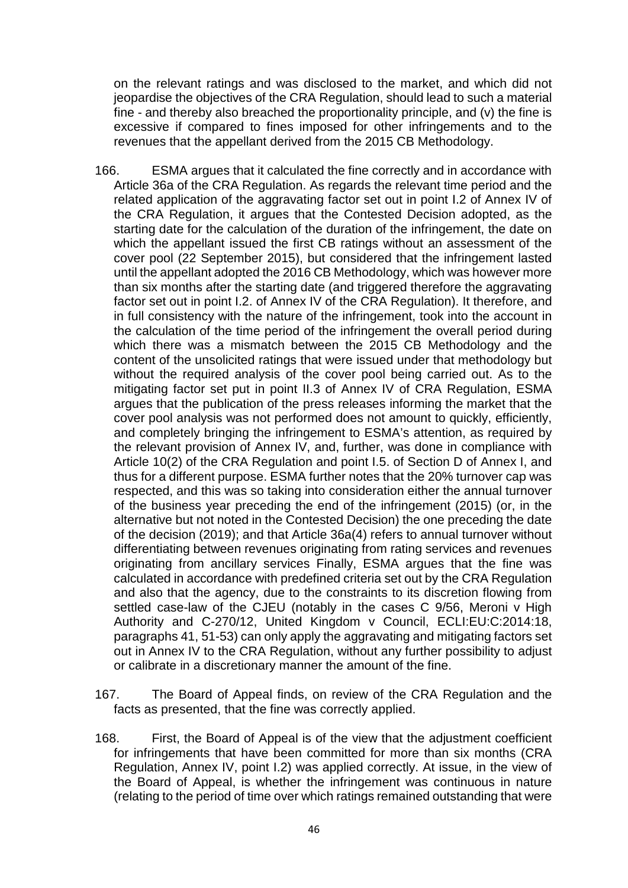on the relevant ratings and was disclosed to the market, and which did not jeopardise the objectives of the CRA Regulation, should lead to such a material fine - and thereby also breached the proportionality principle, and (v) the fine is excessive if compared to fines imposed for other infringements and to the revenues that the appellant derived from the 2015 CB Methodology.

- 166. ESMA argues that it calculated the fine correctly and in accordance with Article 36a of the CRA Regulation. As regards the relevant time period and the related application of the aggravating factor set out in point I.2 of Annex IV of the CRA Regulation, it argues that the Contested Decision adopted, as the starting date for the calculation of the duration of the infringement, the date on which the appellant issued the first CB ratings without an assessment of the cover pool (22 September 2015), but considered that the infringement lasted until the appellant adopted the 2016 CB Methodology, which was however more than six months after the starting date (and triggered therefore the aggravating factor set out in point I.2. of Annex IV of the CRA Regulation). It therefore, and in full consistency with the nature of the infringement, took into the account in the calculation of the time period of the infringement the overall period during which there was a mismatch between the 2015 CB Methodology and the content of the unsolicited ratings that were issued under that methodology but without the required analysis of the cover pool being carried out. As to the mitigating factor set put in point II.3 of Annex IV of CRA Regulation, ESMA argues that the publication of the press releases informing the market that the cover pool analysis was not performed does not amount to quickly, efficiently, and completely bringing the infringement to ESMA's attention, as required by the relevant provision of Annex IV, and, further, was done in compliance with Article 10(2) of the CRA Regulation and point I.5. of Section D of Annex I, and thus for a different purpose. ESMA further notes that the 20% turnover cap was respected, and this was so taking into consideration either the annual turnover of the business year preceding the end of the infringement (2015) (or, in the alternative but not noted in the Contested Decision) the one preceding the date of the decision (2019); and that Article 36a(4) refers to annual turnover without differentiating between revenues originating from rating services and revenues originating from ancillary services Finally, ESMA argues that the fine was calculated in accordance with predefined criteria set out by the CRA Regulation and also that the agency, due to the constraints to its discretion flowing from settled case-law of the CJEU (notably in the cases C 9/56, Meroni v High Authority and C-270/12, United Kingdom v Council, ECLI:EU:C:2014:18, paragraphs 41, 51-53) can only apply the aggravating and mitigating factors set out in Annex IV to the CRA Regulation, without any further possibility to adjust or calibrate in a discretionary manner the amount of the fine.
- 167. The Board of Appeal finds, on review of the CRA Regulation and the facts as presented, that the fine was correctly applied.
- 168. First, the Board of Appeal is of the view that the adjustment coefficient for infringements that have been committed for more than six months (CRA Regulation, Annex IV, point I.2) was applied correctly. At issue, in the view of the Board of Appeal, is whether the infringement was continuous in nature (relating to the period of time over which ratings remained outstanding that were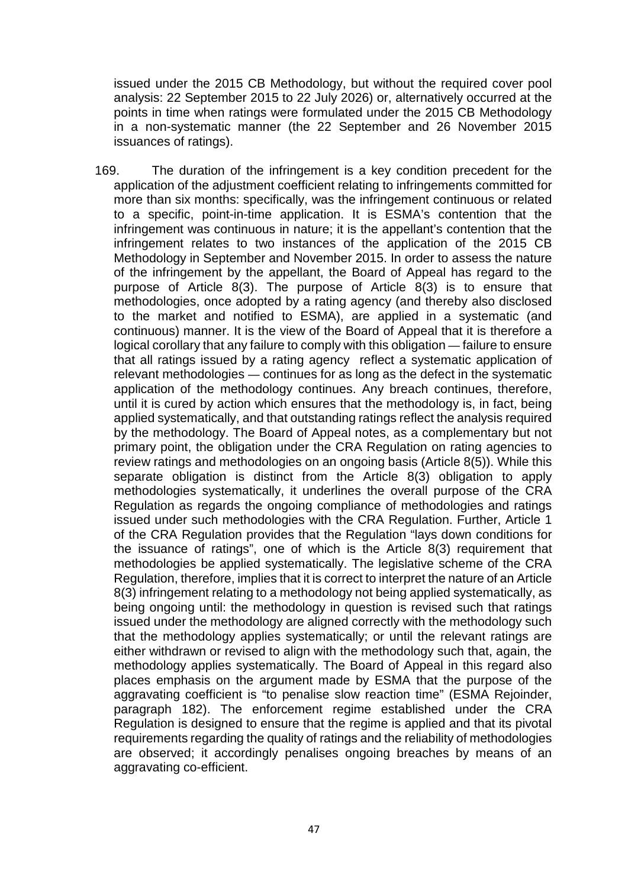issued under the 2015 CB Methodology, but without the required cover pool analysis: 22 September 2015 to 22 July 2026) or, alternatively occurred at the points in time when ratings were formulated under the 2015 CB Methodology in a non-systematic manner (the 22 September and 26 November 2015 issuances of ratings).

169. The duration of the infringement is a key condition precedent for the application of the adjustment coefficient relating to infringements committed for more than six months: specifically, was the infringement continuous or related to a specific, point-in-time application. It is ESMA's contention that the infringement was continuous in nature; it is the appellant's contention that the infringement relates to two instances of the application of the 2015 CB Methodology in September and November 2015. In order to assess the nature of the infringement by the appellant, the Board of Appeal has regard to the purpose of Article 8(3). The purpose of Article 8(3) is to ensure that methodologies, once adopted by a rating agency (and thereby also disclosed to the market and notified to ESMA), are applied in a systematic (and continuous) manner. It is the view of the Board of Appeal that it is therefore a logical corollary that any failure to comply with this obligation — failure to ensure that all ratings issued by a rating agency reflect a systematic application of relevant methodologies — continues for as long as the defect in the systematic application of the methodology continues. Any breach continues, therefore, until it is cured by action which ensures that the methodology is, in fact, being applied systematically, and that outstanding ratings reflect the analysis required by the methodology. The Board of Appeal notes, as a complementary but not primary point, the obligation under the CRA Regulation on rating agencies to review ratings and methodologies on an ongoing basis (Article 8(5)). While this separate obligation is distinct from the Article 8(3) obligation to apply methodologies systematically, it underlines the overall purpose of the CRA Regulation as regards the ongoing compliance of methodologies and ratings issued under such methodologies with the CRA Regulation. Further, Article 1 of the CRA Regulation provides that the Regulation "lays down conditions for the issuance of ratings", one of which is the Article 8(3) requirement that methodologies be applied systematically. The legislative scheme of the CRA Regulation, therefore, implies that it is correct to interpret the nature of an Article 8(3) infringement relating to a methodology not being applied systematically, as being ongoing until: the methodology in question is revised such that ratings issued under the methodology are aligned correctly with the methodology such that the methodology applies systematically; or until the relevant ratings are either withdrawn or revised to align with the methodology such that, again, the methodology applies systematically. The Board of Appeal in this regard also places emphasis on the argument made by ESMA that the purpose of the aggravating coefficient is "to penalise slow reaction time" (ESMA Rejoinder, paragraph 182). The enforcement regime established under the CRA Regulation is designed to ensure that the regime is applied and that its pivotal requirements regarding the quality of ratings and the reliability of methodologies are observed; it accordingly penalises ongoing breaches by means of an aggravating co-efficient.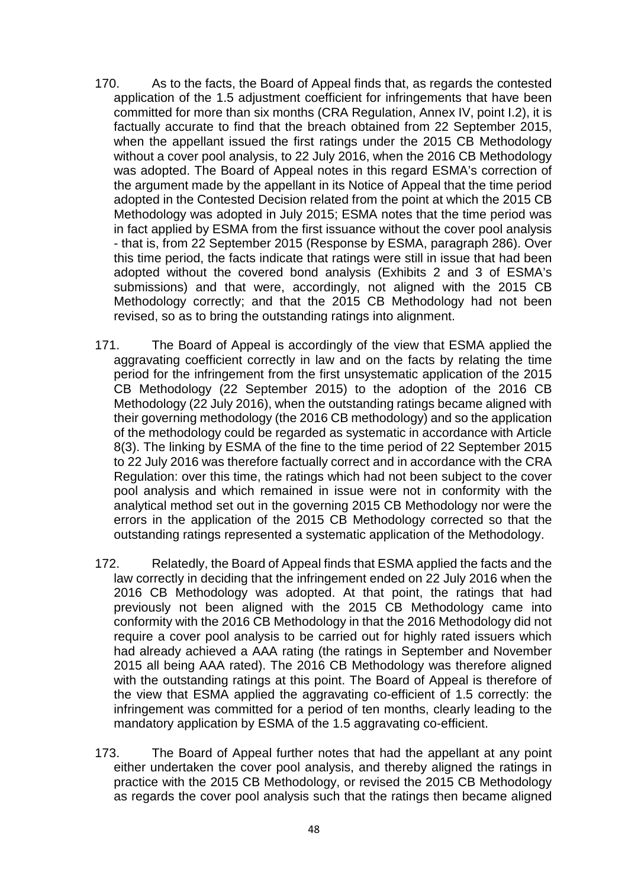- 170. As to the facts, the Board of Appeal finds that, as regards the contested application of the 1.5 adjustment coefficient for infringements that have been committed for more than six months (CRA Regulation, Annex IV, point I.2), it is factually accurate to find that the breach obtained from 22 September 2015, when the appellant issued the first ratings under the 2015 CB Methodology without a cover pool analysis, to 22 July 2016, when the 2016 CB Methodology was adopted. The Board of Appeal notes in this regard ESMA's correction of the argument made by the appellant in its Notice of Appeal that the time period adopted in the Contested Decision related from the point at which the 2015 CB Methodology was adopted in July 2015; ESMA notes that the time period was in fact applied by ESMA from the first issuance without the cover pool analysis - that is, from 22 September 2015 (Response by ESMA, paragraph 286). Over this time period, the facts indicate that ratings were still in issue that had been adopted without the covered bond analysis (Exhibits 2 and 3 of ESMA's submissions) and that were, accordingly, not aligned with the 2015 CB Methodology correctly; and that the 2015 CB Methodology had not been revised, so as to bring the outstanding ratings into alignment.
- 171. The Board of Appeal is accordingly of the view that ESMA applied the aggravating coefficient correctly in law and on the facts by relating the time period for the infringement from the first unsystematic application of the 2015 CB Methodology (22 September 2015) to the adoption of the 2016 CB Methodology (22 July 2016), when the outstanding ratings became aligned with their governing methodology (the 2016 CB methodology) and so the application of the methodology could be regarded as systematic in accordance with Article 8(3). The linking by ESMA of the fine to the time period of 22 September 2015 to 22 July 2016 was therefore factually correct and in accordance with the CRA Regulation: over this time, the ratings which had not been subject to the cover pool analysis and which remained in issue were not in conformity with the analytical method set out in the governing 2015 CB Methodology nor were the errors in the application of the 2015 CB Methodology corrected so that the outstanding ratings represented a systematic application of the Methodology.
- 172. Relatedly, the Board of Appeal finds that ESMA applied the facts and the law correctly in deciding that the infringement ended on 22 July 2016 when the 2016 CB Methodology was adopted. At that point, the ratings that had previously not been aligned with the 2015 CB Methodology came into conformity with the 2016 CB Methodology in that the 2016 Methodology did not require a cover pool analysis to be carried out for highly rated issuers which had already achieved a AAA rating (the ratings in September and November 2015 all being AAA rated). The 2016 CB Methodology was therefore aligned with the outstanding ratings at this point. The Board of Appeal is therefore of the view that ESMA applied the aggravating co-efficient of 1.5 correctly: the infringement was committed for a period of ten months, clearly leading to the mandatory application by ESMA of the 1.5 aggravating co-efficient.
- 173. The Board of Appeal further notes that had the appellant at any point either undertaken the cover pool analysis, and thereby aligned the ratings in practice with the 2015 CB Methodology, or revised the 2015 CB Methodology as regards the cover pool analysis such that the ratings then became aligned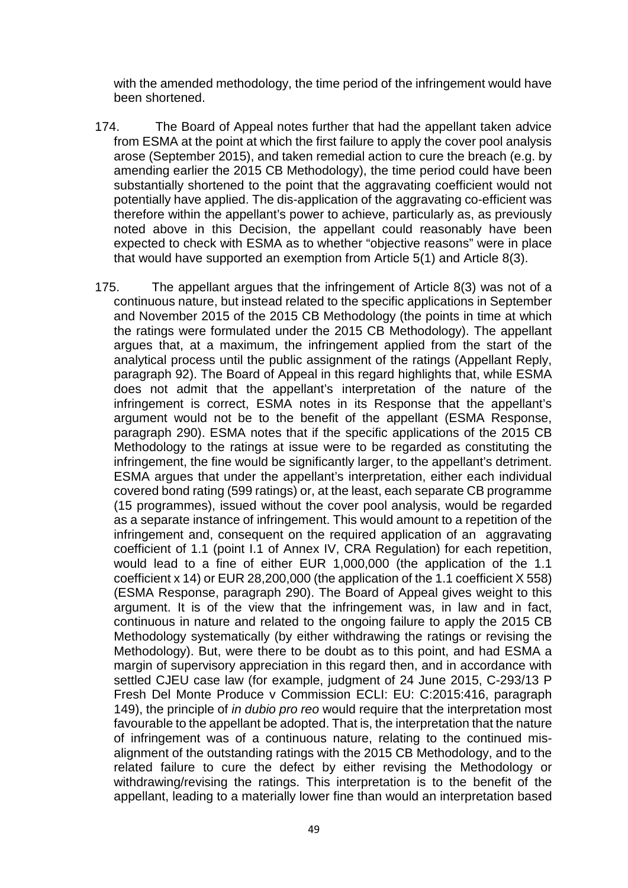with the amended methodology, the time period of the infringement would have been shortened.

- 174. The Board of Appeal notes further that had the appellant taken advice from ESMA at the point at which the first failure to apply the cover pool analysis arose (September 2015), and taken remedial action to cure the breach (e.g. by amending earlier the 2015 CB Methodology), the time period could have been substantially shortened to the point that the aggravating coefficient would not potentially have applied. The dis-application of the aggravating co-efficient was therefore within the appellant's power to achieve, particularly as, as previously noted above in this Decision, the appellant could reasonably have been expected to check with ESMA as to whether "objective reasons" were in place that would have supported an exemption from Article 5(1) and Article 8(3).
- 175. The appellant argues that the infringement of Article 8(3) was not of a continuous nature, but instead related to the specific applications in September and November 2015 of the 2015 CB Methodology (the points in time at which the ratings were formulated under the 2015 CB Methodology). The appellant argues that, at a maximum, the infringement applied from the start of the analytical process until the public assignment of the ratings (Appellant Reply, paragraph 92). The Board of Appeal in this regard highlights that, while ESMA does not admit that the appellant's interpretation of the nature of the infringement is correct, ESMA notes in its Response that the appellant's argument would not be to the benefit of the appellant (ESMA Response, paragraph 290). ESMA notes that if the specific applications of the 2015 CB Methodology to the ratings at issue were to be regarded as constituting the infringement, the fine would be significantly larger, to the appellant's detriment. ESMA argues that under the appellant's interpretation, either each individual covered bond rating (599 ratings) or, at the least, each separate CB programme (15 programmes), issued without the cover pool analysis, would be regarded as a separate instance of infringement. This would amount to a repetition of the infringement and, consequent on the required application of an aggravating coefficient of 1.1 (point I.1 of Annex IV, CRA Regulation) for each repetition, would lead to a fine of either EUR 1,000,000 (the application of the 1.1 coefficient x 14) or EUR 28,200,000 (the application of the 1.1 coefficient X 558) (ESMA Response, paragraph 290). The Board of Appeal gives weight to this argument. It is of the view that the infringement was, in law and in fact, continuous in nature and related to the ongoing failure to apply the 2015 CB Methodology systematically (by either withdrawing the ratings or revising the Methodology). But, were there to be doubt as to this point, and had ESMA a margin of supervisory appreciation in this regard then, and in accordance with settled CJEU case law (for example, judgment of 24 June 2015, C-293/13 P Fresh Del Monte Produce v Commission ECLI: EU: C:2015:416, paragraph 149), the principle of *in dubio pro reo* would require that the interpretation most favourable to the appellant be adopted. That is, the interpretation that the nature of infringement was of a continuous nature, relating to the continued misalignment of the outstanding ratings with the 2015 CB Methodology, and to the related failure to cure the defect by either revising the Methodology or withdrawing/revising the ratings. This interpretation is to the benefit of the appellant, leading to a materially lower fine than would an interpretation based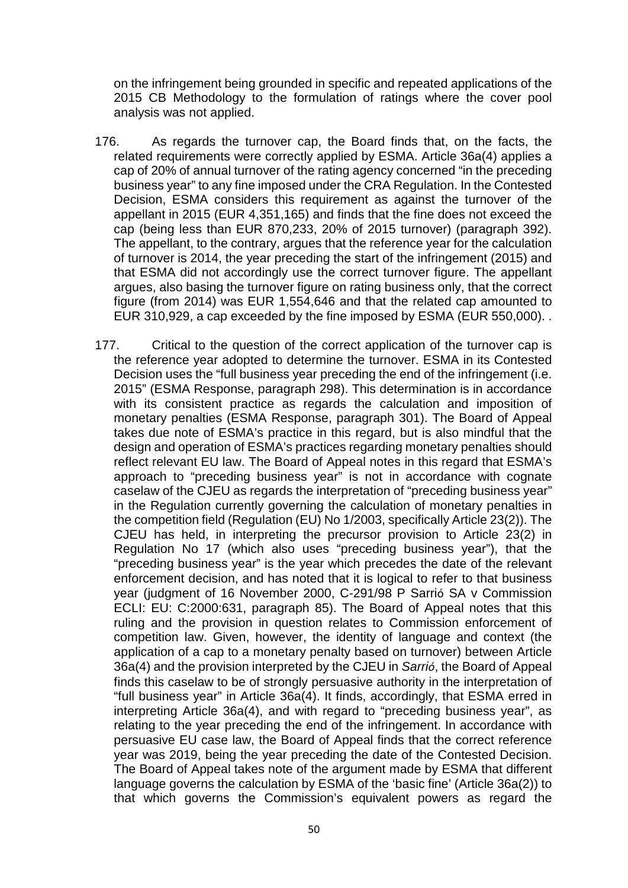on the infringement being grounded in specific and repeated applications of the 2015 CB Methodology to the formulation of ratings where the cover pool analysis was not applied.

- 176. As regards the turnover cap, the Board finds that, on the facts, the related requirements were correctly applied by ESMA. Article 36a(4) applies a cap of 20% of annual turnover of the rating agency concerned "in the preceding business year" to any fine imposed under the CRA Regulation. In the Contested Decision, ESMA considers this requirement as against the turnover of the appellant in 2015 (EUR 4,351,165) and finds that the fine does not exceed the cap (being less than EUR 870,233, 20% of 2015 turnover) (paragraph 392). The appellant, to the contrary, argues that the reference year for the calculation of turnover is 2014, the year preceding the start of the infringement (2015) and that ESMA did not accordingly use the correct turnover figure. The appellant argues, also basing the turnover figure on rating business only, that the correct figure (from 2014) was EUR 1,554,646 and that the related cap amounted to EUR 310,929, a cap exceeded by the fine imposed by ESMA (EUR 550,000). .
- 177. Critical to the question of the correct application of the turnover cap is the reference year adopted to determine the turnover. ESMA in its Contested Decision uses the "full business year preceding the end of the infringement (i.e. 2015" (ESMA Response, paragraph 298). This determination is in accordance with its consistent practice as regards the calculation and imposition of monetary penalties (ESMA Response, paragraph 301). The Board of Appeal takes due note of ESMA's practice in this regard, but is also mindful that the design and operation of ESMA's practices regarding monetary penalties should reflect relevant EU law. The Board of Appeal notes in this regard that ESMA's approach to "preceding business year" is not in accordance with cognate caselaw of the CJEU as regards the interpretation of "preceding business year" in the Regulation currently governing the calculation of monetary penalties in the competition field (Regulation (EU) No 1/2003, specifically Article 23(2)). The CJEU has held, in interpreting the precursor provision to Article 23(2) in Regulation No 17 (which also uses "preceding business year"), that the "preceding business year" is the year which precedes the date of the relevant enforcement decision, and has noted that it is logical to refer to that business year (judgment of 16 November 2000, C-291/98 P Sarrió SA v Commission ECLI: EU: C:2000:631, paragraph 85). The Board of Appeal notes that this ruling and the provision in question relates to Commission enforcement of competition law. Given, however, the identity of language and context (the application of a cap to a monetary penalty based on turnover) between Article 36a(4) and the provision interpreted by the CJEU in *Sarrió*, the Board of Appeal finds this caselaw to be of strongly persuasive authority in the interpretation of "full business year" in Article 36a(4). It finds, accordingly, that ESMA erred in interpreting Article 36a(4), and with regard to "preceding business year", as relating to the year preceding the end of the infringement. In accordance with persuasive EU case law, the Board of Appeal finds that the correct reference year was 2019, being the year preceding the date of the Contested Decision. The Board of Appeal takes note of the argument made by ESMA that different language governs the calculation by ESMA of the 'basic fine' (Article 36a(2)) to that which governs the Commission's equivalent powers as regard the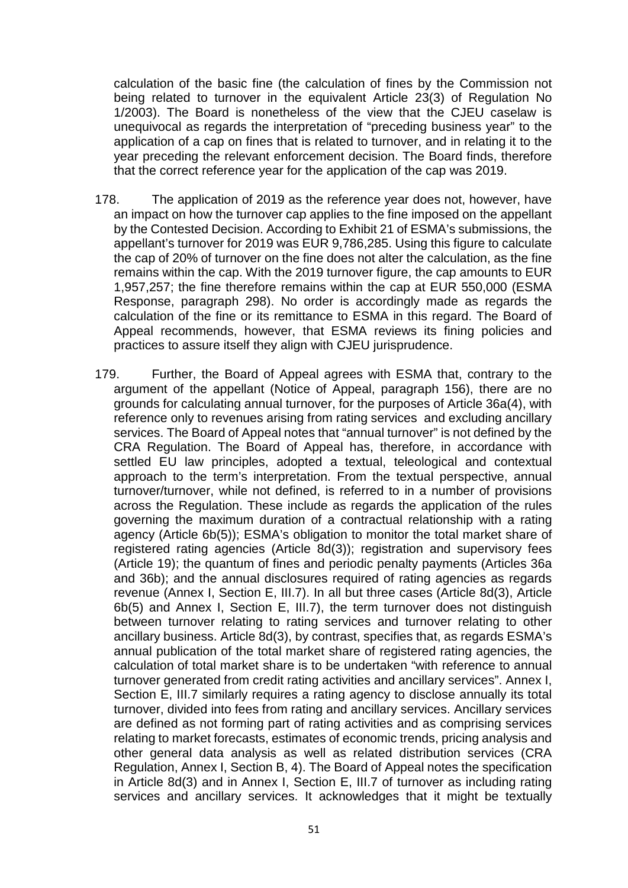calculation of the basic fine (the calculation of fines by the Commission not being related to turnover in the equivalent Article 23(3) of Regulation No 1/2003). The Board is nonetheless of the view that the CJEU caselaw is unequivocal as regards the interpretation of "preceding business year" to the application of a cap on fines that is related to turnover, and in relating it to the year preceding the relevant enforcement decision. The Board finds, therefore that the correct reference year for the application of the cap was 2019.

- 178. The application of 2019 as the reference year does not, however, have an impact on how the turnover cap applies to the fine imposed on the appellant by the Contested Decision. According to Exhibit 21 of ESMA's submissions, the appellant's turnover for 2019 was EUR 9,786,285. Using this figure to calculate the cap of 20% of turnover on the fine does not alter the calculation, as the fine remains within the cap. With the 2019 turnover figure, the cap amounts to EUR 1,957,257; the fine therefore remains within the cap at EUR 550,000 (ESMA Response, paragraph 298). No order is accordingly made as regards the calculation of the fine or its remittance to ESMA in this regard. The Board of Appeal recommends, however, that ESMA reviews its fining policies and practices to assure itself they align with CJEU jurisprudence.
- 179. Further, the Board of Appeal agrees with ESMA that, contrary to the argument of the appellant (Notice of Appeal, paragraph 156), there are no grounds for calculating annual turnover, for the purposes of Article 36a(4), with reference only to revenues arising from rating services and excluding ancillary services. The Board of Appeal notes that "annual turnover" is not defined by the CRA Regulation. The Board of Appeal has, therefore, in accordance with settled EU law principles, adopted a textual, teleological and contextual approach to the term's interpretation. From the textual perspective, annual turnover/turnover, while not defined, is referred to in a number of provisions across the Regulation. These include as regards the application of the rules governing the maximum duration of a contractual relationship with a rating agency (Article 6b(5)); ESMA's obligation to monitor the total market share of registered rating agencies (Article 8d(3)); registration and supervisory fees (Article 19); the quantum of fines and periodic penalty payments (Articles 36a and 36b); and the annual disclosures required of rating agencies as regards revenue (Annex I, Section E, III.7). In all but three cases (Article 8d(3), Article 6b(5) and Annex I, Section E, III.7), the term turnover does not distinguish between turnover relating to rating services and turnover relating to other ancillary business. Article 8d(3), by contrast, specifies that, as regards ESMA's annual publication of the total market share of registered rating agencies, the calculation of total market share is to be undertaken "with reference to annual turnover generated from credit rating activities and ancillary services". Annex I, Section E, III.7 similarly requires a rating agency to disclose annually its total turnover, divided into fees from rating and ancillary services. Ancillary services are defined as not forming part of rating activities and as comprising services relating to market forecasts, estimates of economic trends, pricing analysis and other general data analysis as well as related distribution services (CRA Regulation, Annex I, Section B, 4). The Board of Appeal notes the specification in Article 8d(3) and in Annex I, Section E, III.7 of turnover as including rating services and ancillary services. It acknowledges that it might be textually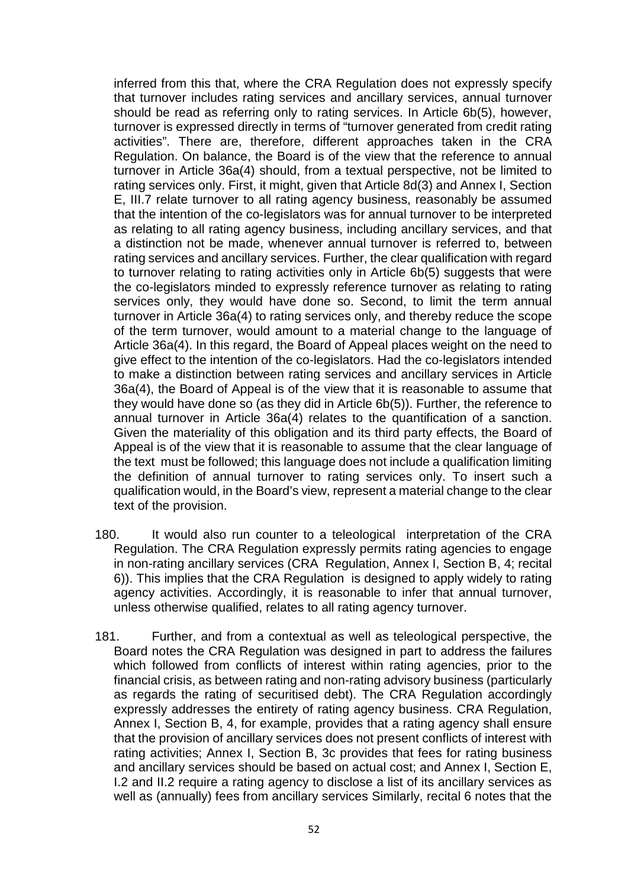inferred from this that, where the CRA Regulation does not expressly specify that turnover includes rating services and ancillary services, annual turnover should be read as referring only to rating services. In Article 6b(5), however, turnover is expressed directly in terms of "turnover generated from credit rating activities". There are, therefore, different approaches taken in the CRA Regulation. On balance, the Board is of the view that the reference to annual turnover in Article 36a(4) should, from a textual perspective, not be limited to rating services only. First, it might, given that Article 8d(3) and Annex I, Section E, III.7 relate turnover to all rating agency business, reasonably be assumed that the intention of the co-legislators was for annual turnover to be interpreted as relating to all rating agency business, including ancillary services, and that a distinction not be made, whenever annual turnover is referred to, between rating services and ancillary services. Further, the clear qualification with regard to turnover relating to rating activities only in Article 6b(5) suggests that were the co-legislators minded to expressly reference turnover as relating to rating services only, they would have done so. Second, to limit the term annual turnover in Article 36a(4) to rating services only, and thereby reduce the scope of the term turnover, would amount to a material change to the language of Article 36a(4). In this regard, the Board of Appeal places weight on the need to give effect to the intention of the co-legislators. Had the co-legislators intended to make a distinction between rating services and ancillary services in Article 36a(4), the Board of Appeal is of the view that it is reasonable to assume that they would have done so (as they did in Article 6b(5)). Further, the reference to annual turnover in Article 36a(4) relates to the quantification of a sanction. Given the materiality of this obligation and its third party effects, the Board of Appeal is of the view that it is reasonable to assume that the clear language of the text must be followed; this language does not include a qualification limiting the definition of annual turnover to rating services only. To insert such a qualification would, in the Board's view, represent a material change to the clear text of the provision.

- 180. It would also run counter to a teleological interpretation of the CRA Regulation. The CRA Regulation expressly permits rating agencies to engage in non-rating ancillary services (CRA Regulation, Annex I, Section B, 4; recital 6)). This implies that the CRA Regulation is designed to apply widely to rating agency activities. Accordingly, it is reasonable to infer that annual turnover, unless otherwise qualified, relates to all rating agency turnover.
- 181. Further, and from a contextual as well as teleological perspective, the Board notes the CRA Regulation was designed in part to address the failures which followed from conflicts of interest within rating agencies, prior to the financial crisis, as between rating and non-rating advisory business (particularly as regards the rating of securitised debt). The CRA Regulation accordingly expressly addresses the entirety of rating agency business. CRA Regulation, Annex I, Section B, 4, for example, provides that a rating agency shall ensure that the provision of ancillary services does not present conflicts of interest with rating activities; Annex I, Section B, 3c provides that fees for rating business and ancillary services should be based on actual cost; and Annex I, Section E, I.2 and II.2 require a rating agency to disclose a list of its ancillary services as well as (annually) fees from ancillary services Similarly, recital 6 notes that the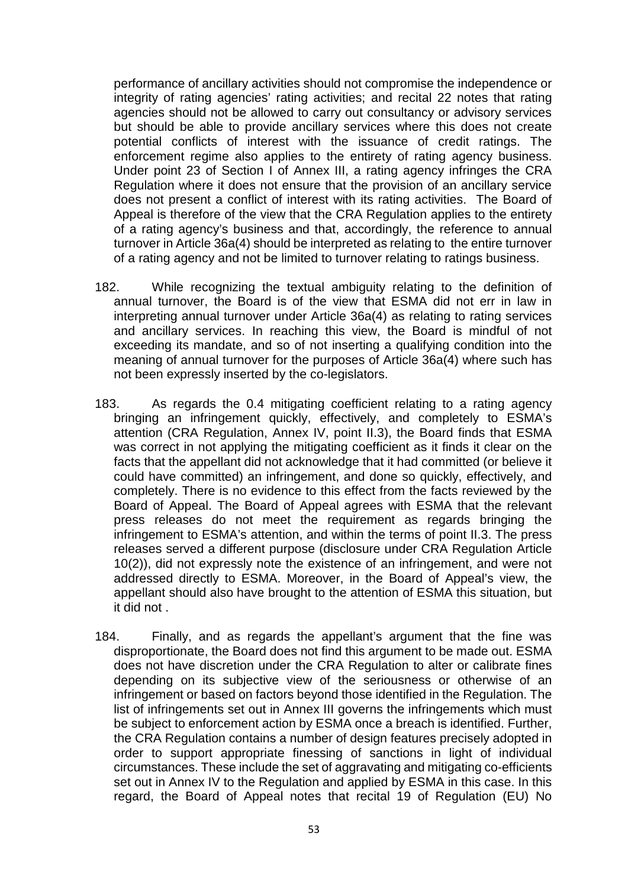performance of ancillary activities should not compromise the independence or integrity of rating agencies' rating activities; and recital 22 notes that rating agencies should not be allowed to carry out consultancy or advisory services but should be able to provide ancillary services where this does not create potential conflicts of interest with the issuance of credit ratings. The enforcement regime also applies to the entirety of rating agency business. Under point 23 of Section I of Annex III, a rating agency infringes the CRA Regulation where it does not ensure that the provision of an ancillary service does not present a conflict of interest with its rating activities. The Board of Appeal is therefore of the view that the CRA Regulation applies to the entirety of a rating agency's business and that, accordingly, the reference to annual turnover in Article 36a(4) should be interpreted as relating to the entire turnover of a rating agency and not be limited to turnover relating to ratings business.

- 182. While recognizing the textual ambiguity relating to the definition of annual turnover, the Board is of the view that ESMA did not err in law in interpreting annual turnover under Article 36a(4) as relating to rating services and ancillary services. In reaching this view, the Board is mindful of not exceeding its mandate, and so of not inserting a qualifying condition into the meaning of annual turnover for the purposes of Article 36a(4) where such has not been expressly inserted by the co-legislators.
- 183. As regards the 0.4 mitigating coefficient relating to a rating agency bringing an infringement quickly, effectively, and completely to ESMA's attention (CRA Regulation, Annex IV, point II.3), the Board finds that ESMA was correct in not applying the mitigating coefficient as it finds it clear on the facts that the appellant did not acknowledge that it had committed (or believe it could have committed) an infringement, and done so quickly, effectively, and completely. There is no evidence to this effect from the facts reviewed by the Board of Appeal. The Board of Appeal agrees with ESMA that the relevant press releases do not meet the requirement as regards bringing the infringement to ESMA's attention, and within the terms of point II.3. The press releases served a different purpose (disclosure under CRA Regulation Article 10(2)), did not expressly note the existence of an infringement, and were not addressed directly to ESMA. Moreover, in the Board of Appeal's view, the appellant should also have brought to the attention of ESMA this situation, but it did not .
- 184. Finally, and as regards the appellant's argument that the fine was disproportionate, the Board does not find this argument to be made out. ESMA does not have discretion under the CRA Regulation to alter or calibrate fines depending on its subjective view of the seriousness or otherwise of an infringement or based on factors beyond those identified in the Regulation. The list of infringements set out in Annex III governs the infringements which must be subject to enforcement action by ESMA once a breach is identified. Further, the CRA Regulation contains a number of design features precisely adopted in order to support appropriate finessing of sanctions in light of individual circumstances. These include the set of aggravating and mitigating co-efficients set out in Annex IV to the Regulation and applied by ESMA in this case. In this regard, the Board of Appeal notes that recital 19 of Regulation (EU) No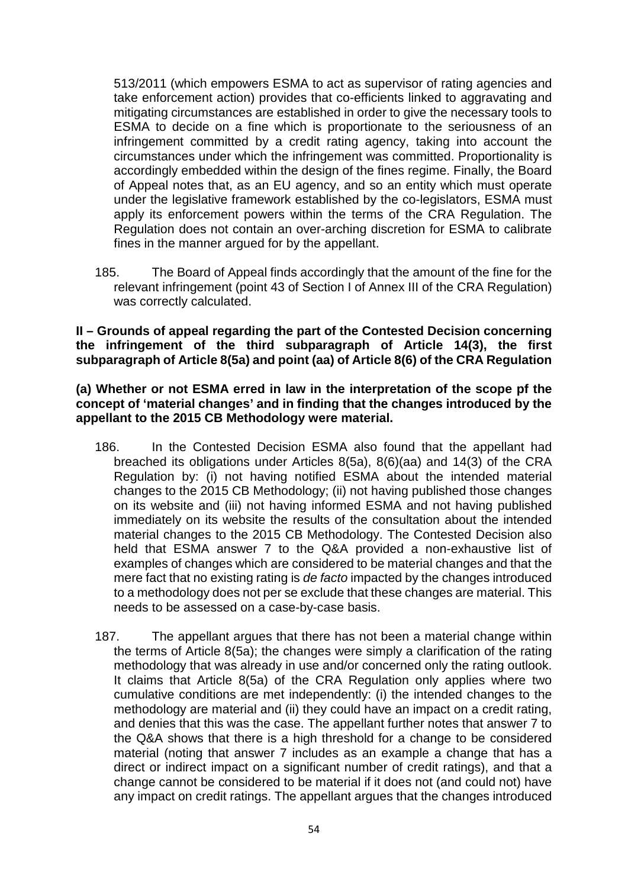513/2011 (which empowers ESMA to act as supervisor of rating agencies and take enforcement action) provides that co-efficients linked to aggravating and mitigating circumstances are established in order to give the necessary tools to ESMA to decide on a fine which is proportionate to the seriousness of an infringement committed by a credit rating agency, taking into account the circumstances under which the infringement was committed. Proportionality is accordingly embedded within the design of the fines regime. Finally, the Board of Appeal notes that, as an EU agency, and so an entity which must operate under the legislative framework established by the co-legislators, ESMA must apply its enforcement powers within the terms of the CRA Regulation. The Regulation does not contain an over-arching discretion for ESMA to calibrate fines in the manner argued for by the appellant.

185. The Board of Appeal finds accordingly that the amount of the fine for the relevant infringement (point 43 of Section I of Annex III of the CRA Regulation) was correctly calculated.

**II – Grounds of appeal regarding the part of the Contested Decision concerning the infringement of the third subparagraph of Article 14(3), the first subparagraph of Article 8(5a) and point (aa) of Article 8(6) of the CRA Regulation**

# **(a) Whether or not ESMA erred in law in the interpretation of the scope pf the concept of 'material changes' and in finding that the changes introduced by the appellant to the 2015 CB Methodology were material.**

- 186. In the Contested Decision ESMA also found that the appellant had breached its obligations under Articles 8(5a), 8(6)(aa) and 14(3) of the CRA Regulation by: (i) not having notified ESMA about the intended material changes to the 2015 CB Methodology; (ii) not having published those changes on its website and (iii) not having informed ESMA and not having published immediately on its website the results of the consultation about the intended material changes to the 2015 CB Methodology. The Contested Decision also held that ESMA answer 7 to the Q&A provided a non-exhaustive list of examples of changes which are considered to be material changes and that the mere fact that no existing rating is *de facto* impacted by the changes introduced to a methodology does not per se exclude that these changes are material. This needs to be assessed on a case-by-case basis.
- 187. The appellant argues that there has not been a material change within the terms of Article 8(5a); the changes were simply a clarification of the rating methodology that was already in use and/or concerned only the rating outlook. It claims that Article 8(5a) of the CRA Regulation only applies where two cumulative conditions are met independently: (i) the intended changes to the methodology are material and (ii) they could have an impact on a credit rating, and denies that this was the case. The appellant further notes that answer 7 to the Q&A shows that there is a high threshold for a change to be considered material (noting that answer 7 includes as an example a change that has a direct or indirect impact on a significant number of credit ratings), and that a change cannot be considered to be material if it does not (and could not) have any impact on credit ratings. The appellant argues that the changes introduced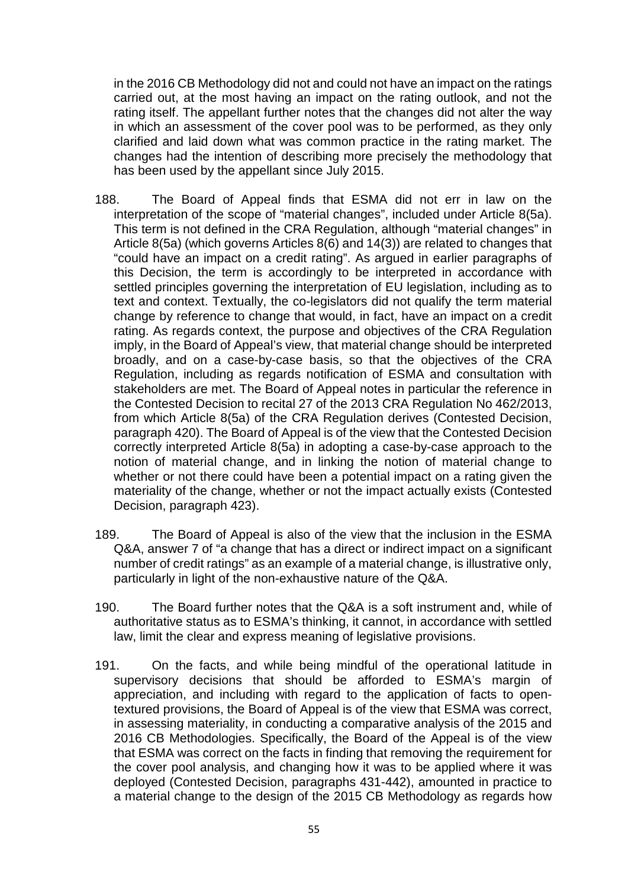in the 2016 CB Methodology did not and could not have an impact on the ratings carried out, at the most having an impact on the rating outlook, and not the rating itself. The appellant further notes that the changes did not alter the way in which an assessment of the cover pool was to be performed, as they only clarified and laid down what was common practice in the rating market. The changes had the intention of describing more precisely the methodology that has been used by the appellant since July 2015.

- 188. The Board of Appeal finds that ESMA did not err in law on the interpretation of the scope of "material changes", included under Article 8(5a). This term is not defined in the CRA Regulation, although "material changes" in Article 8(5a) (which governs Articles 8(6) and 14(3)) are related to changes that "could have an impact on a credit rating". As argued in earlier paragraphs of this Decision, the term is accordingly to be interpreted in accordance with settled principles governing the interpretation of EU legislation, including as to text and context. Textually, the co-legislators did not qualify the term material change by reference to change that would, in fact, have an impact on a credit rating. As regards context, the purpose and objectives of the CRA Regulation imply, in the Board of Appeal's view, that material change should be interpreted broadly, and on a case-by-case basis, so that the objectives of the CRA Regulation, including as regards notification of ESMA and consultation with stakeholders are met. The Board of Appeal notes in particular the reference in the Contested Decision to recital 27 of the 2013 CRA Regulation No 462/2013, from which Article 8(5a) of the CRA Regulation derives (Contested Decision, paragraph 420). The Board of Appeal is of the view that the Contested Decision correctly interpreted Article 8(5a) in adopting a case-by-case approach to the notion of material change, and in linking the notion of material change to whether or not there could have been a potential impact on a rating given the materiality of the change, whether or not the impact actually exists (Contested Decision, paragraph 423).
- 189. The Board of Appeal is also of the view that the inclusion in the ESMA Q&A, answer 7 of "a change that has a direct or indirect impact on a significant number of credit ratings" as an example of a material change, is illustrative only, particularly in light of the non-exhaustive nature of the Q&A.
- 190. The Board further notes that the Q&A is a soft instrument and, while of authoritative status as to ESMA's thinking, it cannot, in accordance with settled law, limit the clear and express meaning of legislative provisions.
- 191. On the facts, and while being mindful of the operational latitude in supervisory decisions that should be afforded to ESMA's margin of appreciation, and including with regard to the application of facts to opentextured provisions, the Board of Appeal is of the view that ESMA was correct, in assessing materiality, in conducting a comparative analysis of the 2015 and 2016 CB Methodologies. Specifically, the Board of the Appeal is of the view that ESMA was correct on the facts in finding that removing the requirement for the cover pool analysis, and changing how it was to be applied where it was deployed (Contested Decision, paragraphs 431-442), amounted in practice to a material change to the design of the 2015 CB Methodology as regards how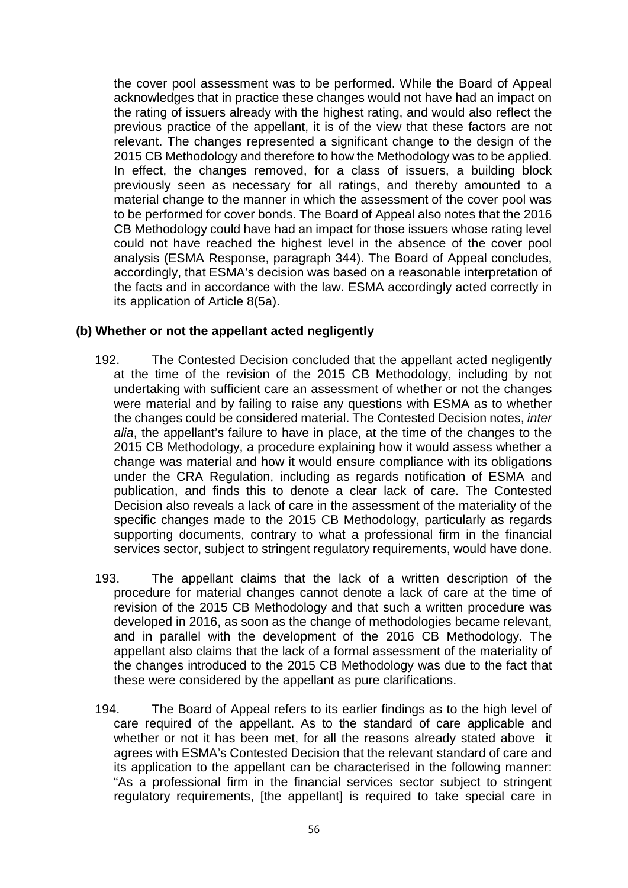the cover pool assessment was to be performed. While the Board of Appeal acknowledges that in practice these changes would not have had an impact on the rating of issuers already with the highest rating, and would also reflect the previous practice of the appellant, it is of the view that these factors are not relevant. The changes represented a significant change to the design of the 2015 CB Methodology and therefore to how the Methodology was to be applied. In effect, the changes removed, for a class of issuers, a building block previously seen as necessary for all ratings, and thereby amounted to a material change to the manner in which the assessment of the cover pool was to be performed for cover bonds. The Board of Appeal also notes that the 2016 CB Methodology could have had an impact for those issuers whose rating level could not have reached the highest level in the absence of the cover pool analysis (ESMA Response, paragraph 344). The Board of Appeal concludes, accordingly, that ESMA's decision was based on a reasonable interpretation of the facts and in accordance with the law. ESMA accordingly acted correctly in its application of Article 8(5a).

# **(b) Whether or not the appellant acted negligently**

- 192. The Contested Decision concluded that the appellant acted negligently at the time of the revision of the 2015 CB Methodology, including by not undertaking with sufficient care an assessment of whether or not the changes were material and by failing to raise any questions with ESMA as to whether the changes could be considered material. The Contested Decision notes, *inter alia*, the appellant's failure to have in place, at the time of the changes to the 2015 CB Methodology, a procedure explaining how it would assess whether a change was material and how it would ensure compliance with its obligations under the CRA Regulation, including as regards notification of ESMA and publication, and finds this to denote a clear lack of care. The Contested Decision also reveals a lack of care in the assessment of the materiality of the specific changes made to the 2015 CB Methodology, particularly as regards supporting documents, contrary to what a professional firm in the financial services sector, subject to stringent regulatory requirements, would have done.
- 193. The appellant claims that the lack of a written description of the procedure for material changes cannot denote a lack of care at the time of revision of the 2015 CB Methodology and that such a written procedure was developed in 2016, as soon as the change of methodologies became relevant, and in parallel with the development of the 2016 CB Methodology. The appellant also claims that the lack of a formal assessment of the materiality of the changes introduced to the 2015 CB Methodology was due to the fact that these were considered by the appellant as pure clarifications.
- 194. The Board of Appeal refers to its earlier findings as to the high level of care required of the appellant. As to the standard of care applicable and whether or not it has been met, for all the reasons already stated above it agrees with ESMA's Contested Decision that the relevant standard of care and its application to the appellant can be characterised in the following manner: "As a professional firm in the financial services sector subject to stringent regulatory requirements, [the appellant] is required to take special care in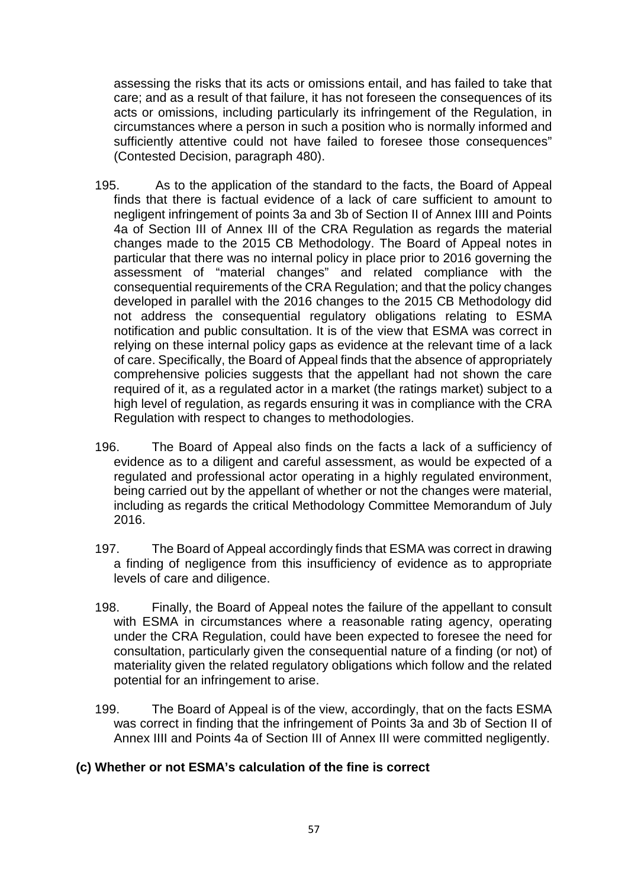assessing the risks that its acts or omissions entail, and has failed to take that care; and as a result of that failure, it has not foreseen the consequences of its acts or omissions, including particularly its infringement of the Regulation, in circumstances where a person in such a position who is normally informed and sufficiently attentive could not have failed to foresee those consequences" (Contested Decision, paragraph 480).

- 195. As to the application of the standard to the facts, the Board of Appeal finds that there is factual evidence of a lack of care sufficient to amount to negligent infringement of points 3a and 3b of Section II of Annex IIII and Points 4a of Section III of Annex III of the CRA Regulation as regards the material changes made to the 2015 CB Methodology. The Board of Appeal notes in particular that there was no internal policy in place prior to 2016 governing the assessment of "material changes" and related compliance with the consequential requirements of the CRA Regulation; and that the policy changes developed in parallel with the 2016 changes to the 2015 CB Methodology did not address the consequential regulatory obligations relating to ESMA notification and public consultation. It is of the view that ESMA was correct in relying on these internal policy gaps as evidence at the relevant time of a lack of care. Specifically, the Board of Appeal finds that the absence of appropriately comprehensive policies suggests that the appellant had not shown the care required of it, as a regulated actor in a market (the ratings market) subject to a high level of regulation, as regards ensuring it was in compliance with the CRA Regulation with respect to changes to methodologies.
- 196. The Board of Appeal also finds on the facts a lack of a sufficiency of evidence as to a diligent and careful assessment, as would be expected of a regulated and professional actor operating in a highly regulated environment, being carried out by the appellant of whether or not the changes were material, including as regards the critical Methodology Committee Memorandum of July 2016.
- 197. The Board of Appeal accordingly finds that ESMA was correct in drawing a finding of negligence from this insufficiency of evidence as to appropriate levels of care and diligence.
- 198. Finally, the Board of Appeal notes the failure of the appellant to consult with ESMA in circumstances where a reasonable rating agency, operating under the CRA Regulation, could have been expected to foresee the need for consultation, particularly given the consequential nature of a finding (or not) of materiality given the related regulatory obligations which follow and the related potential for an infringement to arise.
- 199. The Board of Appeal is of the view, accordingly, that on the facts ESMA was correct in finding that the infringement of Points 3a and 3b of Section II of Annex IIII and Points 4a of Section III of Annex III were committed negligently.

# **(c) Whether or not ESMA's calculation of the fine is correct**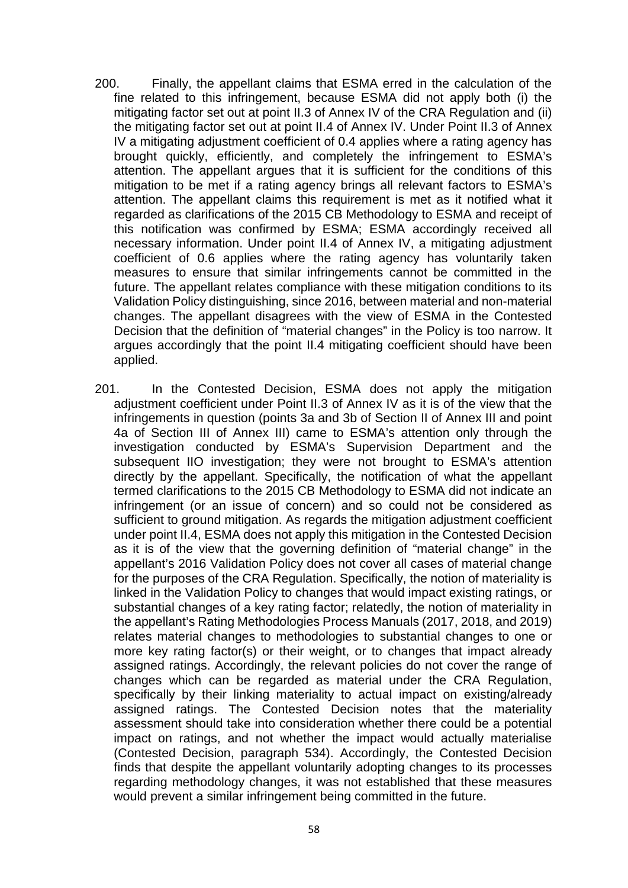- 200. Finally, the appellant claims that ESMA erred in the calculation of the fine related to this infringement, because ESMA did not apply both (i) the mitigating factor set out at point II.3 of Annex IV of the CRA Regulation and (ii) the mitigating factor set out at point II.4 of Annex IV. Under Point II.3 of Annex IV a mitigating adjustment coefficient of 0.4 applies where a rating agency has brought quickly, efficiently, and completely the infringement to ESMA's attention. The appellant argues that it is sufficient for the conditions of this mitigation to be met if a rating agency brings all relevant factors to ESMA's attention. The appellant claims this requirement is met as it notified what it regarded as clarifications of the 2015 CB Methodology to ESMA and receipt of this notification was confirmed by ESMA; ESMA accordingly received all necessary information. Under point II.4 of Annex IV, a mitigating adjustment coefficient of 0.6 applies where the rating agency has voluntarily taken measures to ensure that similar infringements cannot be committed in the future. The appellant relates compliance with these mitigation conditions to its Validation Policy distinguishing, since 2016, between material and non-material changes. The appellant disagrees with the view of ESMA in the Contested Decision that the definition of "material changes" in the Policy is too narrow. It argues accordingly that the point II.4 mitigating coefficient should have been applied.
- 201. In the Contested Decision, ESMA does not apply the mitigation adjustment coefficient under Point II.3 of Annex IV as it is of the view that the infringements in question (points 3a and 3b of Section II of Annex III and point 4a of Section III of Annex III) came to ESMA's attention only through the investigation conducted by ESMA's Supervision Department and the subsequent IIO investigation; they were not brought to ESMA's attention directly by the appellant. Specifically, the notification of what the appellant termed clarifications to the 2015 CB Methodology to ESMA did not indicate an infringement (or an issue of concern) and so could not be considered as sufficient to ground mitigation. As regards the mitigation adjustment coefficient under point II.4, ESMA does not apply this mitigation in the Contested Decision as it is of the view that the governing definition of "material change" in the appellant's 2016 Validation Policy does not cover all cases of material change for the purposes of the CRA Regulation. Specifically, the notion of materiality is linked in the Validation Policy to changes that would impact existing ratings, or substantial changes of a key rating factor; relatedly, the notion of materiality in the appellant's Rating Methodologies Process Manuals (2017, 2018, and 2019) relates material changes to methodologies to substantial changes to one or more key rating factor(s) or their weight, or to changes that impact already assigned ratings. Accordingly, the relevant policies do not cover the range of changes which can be regarded as material under the CRA Regulation, specifically by their linking materiality to actual impact on existing/already assigned ratings. The Contested Decision notes that the materiality assessment should take into consideration whether there could be a potential impact on ratings, and not whether the impact would actually materialise (Contested Decision, paragraph 534). Accordingly, the Contested Decision finds that despite the appellant voluntarily adopting changes to its processes regarding methodology changes, it was not established that these measures would prevent a similar infringement being committed in the future.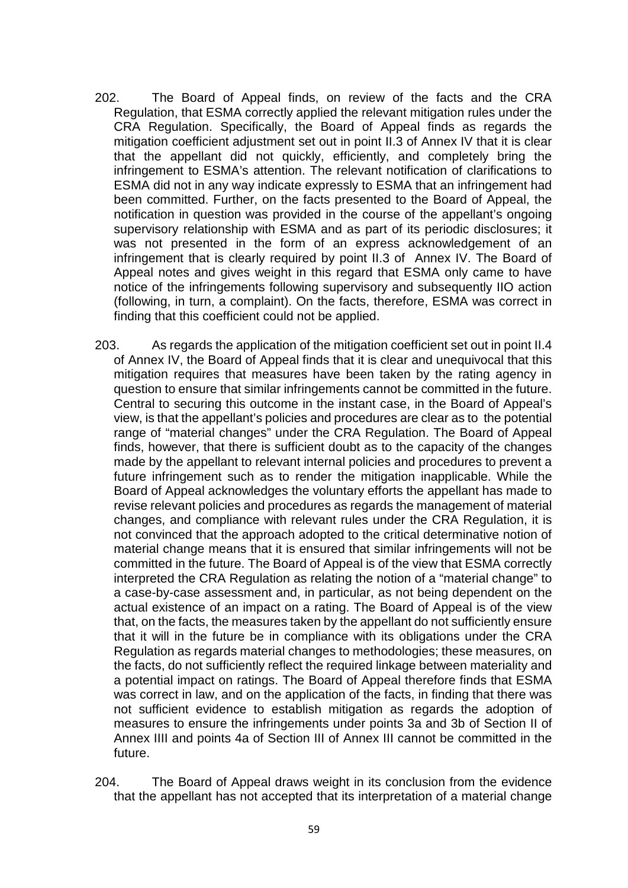- 202. The Board of Appeal finds, on review of the facts and the CRA Regulation, that ESMA correctly applied the relevant mitigation rules under the CRA Regulation. Specifically, the Board of Appeal finds as regards the mitigation coefficient adjustment set out in point II.3 of Annex IV that it is clear that the appellant did not quickly, efficiently, and completely bring the infringement to ESMA's attention. The relevant notification of clarifications to ESMA did not in any way indicate expressly to ESMA that an infringement had been committed. Further, on the facts presented to the Board of Appeal, the notification in question was provided in the course of the appellant's ongoing supervisory relationship with ESMA and as part of its periodic disclosures; it was not presented in the form of an express acknowledgement of an infringement that is clearly required by point II.3 of Annex IV. The Board of Appeal notes and gives weight in this regard that ESMA only came to have notice of the infringements following supervisory and subsequently IIO action (following, in turn, a complaint). On the facts, therefore, ESMA was correct in finding that this coefficient could not be applied.
- 203. As regards the application of the mitigation coefficient set out in point II.4 of Annex IV, the Board of Appeal finds that it is clear and unequivocal that this mitigation requires that measures have been taken by the rating agency in question to ensure that similar infringements cannot be committed in the future. Central to securing this outcome in the instant case, in the Board of Appeal's view, is that the appellant's policies and procedures are clear as to the potential range of "material changes" under the CRA Regulation. The Board of Appeal finds, however, that there is sufficient doubt as to the capacity of the changes made by the appellant to relevant internal policies and procedures to prevent a future infringement such as to render the mitigation inapplicable. While the Board of Appeal acknowledges the voluntary efforts the appellant has made to revise relevant policies and procedures as regards the management of material changes, and compliance with relevant rules under the CRA Regulation, it is not convinced that the approach adopted to the critical determinative notion of material change means that it is ensured that similar infringements will not be committed in the future. The Board of Appeal is of the view that ESMA correctly interpreted the CRA Regulation as relating the notion of a "material change" to a case-by-case assessment and, in particular, as not being dependent on the actual existence of an impact on a rating. The Board of Appeal is of the view that, on the facts, the measures taken by the appellant do not sufficiently ensure that it will in the future be in compliance with its obligations under the CRA Regulation as regards material changes to methodologies; these measures, on the facts, do not sufficiently reflect the required linkage between materiality and a potential impact on ratings. The Board of Appeal therefore finds that ESMA was correct in law, and on the application of the facts, in finding that there was not sufficient evidence to establish mitigation as regards the adoption of measures to ensure the infringements under points 3a and 3b of Section II of Annex IIII and points 4a of Section III of Annex III cannot be committed in the future.
- 204. The Board of Appeal draws weight in its conclusion from the evidence that the appellant has not accepted that its interpretation of a material change